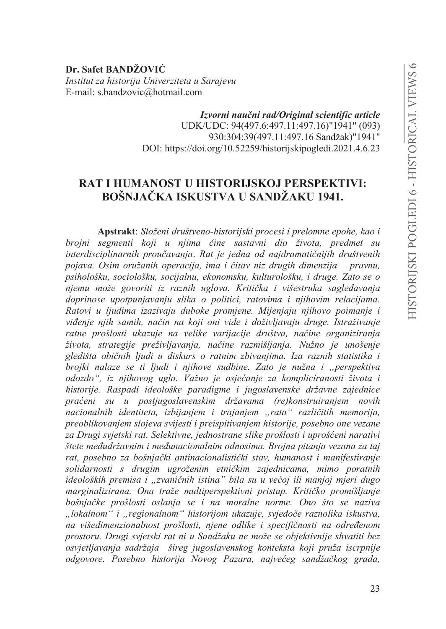Dr. Safet BANDŽOVIĆ Institut za historiju Univerziteta u Sarajevu E-mail: s.bandzovic@hotmail.com

> Izvorni naučni rad/Original scientific article UDK/UDC: 94(497.6:497.11:497.16)"1941" (093) 930:304:39(497.11:497.16 Sandžak)"1941" DOI: https://doi.org/10.52259/historijskipogledi.2021.4.6.23

# **RAT I HUMANOST U HISTORLISKOJ PERSPEKTIVI: BOŠNJAČKA ISKUSTVA U SANDŽAKU 1941.**

Apstrakt: Složeni društveno-historijski procesi i prelomne epohe, kao i brojni segmenti koji u njima čine sastavni dio života, predmet su interdisciplinarnih proučavanja. Rat je jedna od najdramatičnijih društvenih pojava. Osim oružanih operacija, ima i čitav niz drugih dimenzija – pravnu, psihološku, sociološku, socijalnu, ekonomsku, kulturološku, i druge. Zato se o njemu može govoriti iz raznih uglova. Kritička i višestruka sagledavanja doprinose upotpunjavanju slika o politici, ratovima i njihovim relacijama. Ratovi u ljudima izazivaju duboke promjene. Mijenjaju njihovo poimanje i viđenje njih samih, način na koji oni vide i doživljavaju druge. Istraživanje ratne prošlosti ukazuje na velike varijacije društva, načine organiziranja života, strategije preživljavanja, načine razmišljanja. Nužno je unošenje gledišta običnih ljudi u diskurs o ratnim zbivanjima. Iza raznih statistika i brojki nalaze se ti ljudi i njihove sudbine. Zato je nužna i "perspektiva odozdo", iz njihovog ugla. Važno je osjećanje za kompliciranosti života i historije. Raspadi ideološke paradigme i jugoslavenske državne zajednice praćeni su u postjugoslavenskim državama (re)konstruiranjem novih nacionalnih identiteta, izbijanjem i trajanjem "rata" različitih memorija, preoblikovanjem slojeva svijesti i preispitivanjem historije, posebno one vezane za Drugi svjetski rat. Selektivne, jednostrane slike prošlosti i uprošćeni narativi štete međudržavnim i međunacionalnim odnosima. Brojna pitanja vezana za taj rat, posebno za bošnjački antinacionalistički stav, humanost i manifestiranje solidarnosti s drugim ugroženim etničkim zajednicama, mimo poratnih ideoloških premisa i "zvaničnih istina" bila su u većoj ili manjoj mjeri dugo marginalizirana. Ona traže multiperspektivni pristup. Kritičko promišljanje bošnjačke prošlosti oslanja se i na moralne norme. Ono što se naziva "lokalnom" i "regionalnom" historijom ukazuje, svjedoče raznolika iskustva, na višedimenzionalnost prošlosti, njene odlike i specifičnosti na određenom prostoru. Drugi svjetski rat ni u Sandžaku ne može se objektivnije shvatiti bez osvjetljavanja sadržaja šireg jugoslavenskog konteksta koji pruža iscrpnije odgovore. Posebno historija Novog Pazara, najvećeg sandžačkog grada,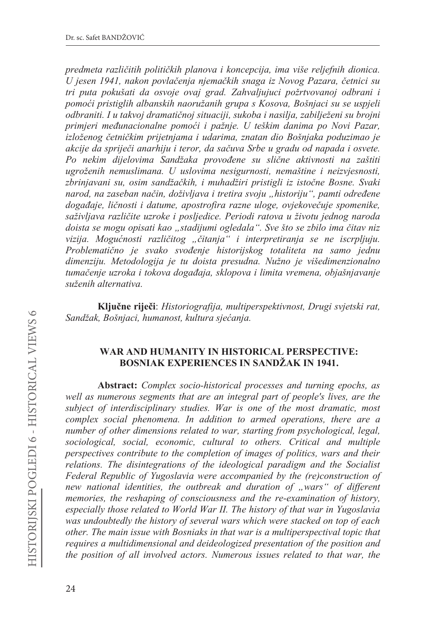*predmeta razliþitih politiþkih planova i koncepcija, ima više reljefnih dionica. U jesen 1941, nakon povlaþenja njemaþkih snaga iz Novog Pazara, þetnici su*  tri puta pokušati da osvoje ovaj grad. Zahvaljujuci požrtvovanoj odbrani i pomoći pristiglih albanskih naoružanih grupa s Kosova, Bošnjaci su se uspjeli *RGEUDARIII. I u takvoj dramatičnoj situaciji, sukoba i nasilja, zabilježeni su brojni* primjeri međunacionalne pomoći i pažnje. U teškim danima po Novi Pazar, *izloženog četničkim prijetnjama i udarima, znatan dio Bošnjaka poduzimao je akcije da spriječi anarhiju i teror, da sačuva Srbe u gradu od napada i osvete. Po nekim GLMHORYLPD 6DQGåDND provoÿene su sliþne aktivnosti na zaštiti XJURåHQLK nemuslimana. U uslovima nesigurnosti, nemaštine i neizvjesnosti,*  zbrinjavani su, osim sandžačkih, i muhadžiri pristigli iz istočne Bosne. Svaki *narod, na zaseban način, doživljava i tretira svoju "historiju", pamti određene dogaÿaje, liþnosti i datume, apostrofira razne uloge, ovjekoveþuje spomenike,*  saživljava različite uzroke i posljedice. Periodi ratova u životu jednog naroda *doista se mogu opisati kao "stadijumi ogledala". Sve što se zbilo ima čitav niz vizija. Moguünosti razliþitog "þitanja" i interpretiranja se ne iscrpljuju. 3UREOHPDWLþno je svako svoÿenje historijskog totaliteta na samo jednu dimenziju. Metodologija je tu doista presudna. Nužno je višedimenzionalno tumačenje uzroka i tokova događaja, sklopova i limita vremena, objašnjavanje*  $x^i$ *suženih alternativa.* 

Ključne riječi: Historiografija, multiperspektivnost, Drugi svjetski rat,  $Sandžak, Bošnjaci, humanost, kultura sjećanja.$ 

### **WAR AND HUMANITY IN HISTORICAL PERSPECTIVE: BOSNIAK EXPERIENCES IN SANDŽAK IN 1941.**

Abstract: Complex socio-historical processes and turning epochs, as *well as numerous segments that are an integral part of people's lives, are the subject of interdisciplinary studies. War is one of the most dramatic, most complex social phenomena. In addition to armed operations, there are a number of other dimensions related to war, starting from psychological, legal, sociological, social, economic, cultural to others. Critical and multiple perspectives contribute to the completion of images of politics, wars and their relations. The disintegrations of the ideological paradigm and the Socialist Federal Republic of Yugoslavia were accompanied by the (re)construction of*  new national identities, the outbreak and duration of "wars" of different *memories, the reshaping of consciousness and the re-examination of history, especially those related to World War II. The history of that war in Yugoslavia was undoubtedly the history of several wars which were stacked on top of each other. The main issue with Bosniaks in that war is a multiperspectival topic that requires a multidimensional and deideologized presentation of the position and the position of all involved actors. Numerous issues related to that war, the*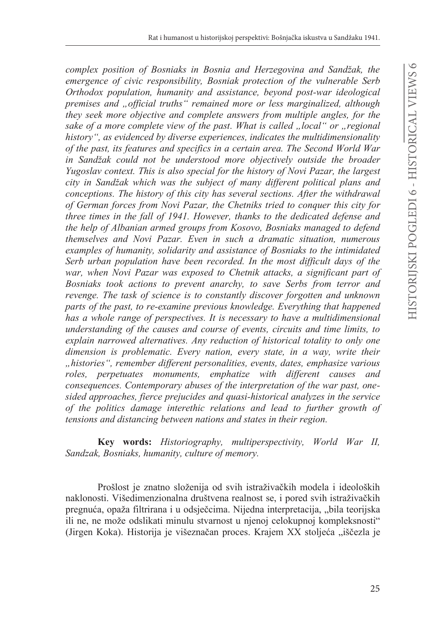*Complex position of Bosniaks in Bosnia and Herzegovina and Sandžak, the emergence of civic responsibility, Bosniak protection of the vulnerable Serb Orthodox population, humanity and assistance, beyond post-war ideological premises and "official truths" remained more or less marginalized, although they seek more objective and complete answers from multiple angles, for the sake of a more complete view of the past. What is called "local" or "regional history", as evidenced by diverse experiences, indicates the multidimensionality of the past, its features and specifics in a certain area. The Second World War L*<sub>i</sub> *L*<sub>*i*</sub> *Candžak could not be understood more objectively outside the broader <i>n Yugoslav context. This is also special for the history of Novi Pazar, the largest*  city in Sandžak which was the subject of many different political plans and *conceptions. The history of this city has several sections. After the withdrawal of German forces from Novi Pazar, the Chetniks tried to conquer this city for three times in the fall of 1941. However, thanks to the dedicated defense and the help of Albanian armed groups from Kosovo, Bosniaks managed to defend themselves and Novi Pazar. Even in such a dramatic situation, numerous examples of humanity, solidarity and assistance of Bosniaks to the intimidated Serb urban population have been recorded. In the most difficult days of the war, when Novi Pazar was exposed to Chetnik attacks, a significant part of Bosniaks took actions to prevent anarchy, to save Serbs from terror and revenge. The task of science is to constantly discover forgotten and unknown parts of the past, to re-examine previous knowledge. Everything that happened has a whole range of perspectives. It is necessary to have a multidimensional understanding of the causes and course of events, circuits and time limits, to explain narrowed alternatives. Any reduction of historical totality to only one dimension is problematic. Every nation, every state, in a way, write their "histories", remember different personalities, events, dates, emphasize various roles, perpetuates monuments, emphatize with different causes and consequences. Contemporary abuses of the interpretation of the war past, onesided approaches, fierce prejucides and quasi-historical analyzes in the service of the politics damage interethic relations and lead to further growth of tensions and distancing between nations and states in their region.* 

**Key words:** Historiography, multiperspectivity, World War II, *Sandzak, Bosniaks, humanity, culture of memory.*

Prošlost je znatno složenija od svih istraživačkih modela i ideoloških naklonosti. Višedimenzionalna društvena realnost se, i pored svih istraživačkih pregnuća, opaža filtrirana i u odsječcima. Nijedna interpretacija, "bila teorijska ili ne, ne može odslikati minulu stvarnost u njenoj celokupnoj kompleksnosti" (Jirgen Koka). Historija je višeznačan proces. Krajem XX stoljeća "iščezla je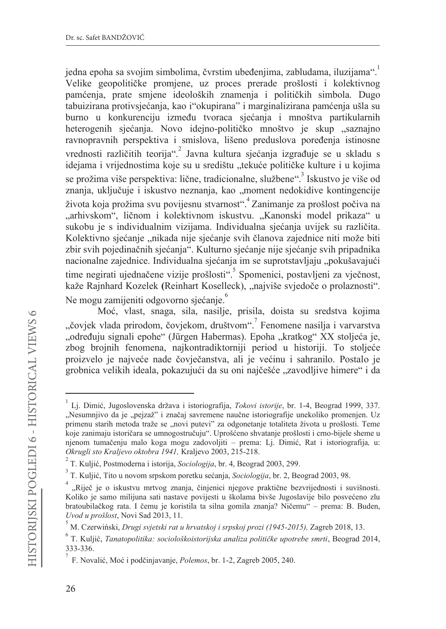jedna epoha sa svojim simbolima, čvrstim ubeđenjima, zabludama, iluzijama". Velike geopolitičke promjene, uz proces prerade prošlosti i kolektivnog pamćenja, prate smjene ideoloških znamenja i političkih simbola. Dugo tabuizirana protivsjećanja, kao i"okupirana" i marginalizirana pamćenja ušla su burno u konkurenciju između tvoraca sjećanja i mnoštva partikularnih heterogenih sjećanja. Novo idejno-političko mnoštvo je skup "saznajno ravnopravnih perspektiva i smislova, lišeno preduslova poređenia istinosne vrednosti različitih teorija".<sup>2</sup> Javna kultura sjećanja izgrađuje se u skladu s idejama i vrijednostima koje su u središtu "tekuće političke kulture i u kojima se prožima više perspektiva: lične, tradicionalne, službene".<sup>3</sup> Iskustvo je više od znanja, uključuje i iskustvo neznanja, kao "moment nedokidive kontingencije života koja prožima svu povijesnu stvarnost". Zanimanje za prošlost počiva na "arhivskom", ličnom i kolektivnom iskustvu. "Kanonski model prikaza" u sukobu je s individualnim vizijama. Individualna sjećanja uvijek su različita. Kolektivno sjećanje "nikada nije sjećanje svih članova zajednice niti može biti zbir svih pojedinačnih sjećanja". Kulturno sjećanje nije sjećanje svih pripadnika nacionalne zajednice. Individualna sjećanja im se suprotstavljaju "pokušavajući time negirati ujednačene vizije prošlosti".<sup>5</sup> Spomenici, postavljeni za vječnost, kaže Rajnhard Kozelek (Reinhart Koselleck), "najviše svjedoče o prolaznosti". Ne mogu zamijeniti odgovorno sjećanje.

Moć, vlast, snaga, sila, nasilje, prisila, doista su sredstva kojima "čoviek vlada prirodom, čoviekom, društvom". Fenomene nasilia i varvarstva "određuju signali epohe" (Jürgen Habermas). Epoha "kratkog" XX stoljeća je, zbog brojnih fenomena, najkontradiktorniji period u historiji. To stoljeće proizvelo je najveće nade čovječanstva, ali je većinu i sahranilo. Postalo je grobnica velikih ideala, pokazujući da su oni najčešće "zavodljive himere" i da

Lj. Dimić, Jugoslovenska država i istoriografija, Tokovi istorije, br. 1-4, Beograd 1999, 337. "Nesumnjivo da je "pejzaž" i značaj savremene naučne istoriografije unekoliko promenjen. Uz primenu starih metoda traže se "novi putevi" za odgonetanje totaliteta života u prošlosti. Teme koje zanimaju istoričara se umnogostručuju". Uprošćeno shvatanje prošlosti i crno-bijele sheme u njenom tumačenju malo koga mogu zadovoljiti – prema: Lj. Dimić, Rat i istoriografija, u: Okrugli sto Kraljevo oktobra 1941, Kraljevo 2003, 215-218.

T. Kuljić, Postmoderna i istorija, Sociologija, br. 4, Beograd 2003, 299.

 $3$  T. Kuljić, Tito u novom srpskom poretku sećanja, Sociologija, br. 2, Beograd 2003, 98.

<sup>&</sup>quot;Riječ je o iskustvu mrtvog znanja, činjenici njegove praktične bezvrijednosti i suvišnosti. Koliko je samo milijuna sati nastave povijesti u školama bivše Jugoslavije bilo posvećeno zlu bratoubilačkog rata. I čemu je koristila ta silna gomila znanja? Ničemu" – prema: B. Buden, Uvod u prošlost, Novi Sad 2013, 11.

M. Czerwiński, Drugi svjetski rat u hrvatskoj i srpskoj prozi (1945-2015), Zagreb 2018, 13.

 $6$  T. Kuljić, Tanatopolitika: sociološkoistorijska analiza političke upotrebe smrti, Beograd 2014, 333-336.

F. Novalić, Moć i podčinjavanje, Polemos, br. 1-2, Zagreb 2005, 240.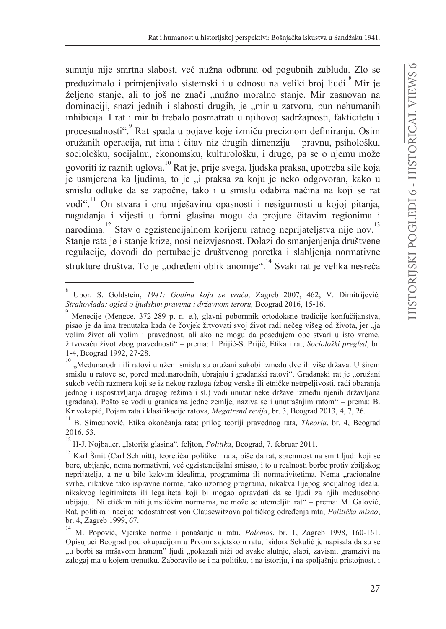sumnja nije smrtna slabost, već nužna odbrana od pogubnih zabluda. Zlo se preduzimalo i primienijvalo sistemski i u odnosu na veliki broj ljudi.<sup>8</sup> Mir je željeno stanje, ali to još ne znači "nužno moralno stanje. Mir zasnovan na dominaciji, snazi jednih i slabosti drugih, je "mir u zatvoru, pun nehumanih inhibicija. I rat i mir bi trebalo posmatrati u njihovoj sadržajnosti, fakticitetu i procesualnosti". Rat spada u pojave koje izmiču preciznom definiranju. Osim oružanih operacija, rat ima i čitav niz drugih dimenzija – pravnu, psihološku, sociološku, socijalnu, ekonomsku, kulturološku, i druge, pa se o njemu može govoriti iz raznih uglova.<sup>10</sup> Rat je, prije svega, ljudska praksa, upotreba sile koja je usmjerena ka ljudima, to je "i praksa za koju je neko odgovoran, kako u smislu odluke da se započne, tako i u smislu odabira načina na koji se rat vodi".<sup>11</sup> On stvara i onu mješavinu opasnosti i nesigurnosti u kojoj pitanja, nagađanja i vijesti u formi glasina mogu da projure čitavim regionima i narodima.<sup>12</sup> Stav o egzistencijalnom korijenu ratnog neprijateljstva nije nov.<sup>13</sup> Stanje rata je i stanje krize, nosi neizvjesnost. Dolazi do smanjenjenja društvene regulacije, dovodi do pertubacije društvenog poretka i slabljenja normativne strukture društva. To je "određeni oblik anomije".<sup>14</sup> Svaki rat je velika nesreća

Upor. S. Goldstein, 1941: Godina koja se vraća, Zagreb 2007, 462; V. Dimitrijević, Strahovlada: ogled o liudskim pravima i državnom teroru, Beograd 2016, 15-16.

Menecije (Mengce, 372-289 p. n. e.), glavni pobornnik ortodoksne tradicije konfučijanstva, pisao je da ima trenutaka kada će čovjek žrtvovati svoj život radi nečeg višeg od života, jer "ja volim život ali volim i pravednost, ali ako ne mogu da posedujem obe stvari u isto vreme, žrtvovaću život zbog pravednosti" – prema: I. Prijić-S. Prijić, Etika i rat, Sociološki pregled, br. 1-4, Beograd 1992, 27-28.

<sup>10 &</sup>quot;Međunarodni ili ratovi u užem smislu su oružani sukobi između dve ili više država. U širem smislu u ratove se, pored međunarodnih, ubrajaju i građanski ratovi". Građanski rat je "oružani sukob većih razmera koji se iz nekog razloga (zbog verske ili etničke netrpeljivosti, radi obaranja jednog i uspostavljanja drugog režima i sl.) vodi unutar neke države između njenih državljana (građana). Pošto se vodi u granicama jedne zemlje, naziva se i unutrašnjim ratom" – prema: B. Krivokapić, Pojam rata i klasifikacije ratova, Megatrend revija, br. 3, Beograd 2013, 4, 7, 26.

<sup>&</sup>lt;sup>11</sup> B. Simeunović, Etika okončanja rata: prilog teoriji pravednog rata, Theoria, br. 4, Beograd 2016, 53.

 $^{12}$  H-J. Nojbauer, "Istorija glasina", feljton, Politika, Beograd, 7. februar 2011.

<sup>&</sup>lt;sup>13</sup> Karl Šmit (Carl Schmitt), teoretičar politike i rata, piše da rat, spremnost na smrt ljudi koji se bore, ubijanje, nema normativni, već egzistencijalni smisao, i to u realnosti borbe protiv zbiljskog neprijatelja, a ne u bilo kakvim idealima, programima ili normativitetima. Nema "racionalne svrhe, nikakve tako ispravne norme, tako uzornog programa, nikakva lijepog socijalnog ideala, nikakvog legitimiteta ili legaliteta koji bi mogao opravdati da se ljudi za njih međusobno ubijaju... Ni etičkim niti jurističkim normama, ne može se utemeljiti rat" – prema: M. Galović, Rat, politika i nacija: nedostatnost von Clausewitzova političkog određenja rata, Politička misao, br. 4, Zagreb 1999, 67.

<sup>&</sup>lt;sup>14</sup> M. Popović, Vjerske norme i ponašanje u ratu, Polemos, br. 1, Zagreb 1998, 160-161. Opisujući Beograd pod okupacijom u Prvom svjetskom ratu, Isidora Sekulić je napisala da su se "u borbi sa mršavom hranom" ljudi "pokazali niži od svake slutnje, slabi, zavisni, gramzivi na zalogaj ma u kojem trenutku. Zaboravilo se i na politiku, i na istoriju, i na spoljašnju pristojnost, i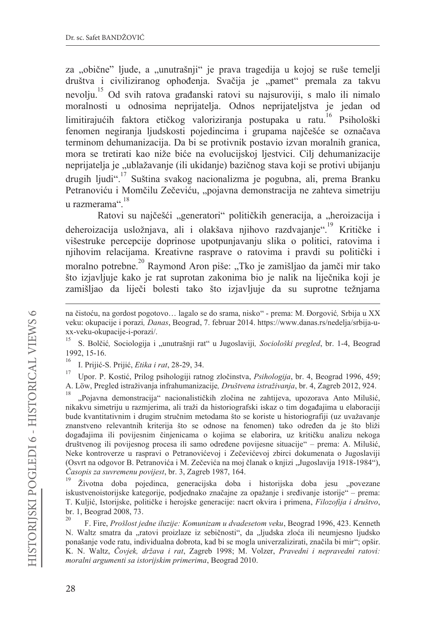za "obične" ljude, a "unutrašnji" je prava tragedija u kojoj se ruše temelji društva i civiliziranog ophođenja. Svačija je "pamet" premala za takvu nevolju.<sup>15</sup> Od svih ratova građanski ratovi su najsuroviji, s malo ili nimalo moralnosti u odnosima neprijatelja. Odnos neprijateljstva je jedan od limitirajućih faktora etičkog valoriziranja postupaka u ratu.<sup>16</sup> Psihološki fenomen negiranja ljudskosti pojedincima i grupama najčešće se označava terminom dehumanizacija. Da bi se protivnik postavio izvan moralnih granica, mora se tretirati kao niže biće na evolucijskoj ljestvici. Cilj dehumanizacije neprijatelja je "ublažavanje (ili ukidanje) bazičnog stava koji se protivi ubijanju drugih ljudi".<sup>17</sup> Suština svakog nacionalizma je pogubna, ali, prema Branku Petranoviću i Momčilu Zečeviću, "pojavna demonstracija ne zahteva simetriju u razmerama" 18

Ratovi su najčešći "generatori" političkih generacija, a "heroizacija i deheroizacija usložnjava, ali i olakšava njihovo razdvajanje".<sup>19</sup> Kritičke i višestruke percepcije doprinose upotpunjavanju slika o politici, ratovima i njihovim relacijama. Kreativne rasprave o ratovima i pravdi su politički i moralno potrebne.<sup>20</sup> Raymond Aron piše: "Tko je zamišljao da jamči mir tako što izjavljuje kako je rat suprotan zakonima bio je nalik na liječnika koji je zamišljao da liječi bolesti tako što izjavljuje da su suprotne težnjama

- na čistoću, na gordost pogotovo... lagalo se do srama, nisko" prema: M. Đorgović, Srbija u XX veku: okupacije i porazi, Danas, Beograd, 7. februar 2014. https://www.danas.rs/nedelja/srbija-uxx-veku-okupacije-i-porazi/.
- 15 S. Bolčić, Sociologija i "unutrašnij rat" u Jugoslaviji, Sociološki pregled, br. 1-4. Beograd 1992, 15-16.
- I. Prijić-S. Prijić, Etika i rat, 28-29, 34.

 $17$ Upor. P. Kostić, Prilog psihologiji ratnog zločinstva, Psihologija, br. 4, Beograd 1996, 459; A. Löw, Pregled istraživanja infrahumanizacije, Društvena istraživanja, br. 4, Zagreb 2012, 924.

"Pojavna demonstracija" nacionalističkih zločina ne zahtijeva, upozorava Anto Milušić, nikakvu simetriju u razmjerima, ali traži da historiografski iskaz o tim događajima u elaboraciji bude kvantitativnim i drugim stručnim metodama što se koriste u historiografiji (uz uvažavanje znanstveno relevantnih kriterija što se odnose na fenomen) tako određen da je što bliži događajima ili povijesnim činjenicama o kojima se elaborira, uz kritičku analizu nekoga društvenog ili povijesnog procesa ili samo određene povijesne situacije" – prema: A. Milušić, Neke kontroverze u raspravi o Petranovićevoj i Zečevićevoj zbirci dokumenata o Jugoslaviji (Osvrt na odgovor B. Petranovića i M. Zečevića na moj članak o knjizi "Jugoslavija 1918-1984"), Časopis za suvremenu povijest, br. 3, Zagreb 1987, 164.

Životna doba pojedinca, generacijska doba i historijska doba jesu "povezane iskustvenoistorijske kategorije, podjednako značajne za opažanje i sređivanje istorije" – prema: T. Kuljić, Istorijske, političke i herojske generacije: nacrt okvira i primena, Filozofija i društvo, br. 1, Beograd 2008, 73.

20 F. Fire, Prošlost jedne iluzije: Komunizam u dvadesetom veku, Beograd 1996, 423. Kenneth N. Waltz smatra da "ratovi proizlaze iz sebičnosti", da "ljudska zloća ili neumjesno ljudsko ponašanje vode ratu, individualna dobrota, kad bi se mogla univerzalizirati, značila bi mir"; opšir. K. N. Waltz, Čovjek, država i rat, Zagreb 1998; M. Volzer, Pravedni i nepravedni ratovi: moralni argumenti sa istorijskim primerima, Beograd 2010.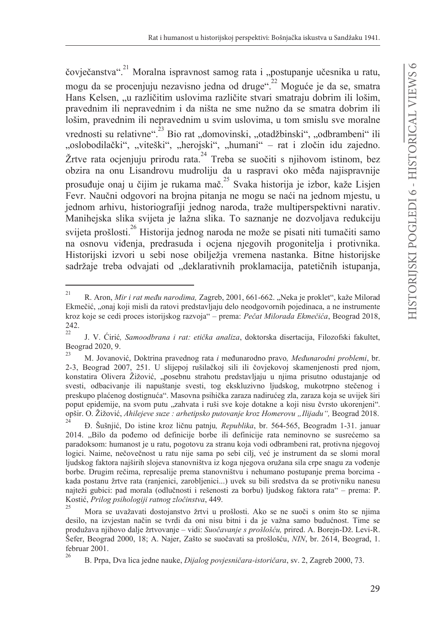čovječanstva".<sup>21</sup> Moralna ispravnost samog rata i "postupanje učesnika u ratu, mogu da se procenjuju nezavisno jedna od druge".<sup>22</sup> Moguće je da se, smatra Hans Kelsen, "u različitim uslovima različite stvari smatraju dobrim ili lošim, pravednim ili nepravednim i da ništa ne sme nužno da se smatra dobrim ili lošim, pravednim ili nepravednim u svim uslovima, u tom smislu sve moralne vrednosti su relativne".<sup>23</sup> Bio rat "domovinski, "otadžbinski", "odbrambeni" ili "oslobodilački", "viteški", "herojski", "humani" - rat i zločin idu zajedno. Žrtve rata ocjenjuju prirodu rata.<sup>24</sup> Treba se suočiti s njihovom istinom, bez obzira na onu Lisandrovu mudroliju da u raspravi oko mêđa najispravnije prosuđuje onaj u čijim je rukama mač.<sup>25</sup> Svaka historija je izbor, kaže Lisjen Fevr. Naučni odgovori na brojna pitanja ne mogu se naći na jednom mjestu, u jednom arhivu, historiografiji jednog naroda, traže multiperspektivni narativ. Manihejska slika svijeta je lažna slika. To saznanje ne dozvoljava redukciju svijeta prošlosti.<sup>26</sup> Historija jednog naroda ne može se pisati niti tumačiti samo na osnovu viđenja, predrasuda i ocjena njegovih progonitelja i protivnika. Historijski izvori u sebi nose obilježja vremena nastanka. Bitne historijske sadržaje treba odvajati od "deklarativnih proklamacija, patetičnih istupanja,

 $21\,$ R. Aron, Mir i rat među narodima, Zagreb, 2001, 661-662. "Neka je proklet", kaže Milorad Ekmečić, "onaj koji misli da ratovi predstavljaju delo neodgovornih pojedinaca, a ne instrumente kroz koje se cedi proces istorijskog razvoja" – prema: Pečat Milorada Ekmečića, Beograd 2018, 242.  $22$ 

J. V. Cirić, Samoodbrana i rat: etička analiza, doktorska disertacija, Filozofski fakultet, Beograd 2020, 9.

<sup>23</sup> M. Jovanović, Doktrina pravednog rata i međunarodno pravo, Međunarodni problemi, br. 2-3, Beograd 2007, 251. U slijepoj rušilačkoj sili ili čovjekovoj skamenjenosti pred njom, konstatira Olivera Žižović, "posebnu strahotu predstavljaju u njima prisutno odustajanje od svesti, odbacivanje ili napuštanje svesti, tog ekskluzivno ljudskog, mukotrpno stečenog i preskupo plaćenog dostignuća". Masovna psihička zaraza nadirućeg zla, zaraza koja se uvijek širi poput epidemije, na svom putu "zahvata i ruši sve koje dotakne a koji nisu čvrsto ukorenjeni". opšir. O. Žižović, Ahilejeve suze : arhetipsko putovanje kroz Homerovu "Ilijadu", Beograd 2018.  $24$ 

Đ. Šušnjić, Do istine kroz ličnu patnju, Republika, br. 564-565, Beogradm 1-31. januar 2014. "Bilo da pođemo od definicije borbe ili definicije rata neminovno se susrećemo sa paradoksom: humanost je u ratu, pogotovu za stranu koja vodi odbrambeni rat, protivna njegovoj logici. Naime, nečovečnost u ratu nije sama po sebi cilj, već je instrument da se slomi moral ljudskog faktora najširih slojeva stanovništva iz koga njegova oružana sila crpe snagu za vođenje borbe. Drugim rečima, represalije prema stanovništvu i nehumano postupanje prema borcima kada postanu žrtve rata (ranjenici, zarobljenici...) uvek su bili sredstva da se protivniku nanesu najteži gubici: pad morala (odlučnosti i rešenosti za borbu) ljudskog faktora rata" – prema: P. Kostić, Prilog psihologiji ratnog zločinstva, 449.

<sup>25</sup> Mora se uvažavati dostojanstvo žrtvi u prošlosti. Ako se ne suoči s onim što se njima desilo, na izvjestan način se tvrdi da oni nisu bitni i da je važna samo budućnost. Time se produžava njihovo dalje žrtvovanje – vidi: Suočavanje s prošlošću, prired. A. Borejn-Dž. Levi-R. Šefer, Beograd 2000, 18; A. Najer, Zašto se suočavati sa prošlošću, NIN, br. 2614, Beograd, 1. februar 2001. 26

B. Prpa, Dva lica jedne nauke, Dijalog povjesničara-istoričara, sv. 2, Zagreb 2000, 73.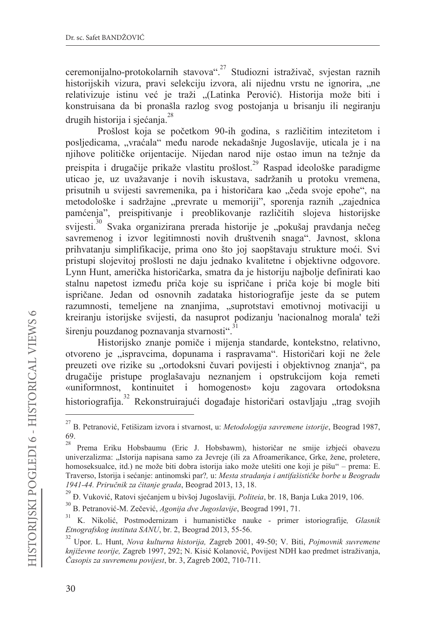ceremonijalno-protokolarnih stavova".<sup>27</sup> Studiozni istraživač, svjestan raznih historijskih vizura, pravi selekciju izvora, ali nijednu vrstu ne ignorira, "ne relativizuje istinu već je traži "(Latinka Perović). Historija može biti i konstruisana da bi pronašla razlog svog postojanja u brisanju ili negiranju drugih historija i sjećanja.<sup>28</sup>

Prošlost koja se početkom 90-ih godina, s različitim intezitetom i posljedicama, "vraćala" među narode nekadašnje Jugoslavije, uticala je i na njihove političke orijentacije. Nijedan narod nije ostao imun na težnje da preispita i drugačije prikaže vlastitu prošlost.<sup>29</sup> Raspad ideološke paradigme uticao je, uz uvažavanje i novih iskustava, sadržanih u protoku vremena, prisutnih u svijesti savremenika, pa i historičara kao "čeda svoje epohe", na metodološke i sadržajne "prevrate u memoriji", sporenja raznih "zajednica pamćenja", preispitivanje i preoblikovanje različitih slojeva historijske svijesti.<sup>30</sup> Svaka organizirana prerada historije je "pokušaj pravdanja nečeg savremenog i izvor legitimnosti novih društvenih snaga". Javnost, sklona prihvatanju simplifikacije, prima ono što joj saopštavaju strukture moći. Svi pristupi slojevitoj prošlosti ne daju jednako kvalitetne i objektivne odgovore. Lynn Hunt, američka historičarka, smatra da je historiju najbolje definirati kao stalnu napetost između priča koje su ispričane i priča koje bi mogle biti ispričane. Jedan od osnovnih zadataka historiografije jeste da se putem razumnosti, temeljene na znanjima, "suprotstavi emotivnoj motivaciji u kreiranju istorijske svijesti, da nasuprot podizanju 'nacionalnog morala' teži širenju pouzdanog poznavanja stvarnosti".<sup>31</sup>

Historijsko znanje pomiče i mijenja standarde, kontekstno, relativno, otvoreno je "ispravcima, dopunama i raspravama". Historičari koji ne žele preuzeti ove rizike su "ortodoksni čuvari povijesti i objektivnog znanja", pa drugačije pristupe proglašavaju neznanjem i opstrukcijom koja remeti kontinuitet i homogenost» koju zagovara ortodoksna «uniformnost, historiografija.<sup>32</sup> Rekonstruirajući događaje historičari ostavljaju "trag svojih

<sup>&</sup>lt;sup>27</sup> R. Petranović. Fetišizam izvora i stvarnost, u: Metodologija savremene istorije, Beograd 1987, 69.

 $28\,$ Prema Eriku Hobsbaumu (Eric J. Hobsbawm), historičar ne smije izbjeći obavezu univerzalizma: "Istorija napisana samo za Jevreje (ili za Afroamerikance, Grke, žene, proletere, homoseksualce, itd.) ne može biti dobra istorija iako može utešiti one koji je pišu" – prema: E. Traverso, Istorija i sećanje: antinomski par?, u: Mesta stradanja i antifašističke borbe u Beogradu 1941-44. Priručnik za čitanje grada, Beograd 2013, 13, 18.

 $^{29}$  Đ. Vuković, Ratovi sjećanjem u bivšoj Jugoslaviji, Politeia, br. 18, Banja Luka 2019, 106.

<sup>&</sup>lt;sup>30</sup> B. Petranović-M. Zečević, Agonija dve Jugoslavije, Beograd 1991, 71.

<sup>31</sup> K. Nikolić, Postmodernizam i humanističke nauke - primer istoriografije, Glasnik Etnografskog instituta SANU, br. 2, Beograd 2013, 55-56.

Upor. L. Hunt, Nova kulturna historija, Zagreb 2001, 49-50; V. Biti, Pojmovnik suvremene književne teorije, Zagreb 1997, 292; N. Kisić Kolanović, Povijest NDH kao predmet istraživanja, Časopis za suvremenu povijest, br. 3, Zagreb 2002, 710-711.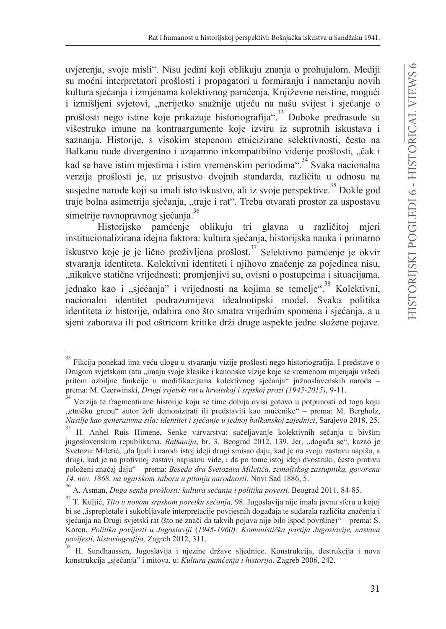uvierenia, svoje misli". Nisu jedini koji oblikuju znanja o prohujalom. Mediji su moćni interpretatori prošlosti i propagatori u formiranju i nametanju novih kultura sjećanja i izmjenama kolektivnog pamćenja. Književne neistine, mogući i izmišljeni svjetovi, "nerijetko snažnije utječu na našu svijest i sjećanje o prošlosti nego istine koje prikazuje historiografija".<sup>33</sup> Duboke predrasude su višestruko imune na kontraargumente koje izviru iz suprotnih iskustava i saznania. Historije, s visokim stepenom etnicizirane selektivnosti, često na Balkanu nude divergentno i uzajamno inkompatibilno viđenje prošlosti, "čak i kad se bave istim mjestima i istim vremenskim periodima".<sup>34</sup> Svaka nacionalna verzija prošlosti je, uz prisustvo dvojnih standarda, različita u odnosu na susjedne narode koji su imali isto iskustvo, ali iz svoje perspektive.<sup>35</sup> Dokle god traje bolna asimetrija sjećanja, "traje i rat". Treba otvarati prostor za uspostavu simetrije ravnopravnog sjećanja.<sup>36</sup>

Historijsko pamćenje oblikuju tri glavna u različitoj mieri institucionalizirana idejna faktora: kultura sjećanja, historijska nauka i primarno iskustvo koje je je lično proživljena prošlost.<sup>37</sup> Selektivno pamćenje je okvir stvaranja identiteta. Kolektivni identiteti i njihovo značenje za pojedinca nisu, "nikakve statične vrijednosti; promjenjivi su, ovisni o postupcima i situacijama, jednako kao i "sjećanja" i vrijednosti na kojima se temelje".<sup>38</sup> Kolektivni, nacionalni identitet podrazumijeva idealnotipski model. Svaka politika identiteta iz historije, odabira ono što smatra vrijednim spomena i sjećanja, a u sjeni zaborava ili pod oštricom kritike drži druge aspekte jedne složene pojave.

<sup>33</sup> Fikcija ponekad ima veću ulogu u stvaranju vizije prošlosti nego historiografija. I predstave o Drugom svjetskom ratu "imaju svoje klasike i kanonske vizije koje se vremenom mijenjaju vršeći pritom ozbiljne funkcije u modifikacijama kolektivnog sjećanja" južnoslavenskih naroda prema: M. Czerwiński, Drugi svjetski rat u hrvatskoj i srpskoj prozi (1945-2015), 9-11.

<sup>&</sup>lt;sup>34</sup> Verzija te fragmentirane historije koju se time dobija ovisi gotovo u potpunosti od toga koju "etničku grupu" autor želi demonizirati ili predstaviti kao mučenike" - prema: M. Bergholz, Nasilje kao generativna sila: identitet i sjećanje u jednoj balkanskoj zajednici, Sarajevo 2018, 25.

<sup>35</sup> H. Anhel Ruis Himene, Senke varvarstva: sučeljavanje kolektivnih sećanja u bivšim jugoslovenskim republikama, Balkanija, br. 3, Beograd 2012, 139. Jer, "događa se", kazao je Svetozar Miletić, "da ljudi i narodi istoj ideji drugi smisao daju, kad je na svoju zastavu napišu, a drugi, kad je na protivnoj zastavi napisanu vide, i da po tome istoj ideji dvostruki, često protivu položeni značaj daju" – prema: Beseda dra Svetozara Miletića, zemaljskog zastupnika, govorena 14. nov. 1868. na ugarskom saboru u pitanju narodnosti, Novi Sad 1886, 5.

<sup>36</sup> A. Asman, Duga senka prošlosti: kultura sećanja i politika povesti, Beograd 2011, 84-85.

 $^{37}$ T. Kuljić, Tito u novom srpskom poretku sećanja, 98. Jugoslavija nije imala javnu sferu u kojoj bi se "isprepletale i sukobljavale interpretacije povijesnih događaja te sudarala različita značenja i sjećanja na Drugi svjetski rat (što ne znači da takvih pojava nije bilo ispod površine)" – prema: S. Koren, Politika povijesti u Jugoslaviji (1945-1960): Komunistička partija Jugoslavije, nastava povijesti, historiografija, Zagreb 2012, 311.

H. Sundhaussen, Jugoslavija i njezine države sljednice. Konstrukcija, destrukcija i nova konstrukcija "sjećanja" i mitova, u: Kultura pamćenja i historija, Zagreb 2006, 242.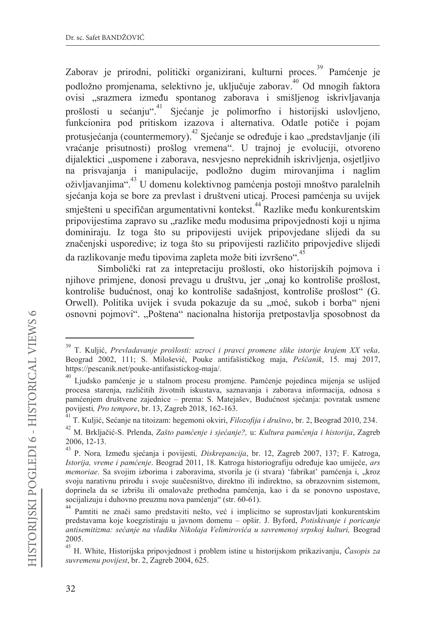Zaborav je prirodni, politički organizirani, kulturni proces.<sup>39</sup> Pamćenje je podložno promjenama, selektivno je, uključuje zaborav. Od mnogih faktora ovisi "srazmera između spontanog zaborava i smišljenog iskrivljavanja prošlosti u sećanju".<sup>41</sup> Sjećanje je polimorfno i historijski uslovljeno, funkcionira pod pritiskom izazova i alternativa. Odatle potiče i pojam protusjećanja (countermemory).<sup>42</sup> Sjećanje se određuje i kao "predstavljanje (ili vraćanje prisutnosti) prošlog vremena". U trajnoj je evoluciji, otvoreno dijalektici "uspomene i zaborava, nesvjesno neprekidnih iskrivljenja, osjetljivo na prisvajanja i manipulacije, podložno dugim mirovanjima i naglim oživljavanjima".<sup>43</sup> U domenu kolektivnog pamćenja postoji mnoštvo paralelnih sjećanja koja se bore za prevlast i društveni uticaj. Procesi pamćenja su uvijek smiešteni u specifičan argumentativni kontekst.<sup>44</sup> Razlike među konkurentskim pripovijestima zapravo su "razlike među modusima pripovjednosti koji u njima dominiraju. Iz toga što su pripovijesti uvijek pripovjedane slijedi da su značenjski usporedive; iz toga što su pripovijesti različito pripovjedive slijedi da razlikovanje među tipovima zapleta može biti izvršeno".

Simbolički rat za intepretaciju prošlosti, oko historijskih pojmova i njihove primjene, donosi prevagu u društvu, jer "onaj ko kontroliše prošlost, kontroliše budućnost, onaj ko kontroliše sadašnjost, kontroliše prošlost" (G. Orwell). Politika uvijek i svuda pokazuje da su "moć, sukob i borba" njeni osnovni pojmovi". "Poštena" nacionalna historija pretpostavlja sposobnost da

T. Kuljić, Prevladavanje prošlosti: uzroci i pravci promene slike istorije krajem XX veka, Beograd 2002, 111; S. Milošević, Pouke antifašističkog maja, Peščanik, 15. maj 2017, https://pescanik.net/pouke-antifasistickog-maja/.

<sup>40</sup> Ljudsko pamćenje je u stalnom procesu promjene. Pamćenje pojedinca mijenja se uslijed procesa starenja, različitih životnih iskustava, saznavanja i zaborava informacija, odnosa s pamćenjem društvene zajednice - prema: S. Matejašev, Budućnost sjećanja: povratak usmene povijesti, Pro tempore, br. 13, Zagreb 2018, 162-163.

<sup>&</sup>lt;sup>41</sup> T. Kuliić, Sećanje na titoizam: hegemoni okviri, Filozofija i društvo, br. 2, Beograd 2010, 234.

 $^{42}$ M. Brkljačić-S. Prlenda, Zašto pamćenje i sjećanje?, u: Kultura pamćenja i historija, Zagreb  $2006, 12-13.$ 

<sup>&</sup>lt;sup>43</sup> P. Nora, Između sjećanja i povijesti, Diskrepancija, br. 12, Zagreb 2007, 137; F. Katroga, Istorija, vreme i pamćenje. Beograd 2011, 18. Katroga historiografiju određuje kao umijeće, ars *memoriae*. Sa svojim izborima i zaboravima, stvorila je (i stvara) 'fabrikat' pamćenja i, "kroz svoju narativnu prirodu i svoje suučesništvo, direktno ili indirektno, sa obrazovnim sistemom, doprinela da se izbrišu ili omalovaže prethodna pamćenia, kao i da se ponovno uspostave, socijalizuju i duhovno preuzmu nova pamćenja" (str. 60-61).

<sup>44&</sup>lt;br>Pamtiti ne znači samo predstaviti nešto, već i implicitno se suprostavljati konkurentskim predstavama koje koegzistiraju u javnom domenu – opšir. J. Byford, Potiskivanje i poricanje antisemitizma: sećanje na vladiku Nikolaja Velimirovića u savremenoj srpskoj kulturi, Beograd 2005.

 $45$  H. White, Historijska pripovjednost i problem istine u historijskom prikazivanju, Časopis za suvremenu povijest, br. 2, Zagreb 2004, 625.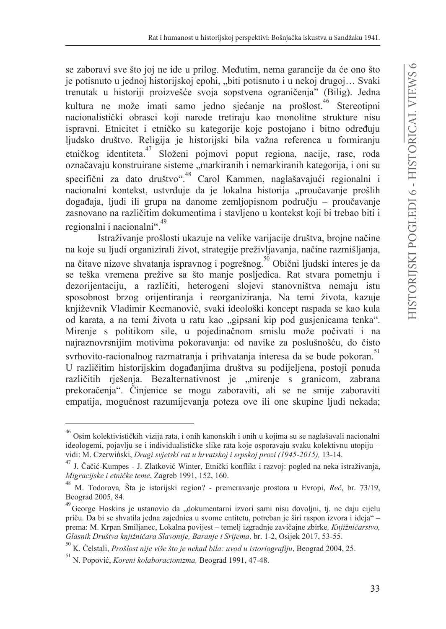se zaboravi sve što joj ne ide u prilog. Međutim, nema garancije da će ono što je potisnuto u jednoj historijskoj epohi, "biti potisnuto i u nekoj drugoj... Svaki trenutak u historiji proizvešće svoja sopstvena ograničenja" (Bilig). Jedna kultura ne može imati samo jedno sjećanje na prošlost.<sup>46</sup> Stereotipni nacionalistički obrasci koji narode tretiraju kao monolitne strukture nisu ispravni. Etnicitet i etničko su kategorije koje postojano i bitno određuju ljudsko društvo. Religija je historijski bila važna referenca u formiranju etničkog identiteta.<sup>47</sup> Složeni pojmovi poput regiona, nacije, rase, roda označavaju konstruirane sisteme "markiranih i nemarkiranih kategorija, i oni su specifični za dato društvo".<sup>48</sup> Carol Kammen, naglašavajući regionalni i nacionalni kontekst, ustvrđuje da je lokalna historija "proučavanje prošlih događaja, ljudi ili grupa na danome zemljopisnom području – proučavanje zasnovano na različitim dokumentima i stavljeno u kontekst koji bi trebao biti i regionalni i nacionalni".<sup>49</sup>

Istraživanje prošlosti ukazuje na velike varijacije društva, brojne načine na koje su ljudi organizirali život, strategije preživljavanja, načine razmišljanja, na čitave nizove shvatanja ispravnog i pogrešnog.<sup>50</sup> Obični ljudski interes je da se teška vremena prežive sa što manje posljedica. Rat stvara pometnju i dezorijentaciju, a različiti, heterogeni slojevi stanovništva nemaju istu sposobnost brzog orijentiranja i reorganiziranja. Na temi života, kazuje književnik Vladimir Kecmanović, svaki ideološki koncept raspada se kao kula od karata, a na temi života u ratu kao "gipsani kip pod gusjenicama tenka". Mirenje s politikom sile, u pojedinačnom smislu može počivati i na najraznovrsnijim motivima pokoravanja: od navike za poslušnošću, do čisto svrhovito-racionalnog razmatranja i prihvatanja interesa da se bude pokoran.<sup>51</sup> U različitim historijskim događanjima društva su podijeljena, postoji ponuda različitih rješenja. Bezalternativnost je "mirenje s granicom, zabrana prekoračenja". Činjenice se mogu zaboraviti, ali se ne smije zaboraviti empatija, mogućnost razumijevanja poteza ove ili one skupine ljudi nekada;

 $^{46}$  Osim kolektivističkih vizija rata, i onih kanonskih i onih u kojima su se naglašavali nacionalni ideologemi, pojavlju se i individualističke slike rata koje osporavaju svaku kolektivnu utopiju vidi: M. Czerwiński, Drugi svjetski rat u hrvatskoj i srpskoj prozi (1945-2015), 13-14.

 $^{47}$ J. Čačić-Kumpes - J. Zlatković Winter, Etnički konflikt i razvoj: pogled na neka istraživanja, Migracijske i etničke teme, Zagreb 1991, 152, 160.

<sup>&</sup>lt;sup>48</sup> M. Todorova, Šta je istorijski region? - premeravanje prostora u Evropi, Reč, br. 73/19, Beograd 2005, 84.

<sup>49</sup> George Hoskins je ustanovio da "dokumentarni izvori sami nisu dovoljni, tj. ne daju cijelu priču. Da bi se shvatila jedna zajednica u svome entitetu, potreban je širi raspon izvora i ideja" prema: M. Krpan Smiljanec, Lokalna povijest – temelj izgradnje zavičajne zbirke, Knjižničarstvo, Glasnik Društva knjižničara Slavonije. Baranje i Srijema, br. 1-2, Osijek 2017, 53-55.

 $^{50}$  K. Ćelstali, Prošlost nije više što je nekad bila: uvod u istoriografiju, Beograd 2004, 25.

<sup>&</sup>lt;sup>51</sup> N. Popović, Koreni kolaboracionizma, Beograd 1991, 47-48.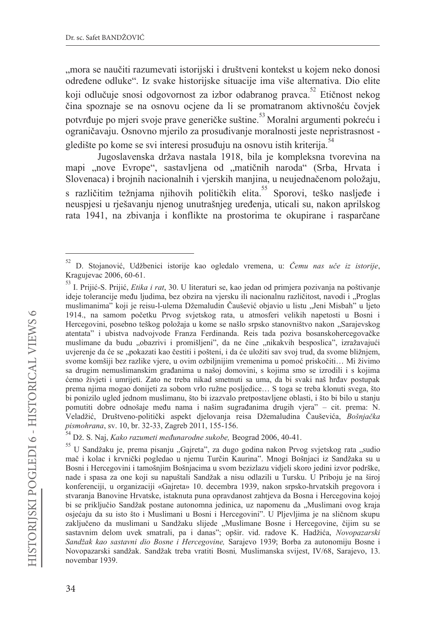"mora se naučiti razumevati istorijski i društveni kontekst u kojem neko donosi određene odluke". Iz svake historijske situacije ima više alternativa. Dio elite koji odlučuje snosi odgovornost za izbor odabranog pravca.<sup>52</sup> Etičnost nekog čina spoznaje se na osnovu ocjene da li se promatranom aktivnošću čovjek potvrđuje po mjeri svoje prave generičke suštine.<sup>53</sup> Moralni argumenti pokreću i ograničavaju. Osnovno mjerilo za prosuđivanje moralnosti jeste nepristrasnost gledište po kome se svi interesi prosuđuju na osnovu istih kriterija.<sup>54</sup>

Jugoslavenska država nastala 1918, bila je kompleksna tvorevina na mapi "nove Evrope", sastavljena od "matičnih naroda" (Srba, Hrvata i Slovenaca) i brojnih nacionalnih i vjerskih manjina, u neujednačenom položaju, s različitim težnjama njihovih političkih elita.<sup>55</sup> Sporovi, teško nasljeđe i neuspjesi u rješavanju njenog unutrašnjeg uređenja, uticali su, nakon aprilskog rata 1941, na zbivanja i konflikte na prostorima te okupirane i rasparčane

Dž. S. Naj, Kako razumeti međunarodne sukobe, Beograd 2006, 40-41.

D. Stojanović, Udžbenici istorije kao ogledalo vremena, u: Čemu nas uče iz istorije, Kragujevac 2006, 60-61.

<sup>53</sup> I. Prijić-S. Prijić, Etika i rat, 30. U literaturi se, kao jedan od primjera pozivanja na poštivanje ideje tolerancije među ljudima, bez obzira na vjersku ili nacionalnu različitost, navodi i "Proglas muslimanima" koji je reisu-l-ulema Džemaludin Čaušević objavio u listu "Jeni Misbah" u ljeto 1914., na samom početku Prvog svjetskog rata, u atmosferi velikih napetosti u Bosni i Hercegovini, posebno teškog položaja u kome se našlo srpsko stanovništvo nakon "Sarajevskog atentata" i ubistva nadvojvode Franza Ferdinanda. Reis tada poziva bosanskohercegovačke muslimane da budu "obazrivi i promišljeni", da ne čine "nikakvih besposlica", izražavajući uvjerenje da će se "pokazati kao čestiti i pošteni, i da će uložiti sav svoj trud, da svome bližnjem, svome komšiji bez razlike vjere, u ovim ozbiljnijim vremenima u pomoć priskočiti... Mi živimo sa drugim nemuslimanskim građanima u našoj domovini, s kojima smo se izrodili i s kojima ćemo živjeti i umrijeti. Zato ne treba nikad smetnuti sa uma, da bi svaki naš hrđav postupak prema njima mogao donijeti za sobom vrlo ružne posljedice... S toga se treba klonuti svega, što bi ponizilo ugled jednom muslimanu, što bi izazvalo pretpostavljene oblasti, i što bi bilo u stanju pomutiti dobre odnošaje među nama i našim sugrađanima drugih vjera" - cit. prema: N. Veladžić, Društveno-politički aspekt djelovanja reisa Džemaludina Čauševića, Bošnjačka pismohrana, sv. 10, br. 32-33, Zagreb 2011, 155-156.

<sup>55</sup> U Sandžaku je, prema pisanju "Gajreta", za dugo godina nakon Prvog svjetskog rata "sudio mač i kolac i krvnički pogledao u njemu Turčin Kaurina". Mnogi Bošnjaci iz Sandžaka su u Bosni i Hercegovini i tamošnjim Bošnjacima u svom bezizlazu vidjeli skoro jedini izvor podrške, nade i spasa za one koji su napuštali Sandžak a nisu odlazili u Tursku. U Priboju je na široj konferenciji, u organizaciji «Gajreta» 10. decembra 1939, nakon srpsko-hrvatskih pregovora i stvaranja Banovine Hrvatske, istaknuta puna opravdanost zahtjeva da Bosna i Hercegovina kojoj bi se priključio Sandžak postane autonomna jedinica, uz napomenu da "Muslimani ovog kraja osjećaju da su isto što i Muslimani u Bosni i Hercegovini". U Pljevljima je na sličnom skupu zaključeno da muslimani u Sandžaku slijede "Muslimane Bosne i Hercegovine, čijim su se sastavnim delom uvek smatrali, pa i danas"; opšir. vid. radove K. Hadžića, Novopazarski Sandžak kao sastavni dio Bosne i Hercegovine, Sarajevo 1939; Borba za autonomiju Bosne i Novopazarski sandžak. Sandžak treba vratiti Bosni, Muslimanska svijest, IV/68, Sarajevo, 13. novembar 1939.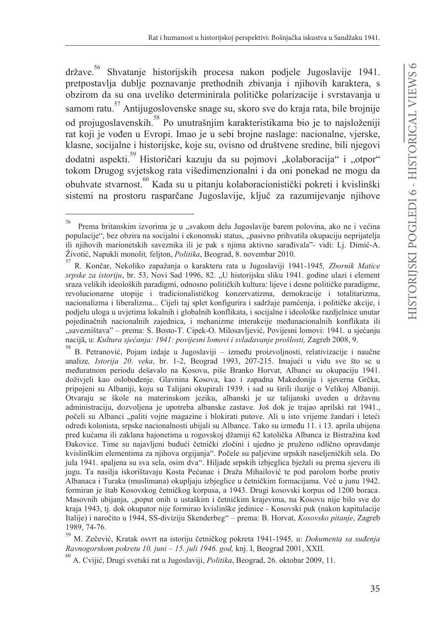$dr\check{z}$ ave. $56$ Shvatanje historijskih procesa nakon podjele Jugoslavije 1941. pretpostavlja dublje poznavanje prethodnih zbivanja i njihovih karaktera, s obzirom da su ona uveliko determinirala političke polarizacije i svrstavanja u samom ratu.<sup>57</sup> Antijugoslovenske snage su, skoro sve do kraja rata, bile brojnije od projugoslavenskih. <sup>58</sup> Po unutrašnjim karakteristikama bio je to najsloženiji rat koji je vođen u Evropi. Imao je u sebi brojne naslage: nacionalne, vjerske, klasne, socijalne i historijske, koje su, ovisno od društvene sredine, bili njegovi dodatni aspekti.<sup>59</sup> Historičari kazuju da su pojmovi "kolaboracija" i "otpor" tokom Drugog svjetskog rata višedimenzionalni i da oni ponekad ne mogu da obuhvate stvarnost.<sup>60</sup> Kada su u pitanju kolaboracionistički pokreti i kvislinški sistemi na prostoru rasparčane Jugoslavije, ključ za razumijevanje njihove

59 M. Zečević, Kratak osvrt na istoriju četničkog pokreta 1941-1945, u: Dokumenta sa suđenja Ravnogorskom pokretu 10. juni - 15. juli 1946. god, knj. I, Beograd 2001, XXII.

 $^{60}$  A. Cvijić, Drugi svetski rat u Jugoslaviji, Politika, Beograd, 26. oktobar 2009, 11.

<sup>56</sup> Prema britanskim izvorima je u "svakom delu Jugoslavije barem polovina, ako ne i većina populacije", bez obzira na socijalni i ekonomski status, "pasivno prihvatila okupaciju neprijatelja ili njihovih marionetskih saveznika ili je pak s njima aktivno sarađivala"- vidi: Lj. Dimić-A. Životić, Napukli monolit, feljton, Politika, Beograd, 8. novembar 2010.

<sup>57</sup> R. Končar, Nekoliko zapažanja o karakteru rata u Jugoslaviji 1941-1945, Zbornik Matice srpske za istoriju, br. 53, Novi Sad 1996, 82. "U historijsku sliku 1941. godine ulazi i element sraza velikih ideoloških paradigmi, odnosno političkih kultura: lijeve i desne političke paradigme, revolucionarne utopije i tradicionalističkog konzervatizma, demokracije i totalitarizma, nacionalizma i liberalizma... Cijeli taj splet konfigurira i sadržaje pamćenja, i političke akcije, i podjelu uloga u uvjetima lokalnih i globalnih konflikata, i socijalne i ideološke razdjelnice unutar pojedinačnih nacionalnih zajednica, i mehanizme interakcije međunacionalnih konflikata ili "savezništava" – prema: S. Bosto-T. Cipek-O. Milosavljević, Povijesni lomovi: 1941. u sjećanju nacijā, u: Kultura sjećanja: 1941: povijesni lomovi i svladavanje prošlosti, Zagreb 2008, 9.

B. Petranović, Pojam izdaje u Jugoslaviji – između proizvoljnosti, relativizacije i naučne analize, Istorija 20. veka, br. 1-2, Beograd 1993, 207-215. Imajući u vidu sve što se u međuratnom periodu dešavalo na Kosovu, piše Branko Horvat, Albanci su okupaciju 1941. doživjeli kao oslobođenje. Glavnina Kosova, kao i zapadna Makedonija i sjeverna Grčka, pripojeni su Albaniji, koju su Talijani okupirali 1939. i sad su širili iluzije o Velikoj Albaniji. Otvaraju se škole na materinskom jeziku, albanski je uz talijanski uveden u državnu administraciju, dozvoljena je upotreba albanske zastave. Još dok je trajao aprilski rat 1941., počeli su Albanci "paliti vojne magazine i blokirati putove. Ali u isto vrijeme žandari i leteći odredi kolonista, srpske nacionalnosti ubijali su Albance. Tako su između 11. i 13. aprila ubijena pred kućama ili zaklana bajonetima u rogovskoj džamiji 62 katolička Albanca iz Bistražina kod Đakovice. Time su najavljeni budući četnički zločini i ujedno je pruženo odlično opravdanje kvislinškim elementima za njihova orgijanja". Počele su paljevine srpskih naseljeničkih sela. Do jula 1941. spaljena su sva sela, osim dva". Hiljade srpskih izbjeglica bježali su prema sjeveru ili jugu. Ta nasilja iskorištavaju Kosta Pećanac i Draža Mihailović te pod parolom borbe protiv Albanaca i Turaka (muslimana) okupljaju izbjeglice u četničkim formacijama. Već u junu 1942. formiran je štab Kosovskog četničkog korpusa, a 1943. Drugi kosovski korpus od 1200 boraca. Masovnih ubijanja, "poput onih u ustaškim i četničkim krajevima, na Kosovu nije bilo sve do kraja 1943, tj. dok okupator nije formirao kvislinške jedinice - Kosovski puk (nakon kapitulacije Italije) i naročito u 1944, SS-diviziju Skenderbeg" – prema: B. Horvat, Kosovsko pitanje, Zagreb 1989, 74-76.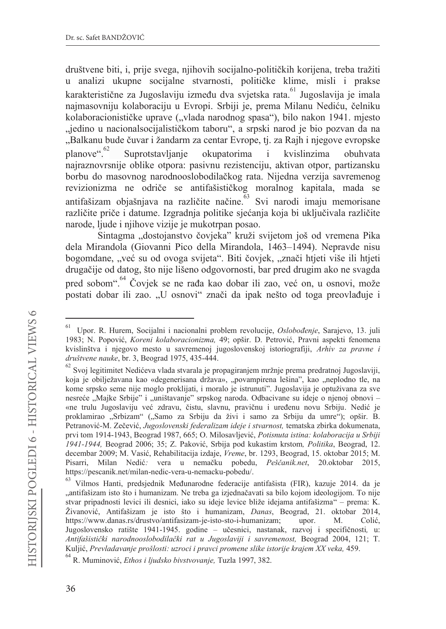društvene biti, i, prije svega, njihovih socijalno-političkih korijena, treba tražiti u analizi ukupne socijalne stvarnosti, političke klime, misli i prakse karakteristične za Jugoslaviju između dva svjetska rata. <sup>61</sup> Jugoslavija je imala najmasovniju kolaboraciju u Evropi. Srbiji je, prema Milanu Nediću, čelniku kolaboracionističke uprave ("vlada narodnog spasa"), bilo nakon 1941. mjesto "jedino u nacionalsocijalističkom taboru", a srpski narod je bio pozvan da na "Balkanu bude čuvar i žandarm za centar Evrope, ti, za Raih i njegove evropske planove".<sup>62</sup> Suprotstavljanje okupatorima  $\mathbf{i}$ kvislinzima obuhvata najraznovrsnije oblike otpora: pasivnu rezistenciju, aktivan otpor, partizansku borbu do masovnog narodnooslobodilačkog rata. Nijedna verzija savremenog revizionizma ne odriče se antifašističkog moralnog kapitala, mada se antifašizam objašnjava na različite načine. Svi narodi imaju memorisane različite priče i datume. Izgradnja politike sjećanja koja bi uključivala različite narode, ljude i njihove vizije je mukotrpan posao.

Sintagma "dostojanstvo čovjeka" kruži svijetom još od vremena Pika dela Mirandola (Giovanni Pico della Mirandola, 1463-1494). Nepravde nisu bogomdane, "već su od ovoga svijeta". Biti čovjek, "znači htjeti više ili htjeti drugačije od datog, što nije lišeno odgovornosti, bar pred drugim ako ne svagda pred sobom".<sup>64</sup> Čovjek se ne rađa kao dobar ili zao, već on, u osnovi, može postati dobar ili zao. "U osnovi" znači da ipak nešto od toga preovlađuje i

<sup>61</sup> Upor. R. Hurem, Socijalni i nacionalni problem revolucije, Oslobođenje, Sarajevo, 13. juli 1983; N. Popović, Koreni kolaboracionizma, 49; opšir. D. Petrović, Pravni aspekti fenomena kvislinštva i njegovo mesto u savremenoj jugoslovenskoj istoriografiji, Arhiv za pravne i društvene nauke, br. 3, Beograd 1975, 435-444.

 $^{62}$  Svoj legitimitet Nedićeva vlada stvarala je propagiranjem mržnje prema predratnoj Jugoslaviji, koja je obilježavana kao «degenerisana država», "povampirena lešina", kao "neplodno tle, na kome srpsko seme nije moglo proklijati, i moralo je istrunuti". Jugoslavija je optuživana za sve nesreće "Majke Srbije" i "uništavanje" srpskog naroda. Odbacivane su ideje o njenoj obnovi – «ne trulu Jugoslaviju već zdravu, čistu, slavnu, pravičnu i uređenu novu Srbiju. Nedić je proklamirao "Srbizam" ("Samo za Srbiju da živi i samo za Srbiju da umre"); opšir. B. Petranović-M. Zečević, Jugoslovenski federalizam ideje i stvarnost, tematska zbirka dokumenata, prvi tom 1914-1943, Beograd 1987, 665; O. Milosavljević, Potisnuta istina: kolaboracija u Srbiji 1941-1944, Beograd 2006; 35; Z. Paković, Srbija pod kukastim krstom, Politika, Beograd, 12. decembar 2009; M. Vasić, Rehabilitacija izdaje, Vreme, br. 1293, Beograd, 15. oktobar 2015; M. Pisarri, Milan Nedić: vera u nemačku pobedu, Peščanik.net, 20.oktobar 2015, https://pescanik.net/milan-nedic-vera-u-nemacku-pobedu/.

<sup>63</sup> Vilmos Hanti, predsjednik Međunarodne federacije antifašista (FIR), kazuje 2014. da je "antifašizam isto što i humanizam. Ne treba ga izjednačavati sa bilo kojom ideologijom. To nije stvar pripadnosti levici ili desnici, iako su ideje levice bliže idejama antifašizma" – prema: K. Živanović, Antifašizam je isto što i humanizam, *Danas*, Beograd, 21. oktobar 2014, https://www.danas.rs/drustvo/antifasizam-je-isto-sto-i-humanizam; upor. M. Colić, Jugoslovensko ratište 1941-1945. godine – učesnici, nastanak, razvoj i specifičnosti, u: Antifašistički narodnooslobodilački rat u Jugoslaviji i savremenost, Beograd 2004, 121; T. Kuljić, Prevladavanje prošlosti: uzroci i pravci promene slike istorije krajem XX veka, 459.

<sup>&</sup>lt;sup>64</sup> R. Muminović, Ethos i ljudsko bivstvovanje, Tuzla 1997, 382.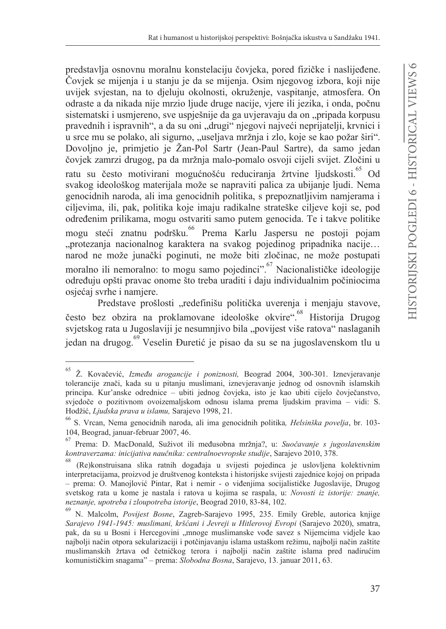predstavlja osnovnu moralnu konstelaciju čovjeka, pored fizičke i naslijeđene. Čovjek se mijenja i u stanju je da se mijenja. Osim njegovog izbora, koji nije uvijek svjestan, na to djeluju okolnosti, okruženje, vaspitanje, atmosfera. On odraste a da nikada nije mrzio ljude druge nacije, vjere ili jezika, i onda, počnu sistematski i usmiereno, sve uspješnije da ga uvjeravaju da on "pripada korpusu pravednih i ispravnih", a da su oni "drugi" njegovi najveći neprijatelji, krvnici i u srce mu se polako, ali sigurno, "useljava mržnja i zlo, koje se kao požar širi". Dovolino je, primjetio je Žan-Pol Sartr (Jean-Paul Sartre), da samo jedan čovjek zamrzi drugog, pa da mržnja malo-pomalo osvoji cijeli svijet. Zločini u ratu su često motivirani mogućnošću reduciranja žrtvine ljudskosti.<sup>65</sup> Od svakog ideološkog materijala može se napraviti palica za ubijanje ljudi. Nema genocidnih naroda, ali ima genocidnih politika, s prepoznatljivim namjerama i ciljevima, ili, pak, politika koje imaju radikalne strateške ciljeve koji se, pod određenim prilikama, mogu ostvariti samo putem genocida. Te i takve politike mogu steći znatnu podršku. <sup>66</sup> Prema Karlu Jaspersu ne postoji pojam "protezanja nacionalnog karaktera na svakog pojedinog pripadnika nacije... narod ne može junački poginuti, ne može biti zločinac, ne može postupati moralno ili nemoralno: to mogu samo pojedinci". <sup>67</sup> Nacionalističke ideologije određuju opšti pravac onome što treba uraditi i daju individualnim počiniocima osjećaj svrhe i namjere.

Predstave prošlosti "redefinišu politička uverenja i menjaju stavove, često bez obzira na proklamovane ideološke okvire". Historija Drugog svjetskog rata u Jugoslaviji je nesumnjivo bila "povijest više ratova" naslaganih iedan na drugog.<sup>69</sup> Veselin Đuretić je pisao da su se na jugoslavenskom tlu u

<sup>65</sup> Ž. Kovačević, *Između arogancije i poniznosti*, Beograd 2004, 300-301. Iznevjeravanje tolerancije znači, kada su u pitanju muslimani, iznevjeravanje jednog od osnovnih islamskih principa. Kur'anske odrednice – ubiti jednog čovjeka, isto je kao ubiti cijelo čovječanstvo, svjedoče o pozitivnom ovoizemaljskom odnosu islama prema ljudskim pravima - vidi: S. Hodžić, Ljudska prava u islamu, Sarajevo 1998, 21.

<sup>&</sup>lt;sup>66</sup> S. Vrcan, Nema genocidnih naroda, ali ima genocidnih politika, Helsinška povelja, br. 103-104, Beograd, januar-februar 2007, 46.

 $^{67}$  Prema: D. MacDonald, Suživot ili međusobna mržnja?, u: Suočavanje s jugoslavenskim kontraverzama: inicijativa naučnika: centralnoevropske studije, Sarajevo 2010, 378.

<sup>(</sup>Re)konstruisana slika ratnih događaja u svijesti pojedinca je uslovljena kolektivnim interpretacijama, proizvod je društvenog konteksta i historijske svijesti zajednice kojoj on pripada - prema: O. Manojlović Pintar, Rat i nemir - o viđenjima socijalističke Jugoslavije, Drugog svetskog rata u kome je nastala i ratova u kojima se raspala, u: Novosti iz istorije: znanje, neznanje, upotreba i zloupotreba istorije, Beograd 2010, 83-84, 102.

<sup>69</sup> N. Malcolm, Povijest Bosne, Zagreb-Sarajevo 1995, 235. Emily Greble, autorica knjige Sarajevo 1941-1945: muslimani, kršćani i Jevreji u Hitlerovoj Evropi (Sarajevo 2020), smatra, pak, da su u Bosni i Hercegovini "mnoge muslimanske vođe savez s Nijemcima vidjele kao najbolji način otpora sekularizaciji i potčinjavanju islama ustaškom režimu, najbolji način zaštite muslimanskih žrtava od četničkog terora i najbolji način zaštite islama pred nadirućim komunističkim snagama" - prema: Slobodna Bosna, Sarajevo, 13. januar 2011, 63.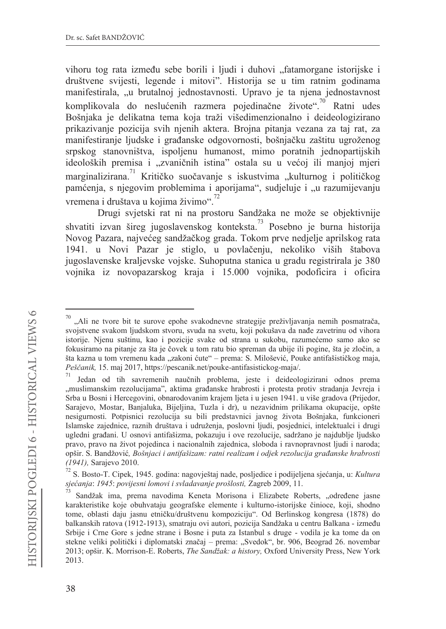vihoru tog rata između sebe borili i ljudi i duhovi "fatamorgane istorijske i društvene svijesti, legende i mitovi". Historija se u tim ratnim godinama manifestirala, "u brutalnoj jednostavnosti. Upravo je ta njena jednostavnost komplikovala do neslućenih razmera pojedinačne živote".<sup>70</sup> Ratni udes Bošnjaka je delikatna tema koja traži višedimenzionalno i deideologizirano prikazivanje pozicija svih njenih aktera. Brojna pitanja vezana za taj rat, za manifestiranie liudske i građanske odgovornosti, bošniačku zaštitu ugroženog srpskog stanovništva, ispoljenu humanost, mimo poratnih jednopartijskih ideoloških premisa i "zvaničnih istina" ostala su u većoj ili manjoj mjeri marginalizirana.<sup>71</sup> Kritičko suočavanje s iskustvima "kulturnog i političkog pamćenja, s njegovim problemima i aporijama", sudjeluje i "u razumijevanju vremena i društava u kojima živimo".<sup>72</sup>

Drugi svjetski rat ni na prostoru Sandžaka ne može se objektivnije shvatiti izvan šireg jugoslavenskog konteksta.<sup>73</sup> Posebno je burna historija Novog Pazara, najvećeg sandžačkog grada. Tokom prve nedjelje aprilskog rata 1941. u Novi Pazar je stiglo, u povlačenju, nekoliko viših štabova jugoslavenske kraljevske vojske. Suhoputna stanica u gradu registrirala je 380 vojnika iz novopazarskog kraja i 15.000 vojnika, podoficira i oficira

<sup>&</sup>quot;Ali ne tvore bit te surove epohe svakodnevne strategije preživljavanja nemih posmatrača, svojstvene svakom ljudskom stvoru, svuda na svetu, koji pokušava da nađe zavetrinu od vihora istorije. Njenu suštinu, kao i pozicije svake od strana u sukobu, razumećemo samo ako se fokusiramo na pitanje za šta je čovek u tom ratu bio spreman da ubije ili pogine, šta je zločin, a šta kazna u tom vremenu kada "zakoni ćute" – prema: S. Milošević, Pouke antifašističkog maja, Peščanik, 15. maj 2017, https://pescanik.net/pouke-antifasistickog-maja/.

Jedan od tih savremenih naučnih problema, jeste i deideologizirani odnos prema "muslimanskim rezolucijama", aktima građanske hrabrosti i protesta protiv stradanja Jevreja i Srba u Bosni i Hercegovini, obnarodovanim krajem ljeta i u jesen 1941. u više gradova (Prijedor, Sarajevo, Mostar, Banjaluka, Bijeljina, Tuzla i dr), u nezavidnim prilikama okupacije, opšte nesigurnosti. Potpisnici rezolucija su bili predstavnici javnog života Bošnjaka, funkcioneri Islamske zajednice, raznih društava i udruženja, poslovni ljudi, posjednici, intelektualci i drugi ugledni građani. U osnovi antifašizma, pokazuju i ove rezolucije, sadržano je najdublje ljudsko pravo, pravo na život pojedinca i nacionalnih zajednica, sloboda i ravnopravnost ljudi i naroda; opšir. S. Bandžović, Bošnjaci i antifašizam: ratni realizam i odjek rezolucija građanske hrabrosti (1941), Sarajevo 2010.

S. Bosto-T. Cipek, 1945. godina: nagovještaj nade, posljedice i podijeljena sjećanja, u: Kultura sjećanja: 1945: povijesni lomovi i svladavanje prošlosti, Zagreb 2009, 11.

Sandžak ima, prema navodima Keneta Morisona i Elizabete Roberts, "određene jasne karakteristike koje obuhvataju geografske elemente i kulturno-istorijske činioce, koji, shodno tome, oblasti daju jasnu etničku/društvenu kompoziciju". Od Berlinskog kongresa (1878) do balkanskih ratova (1912-1913), smatraju ovi autori, pozicija Sandžaka u centru Balkana - između Srbije i Crne Gore s jedne strane i Bosne i puta za Istanbul s druge - vodila je ka tome da on stekne veliki politički i diplomatski značaj – prema: "Svedok", br. 906, Beograd 26. novembar 2013; opšir. K. Morrison-E. Roberts, *The Sandžak: a history*, Oxford University Press, New York 2013.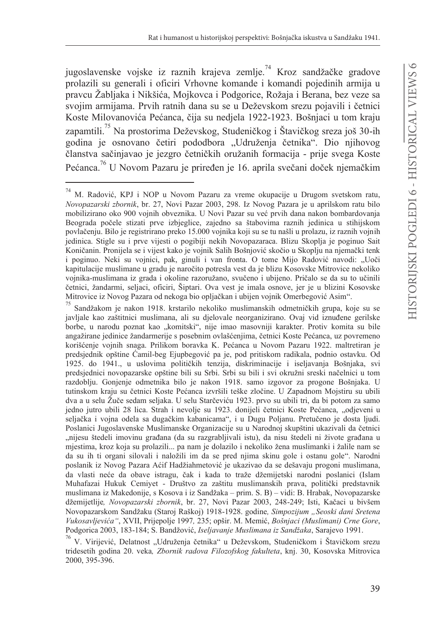jugoslavenske vojske iz raznih krajeva zemlje.<sup>74</sup> Kroz sandžačke gradove prolazili su generali i oficiri Vrhovne komande i komandi pojedinih armija u pravcu Žabljaka i Nikšića, Mojkovca i Podgorice, Rožaja i Berana, bez veze sa svojim armijama. Prvih ratnih dana su se u Deževskom srezu pojavili i četnici Koste Milovanovića Pećanca, čija su nedjela 1922-1923. Bošnjaci u tom kraju zapamtili.<sup>75</sup> Na prostorima Deževskog, Studeničkog i Štavičkog sreza još 30-ih godina je osnovano četiri pododbora "Udruženja četnika". Dio njihovog članstva sačinjavao je jezgro četničkih oružanih formacija - prije svega Koste Pećanca.<sup>76</sup> U Novom Pazaru je priređen je 16. aprila svečani doček njemačkim

<sup>74</sup> M. Radović, KPJ i NOP u Novom Pazaru za vreme okupacije u Drugom svetskom ratu, Novopazarski zbornik, br. 27, Novi Pazar 2003, 298. Iz Novog Pazara je u aprilskom ratu bilo mobilizirano oko 900 vojnih obveznika. U Novi Pazar su već prvih dana nakon bombardovanja Beograda počele stizati prve izbjeglice, zajedno sa štabovima raznih jedinica u stihijskom povlačenju. Bilo je registrirano preko 15.000 vojnika koji su se tu našli u prolazu, iz raznih vojnih jedinica. Stigle su i prve vijesti o pogibiji nekih Novopazaraca. Blizu Skoplja je poginuo Sait Koničanin. Pronijela se i vijest kako je vojnik Salih Bošnjović skočio u Skoplju na njemački tenk i poginuo. Neki su vojnici, pak, ginuli i van fronta. O tome Mijo Radović navodi: "Uoči kapitulacije muslimane u gradu je naročito potresla vest da je blizu Kosovske Mitrovice nekoliko vojnika-muslimana iz grada i okoline razoružano, svučeno i ubijeno. Pričalo se da su to učinili četnici, žandarmi, seljaci, oficiri, Šiptari. Ova vest je imala osnove, jer je u blizini Kosovske Mitrovice iz Novog Pazara od nekoga bio opljačkan i ubijen vojnik Omerbegović Asim".

<sup>75</sup> Sandžakom je nakon 1918. krstarilo nekoliko muslimanskih odmetničkih grupa, koje su se javljale kao zaštitnici muslimana, ali su djelovale neorganizirano. Ovaj vid iznuđene gerilske borbe, u narodu poznat kao "komitski", nije imao masovniji karakter. Protiv komita su bile angažirane jedinice žandarmerije s posebnim ovlašćenjima, četnici Koste Pećanca, uz povremeno korišćenje vojnih snaga. Prilikom boravka K. Pećanca u Novom Pazaru 1922. maltretiran je predsjednik opštine Ćamil-beg Ejupbegović pa je, pod pritiskom radikala, podnio ostavku. Od 1925. do 1941., u uslovima političkih tenzija, diskriminacije i iseljavanja Bošnjaka, svi predsjednici novopazarske opštine bili su Srbi. Srbi su bili i svi okružni sreski načelnici u tom razdoblju. Gonjenje odmetnika bilo je nakon 1918. samo izgovor za progone Bošnjaka. U tutinskom kraju su četnici Koste Pećanca izvršili teške zločine. U Zapadnom Mojstiru su ubili dva a u selu Žuče sedam seljaka. U selu Starčeviću 1923. prvo su ubili tri, da bi potom za samo jedno jutro ubili 28 lica. Strah i nevolje su 1923. donijeli četnici Koste Pećanca, "odjeveni u seljačka i vojna odela sa dugačkim kabanicama", i u Dugu Poljanu. Pretučeno je dosta ljudi. Poslanici Jugoslavenske Muslimanske Organizacije su u Narodnoj skupštini ukazivali da četnici "nijesu štedeli imovinu građana (da su razgrabljivali istu), da nisu štedeli ni živote građana u mjestima, kroz koja su prolazili... pa nam je dolazilo i nekoliko žena muslimanki i žalile nam se da su ih ti organi silovali i naložili im da se pred njima skinu gole i ostanu gole". Narodni poslanik iz Novog Pazara Aćif Hadžiahmetović je ukazivao da se dešavaju progoni muslimana, da vlasti neće da obave istragu, čak i kada to traže džemijetski narodni poslanici (Islam Muhafazai Hukuk Cemiyet - Društvo za zaštitu muslimanskih prava, politički predstavnik muslimana iz Makedonije, s Kosova i iz Sandžaka - prim. S. B) - vidi: B. Hrabak, Novopazarske džemijetlije, Novopazarski zbornik, br. 27, Novi Pazar 2003, 248-249; Isti, Kačaci u bivšem Novopazarskom Sandžaku (Staroj Raškoj) 1918-1928. godine, Simpozijum "Seoski dani Sretena Vukosavljevića", XVII, Prijepolje 1997, 235; opšir. M. Memić, Bošnjaci (Muslimani) Crne Gore, Podgorica 2003, 183-184; S. Bandžović, Iseljavanje Muslimana iz Sandžaka, Sarajevo 1991.

<sup>&</sup>lt;sup>76</sup> V. Virijević, Delatnost "Udruženja četnika" u Deževskom, Studeničkom i Štavičkom srezu tridesetih godina 20. veka, Zbornik radova Filozofskog fakulteta, knj. 30, Kosovska Mitrovica 2000, 395-396.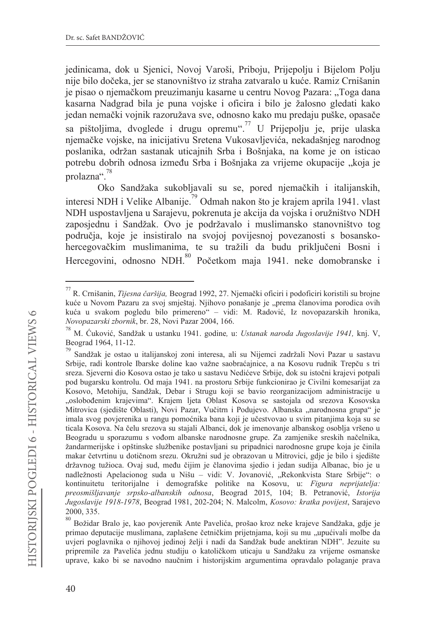jedinicama, dok u Sjenici, Novoj Varoši, Priboju, Prijepolju i Bijelom Polju nije bilo dočeka, jer se stanovništvo iz straha zatvaralo u kuće. Ramiz Crnišanin je pisao o njemačkom preuzimanju kasarne u centru Novog Pazara: "Toga dana kasarna Nadgrad bila je puna vojske i oficira i bilo je žalosno gledati kako jedan nemački vojnik razoružava sve, odnosno kako mu predaju puške, opasače sa pištoljima, dvoglede i drugu opremu".<sup>77</sup> U Prijepolju je, prije ulaska niemačke vojske, na inicijativu Sretena Vukosavljevića, nekadašnjeg narodnog poslanika, održan sastanak uticajnih Srba i Bošnjaka, na kome je on isticao potrebu dobrih odnosa između Srba i Bošnjaka za vrijeme okupacije "koja je prolazna".<sup>78</sup>

Oko Sandžaka sukobljavali su se, pored njemačkih i italijanskih, interesi NDH i Velike Albanije.<sup>79</sup> Odmah nakon što je krajem aprila 1941. vlast NDH uspostavljena u Sarajevu, pokrenuta je akcija da vojska i oružništvo NDH zaposiednu i Sandžak. Ovo je podržavalo i muslimansko stanovništvo tog područja, koje je insistiralo na svojoj povijesnoj povezanosti s bosanskohercegovačkim muslimanima, te su tražili da budu priključeni Bosni i Hercegovini, odnosno NDH.<sup>80</sup> Početkom maja 1941. neke domobranske i

<sup>&</sup>lt;sup>77</sup> R. Crnišanin, *Tijesna čaršija*, Beograd 1992, 27. Njemački oficiri i podoficiri koristili su brojne kuće u Novom Pazaru za svoj smještaj. Njihovo ponašanje je "prema članovima porodica ovih kuća u svakom pogledu bilo primereno" – vidi: M. Radović, Iz novopazarskih hronika, Novopazarski zbornik, br. 28, Novi Pazar 2004, 166.

<sup>78</sup> M. Ćuković, Sandžak u ustanku 1941. godine, u: Ustanak naroda Jugoslavije 1941, knj. V, Beograd 1964, 11-12.

<sup>79</sup> Sandžak je ostao u italijanskoj zoni interesa, ali su Nijemci zadržali Novi Pazar u sastavu Srbije, radi kontrole Ibarske doline kao važne saobraćajnice, a na Kosovu rudnik Trepču s tri sreza. Sjeverni dio Kosova ostao je tako u sastavu Nedićeve Srbije, dok su istočni krajevi potpali pod bugarsku kontrolu. Od maja 1941. na prostoru Srbije funkcionirao je Civilni komesarijat za Kosovo, Metohiju, Sandžak, Debar i Strugu koji se bavio reorganizacijom administracije u "oslobođenim krajevima". Krajem ljeta Oblast Kosova se sastojala od srezova Kosovska Mitrovica (sjedište Oblasti), Novi Pazar, Vučitrn i Podujevo. Albanska "narodnosna grupa" je imala svog povjerenika u rangu pomoćnika bana koji je učestvovao u svim pitanjima koja su se ticala Kosova. Na čelu srezova su stajali Albanci, dok je imenovanje albanskog osoblja vršeno u Beogradu u sporazumu s vođom albanske narodnosne grupe. Za zamjenike sreskih načelnika, žandarmerijske i opštinske službenike postavljani su pripadnici narodnosne grupe koja je činila makar četvrtinu u dotičnom srezu. Okružni sud je obrazovan u Mitrovici, gdje je bilo i sjedište državnog tužioca. Ovaj sud, među čijim je članovima sjedio i jedan sudija Albanac, bio je u nadležnosti Apelacionog suda u Nišu - vidi: V. Jovanović, "Rekonkvista Stare Srbije": o kontinuitetu teritorijalne i demografske politike na Kosovu, u: Figura neprijatelja: preosmišljavanje srpsko-albanskih odnosa, Beograd 2015, 104; B. Petranović, Istorija Jugoslavije 1918-1978, Beograd 1981, 202-204; N. Malcolm, Kosovo: kratka povijest, Sarajevo 2000, 335.

Božidar Bralo je, kao povjerenik Ante Pavelića, prošao kroz neke krajeve Sandžaka, gdje je primao deputacije muslimana, zaplašene četničkim prijetnjama, koji su mu "upućivali molbe da uvjeri poglavnika o njihovoj jedinoj želji i nadi da Sandžak bude anektiran NDH". Jezuite su pripremile za Pavelića jednu studiju o katoličkom uticaju u Sandžaku za vrijeme osmanske uprave, kako bi se navodno naučnim i historijskim argumentima opravdalo polaganje prava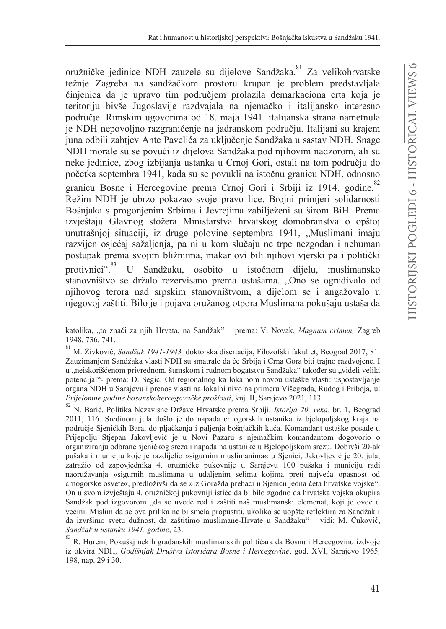oružničke jedinice NDH zauzele su dijelove Sandžaka.<sup>81</sup> Za velikohrvatske težnie Zagreba na sandžačkom prostoru krupan je problem predstavljala činjenica da je upravo tim područjem prolazila demarkaciona crta koja je teritoriju bivše Jugoslavije razdvajala na njemačko i italijansko interesno područje. Rimskim ugovorima od 18. maja 1941. italijanska strana nametnula je NDH nepovoljno razgraničenje na jadranskom području. Italijani su krajem juna odbili zahtiev Ante Pavelića za uključenje Sandžaka u sastav NDH. Snage NDH morale su se povući iz dijelova Sandžaka pod njihovim nadzorom, ali su neke jedinice, zbog izbijanja ustanka u Crnoj Gori, ostali na tom području do početka septembra 1941, kada su se povukli na istočnu granicu NDH, odnosno granicu Bosne i Hercegovine prema Crnoj Gori i Srbiji iz 1914. godine.<sup>82</sup> Režim NDH je ubrzo pokazao svoje pravo lice. Brojni primjeri solidarnosti Bošnjaka s progonjenim Srbima i Jevrejima zabilježeni su širom BiH. Prema izvještaju Glavnog stožera Ministarstva hrvatskog domobranstva o opštoj unutrašnjoj situaciji, iz druge polovine septembra 1941, "Muslimani imaju razvijen osjećaj sažaljenja, pa ni u kom slučaju ne trpe nezgodan i nehuman postupak prema svojim bližnjima, makar ovi bili njihovi vjerski pa i politički protivnici".<sup>83</sup> U Sandžaku, osobito u istočnom dijelu, muslimansko stanovništvo se držalo rezervisano prema ustašama. "Ono se ograđivalo od njihovog terora nad srpskim stanovništvom, a dijelom se i angažovalo u njegovoj zaštiti. Bilo je i pojava oružanog otpora Muslimana pokušaju ustaša da

katolika, "to znači za njih Hrvata, na Sandžak" – prema: V. Novak, Magnum crimen, Zagreb 1948, 736, 741.

 $^{81}$ M. Živković, Sandžak 1941-1943, doktorska disertacija, Filozofski fakultet, Beograd 2017, 81. Zauzimanjem Sandžaka vlasti NDH su smatrale da će Srbija i Crna Gora biti trajno razdvojene. I u "neiskorišćenom privrednom, šumskom i rudnom bogatstvu Sandžaka" također su "videli veliki potencijal"- prema: D. Segić, Od regionalnog ka lokalnom novou ustaške vlasti: uspostavljanje organa NDH u Sarajevu i prenos vlasti na lokalni nivo na primeru Višegrada, Rudog i Priboja, u: Prijelomne godine bosanskohercegovačke prošlosti, knj. II, Sarajevo 2021, 113.

N. Barić, Politika Nezavisne Države Hrvatske prema Srbiji, Istorija 20. veka, br. 1, Beograd 2011, 116. Sredinom jula došlo je do napada crnogorskih ustanika iz bjelopoljskog kraja na područje Sjeničkih Bara, do pljačkanja i paljenja bošnjačkih kuća. Komandant ustaške posade u Prijepolju Stjepan Jakovljević je u Novi Pazaru s njemačkim komandantom dogovorio o organiziranju odbrane sjeničkog sreza i napada na ustanike u Bjelopoljskom srezu. Dobivši 20-ak pušaka i municiju koje je razdijelio »sigurnim muslimanima« u Sjenici, Jakovljević je 20. jula, zatražio od zapovjednika 4. oružničke pukovnije u Sarajevu 100 pušaka i municiju radi naoružavanja »sigurnih muslimana u udaljenim selima kojima preti najveća opasnost od crnogorske osvete«, predloživši da se »iz Goražda prebaci u Sjenicu jedna četa hrvatske vojske". On u svom izvještaju 4. oružničkoj pukovniji ističe da bi bilo zgodno da hrvatska vojska okupira Sandžak pod izgovorom "da se uvede red i zaštiti naš muslimanski elemenat, koji je ovde u većini. Mislim da se ova prilika ne bi smela propustiti, ukoliko se uopšte reflektira za Sandžak i da izvršimo svetu dužnost, da zaštitimo muslimane-Hrvate u Sandžaku" - vidi: M. Čuković, Sandžak u ustanku 1941. godine, 23.

<sup>83</sup> R. Hurem, Pokušaj nekih građanskih muslimanskih političara da Bosnu i Hercegovinu izdvoje iz okvira NDH, Godišnjak Društva istoričara Bosne i Hercegovine, god. XVI, Sarajevo 1965, 198, nap. 29 i 30.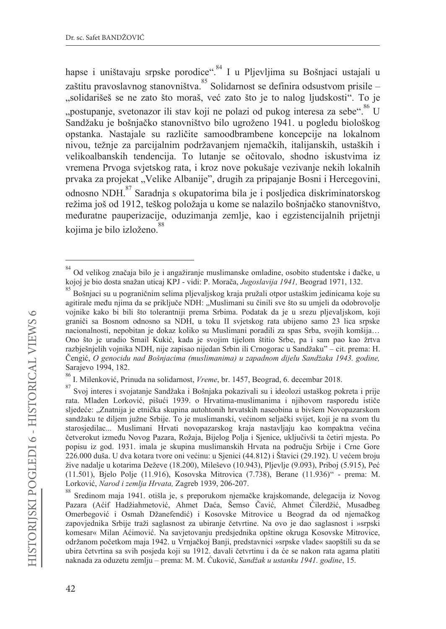hapse i uništavaju srpske porodice".<sup>84</sup> I u Pljevljima su Bošnjaci ustajali u zaštitu pravoslavnog stanovništva. Solidarnost se definira odsustvom prisile -"solidarišeš se ne zato što moraš, već zato što je to nalog ljudskosti". To je "postupanje, svetonazor ili stav koji ne polazi od pukog interesa za sebe".<sup>86</sup> U Sandžaku je bošnjačko stanovništvo bilo ugroženo 1941. u pogledu biološkog opstanka. Nastajale su različite samoodbrambene koncepcije na lokalnom nivou, težnje za parcijalnim podržavanjem njemačkih, italijanskih, ustaških i velikoalbanskih tendencija. To lutanje se očitovalo, shodno iskustvima iz vremena Prvoga svjetskog rata, i kroz nove pokušaje vezivanje nekih lokalnih prvaka za projekat "Velike Albanije", drugih za pripajanje Bosni i Hercegovini, odnosno NDH.<sup>87</sup> Saradnja s okupatorima bila je i posljedica diskriminatorskog režima još od 1912, teškog položaja u kome se nalazilo bošnjačko stanovništvo, međuratne pauperizacije, oduzimanja zemlje, kao i egzistencijalnih prijetnji kojima je bilo izloženo.<sup>88</sup>

Od velikog značaja bilo je i angažiranje muslimanske omladine, osobito studentske i đačke, u kojoj je bio dosta snažan uticaj KPJ - vidi: P. Morača, Jugoslavija 1941, Beograd 1971, 132.

<sup>85&</sup>lt;br>Bošniaci su u pograničnim selima pljevaljskog kraja pružali otpor ustaškim jedinicama koje su agitirale među njima da se priključe NDH: "Muslimani su činili sve što su umjeli da odobrovolje vojnike kako bi bili što tolerantniji prema Srbima. Podatak da je u srezu pljevaljskom, koji graniči sa Bosnom odnosno sa NDH, u toku II svjetskog rata ubijeno samo 23 lica srpske nacionalnosti, nepobitan je dokaz koliko su Muslimani poradili za spas Srba, svojih komšija... Ono što je uradio Smail Kukić, kada je svojim tijelom štitio Srbe, pa i sam pao kao žrtva razbješnjelih vojnika NDH, nije zapisao nijedan Srbin ili Crnogorac u Sandžaku" – cit. prema: H. Čengić, O genocidu nad Bošnjacima (muslimanima) u zapadnom dijelu Sandžaka 1943. godine, Sarajevo 1994, 182.

<sup>86</sup> I. Milenković, Prinuda na solidarnost, Vreme, br. 1457, Beograd, 6. decembar 2018.

<sup>87</sup> Svoj interes i svojatanje Sandžaka i Bošnjaka pokazivali su i ideolozi ustaškog pokreta i prije rata. Mladen Lorković, pišući 1939. o Hrvatima-muslimanima i njihovom rasporedu ističe sljedeće: "Znatnija je etnička skupina autohtonih hrvatskih naseobina u bivšem Novopazarskom sandžaku te diljem južne Srbije. To je muslimanski, većinom seljački svijet, koji je na svom tlu starosjedilac... Muslimani Hrvati novopazarskog kraja nastavljaju kao kompaktna većina četverokut između Novog Pazara, Rožaja, Bijelog Polja i Sjenice, uključivši ta četiri mjesta. Po popisu iz god. 1931. imala je skupina muslimanskih Hrvata na području Srbije i Crne Gore 226.000 duša. U dva kotara tvore oni većinu: u Sjenici (44.812) i Štavici (29.192). U većem broju žive nadalje u kotarima Deževe (18.200), Mileševo (10.943), Pljevlje (9.093), Priboj (5.915), Peć (11.501), Bjelo Polje (11.916), Kosovska Mitrovica (7.738), Berane (11.936)" - prema: M. Lorković, Narod i zemlja Hrvata, Zagreb 1939, 206-207.

<sup>88</sup> Sredinom maja 1941. otišla je, s preporukom njemačke krajskomande, delegacija iz Novog Pazara (Aćif Hadžiahmetović, Ahmet Daća, Šemso Čavić, Ahmet Ćilerdžić, Musadbeg Omerbegović i Osmah Džanefendić) i Kosovske Mitrovice u Beograd da od njemačkog zapovjednika Srbije traži saglasnost za ubiranje četvrtine. Na ovo je dao saglasnost i »srpski komesar« Milan Aćimović. Na savjetovanju predsjednika opštine okruga Kosovske Mitrovice, održanom početkom maja 1942. u Vrnjačkoj Banji, predstavnici »srpske vlade« saopštili su da se ubira četvrtina sa svih posjeda koji su 1912. davali četvrtinu i da će se nakon rata agama platiti naknada za oduzetu zemlju – prema: M. M. Ćuković, Sandžak u ustanku 1941. godine, 15.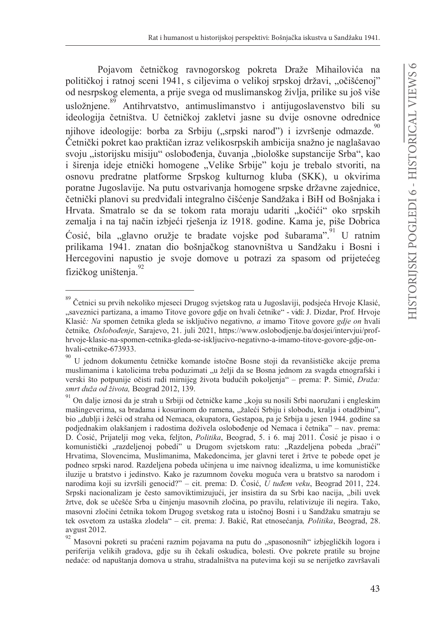Pojavom četničkog ravnogorskog pokreta Draže Mihailovića na političkoj i ratnoj sceni 1941, s ciljevima o velikoj srpskoj državi, "očišćenoj" od nesrpskog elementa, a prije svega od muslimanskog življa, prilike su još više usložniene. Antihrvatstvo, antimuslimanstvo i antijugoslavenstvo bili su ideologija četništva. U četničkoj zakletvi jasne su dvije osnovne odrednice njihove ideologije: borba za Srbiju ("srpski narod") i izvršenje odmazde.<sup>90</sup> Četnički pokret kao praktičan izraz velikosrpskih ambicija snažno je naglašavao svoju "istorijsku misiju" oslobođenja, čuvanja "biološke supstancije Srba", kao i širenja ideje etnički homogene "Velike Srbije" koju je trebalo stvoriti, na osnovu predratne platforme Srpskog kulturnog kluba (SKK), u okvirima poratne Jugoslavije. Na putu ostvarivanja homogene srpske državne zajednice, četnički planovi su predviđali integralno čišćenje Sandžaka i BiH od Bošnjaka i Hrvata. Smatralo se da se tokom rata moraju udariti "kočići" oko srpskih zemalja i na taj način izbjeći rješenja iz 1918. godine. Kama je, piše Dobrica Ćosić, bila "glavno oružje te bradate vojske pod šubarama".<sup>91</sup> U ratnim prilikama 1941. znatan dio bošnjačkog stanovništva u Sandžaku i Bosni i Hercegovini napustio je svoje domove u potrazi za spasom od prijetećeg fizičkog uništenia.<sup>92</sup>

<sup>89</sup> Četnici su prvih nekoliko mjeseci Drugog svjetskog rata u Jugoslaviji, podsjeća Hrvoje Klasić, "saveznici partizana, a imamo Titove govore gdje on hvali četnike" - vidi: J. Dizdar, Prof. Hrvoje Klasić: Na spomen četnika gleda se isključivo negativno, a imamo Titove govore gdje on hvali četnike, Oslobođenje, Sarajevo, 21. juli 2021, https://www.oslobodjenje.ba/dosjei/intervjui/profhrvoje-klasic-na-spomen-cetnika-gleda-se-iskljucivo-negativno-a-imamo-titove-govore-gdje-onhvali-cetnike-673933.

<sup>90</sup> U jednom dokumentu četničke komande istočne Bosne stoji da revanšističke akcije prema muslimanima i katolicima treba poduzimati "u želji da se Bosna jednom za svagda etnografski i verski što potpunije očisti radi mirnijeg života budućih pokoljenja" – prema: P. Simić, Draža: smrt duža od života, Beograd 2012, 139.

<sup>91</sup> On dalje iznosi da je strah u Srbiji od četničke kame "koju su nosili Srbi naoružani i engleskim mašingeverima, sa bradama i kosurinom do ramena, "žaleći Srbiju i slobodu, kralja i otadžbinu", bio "dublji i žešći od straha od Nemaca, okupatora, Gestapoa, pa je Srbija u jesen 1944. godine sa podjednakim olakšanjem i radostima doživela oslobođenje od Nemaca i četnika" – nav. prema: D. Ćosić, Prijatelji mog veka, feljton, *Politika*, Beograd, 5. i 6. maj 2011. Ćosić je pisao i o komunistički "razdeljenoj pobedi" u Drugom svjetskom ratu: "Razdeljena pobeda "braći" Hrvatima, Slovencima, Muslimanima, Makedoncima, jer glavni teret i žrtve te pobede opet je podneo srpski narod. Razdeljena pobeda učinjena u ime najvnog idealizma, u ime komunističke iluzije u bratstvo i jedinstvo. Kako je razumnom čoveku moguća vera u bratstvo sa narodom i narodima koji su izvršili genocid?" – cit. prema: D. Ćosić, U tuđem veku, Beograd 2011, 224. Srpski nacionalizam je često samoviktimizujući, jer insistira da su Srbi kao nacija, "bili uvek žrtve, dok se učešće Srba u činjenju masovnih zločina, po pravilu, relativizuje ili negira. Tako, masovni zločini četnika tokom Drugog svetskog rata u istočnoj Bosni i u Sandžaku smatraju se tek osvetom za ustaška zlodela" – cit. prema: J. Bakić, Rat etnosećanja, Politika, Beograd, 28. avgust 2012.

<sup>92&</sup>lt;br>Masovni pokreti su praćeni raznim pojavama na putu do "spasonosnih" izbjegličkih logora i periferija velikih gradova, gdje su ih čekali oskudica, bolesti. Ove pokrete pratile su brojne nedaće: od napuštanja domova u strahu, stradalništva na putevima koji su se nerijetko završavali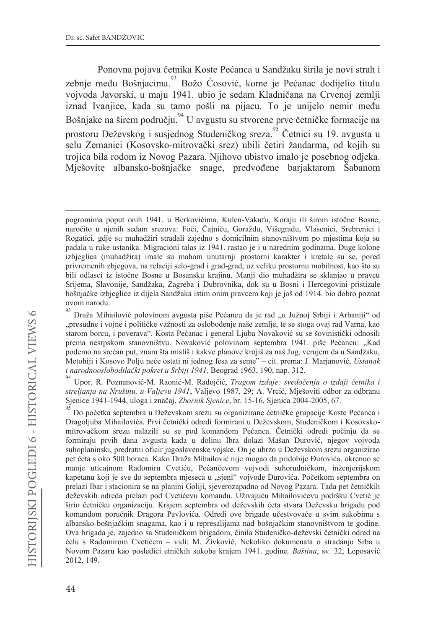Ponovna pojava četnika Koste Pećanca u Sandžaku širila je novi strah i zebnje među Bošnjacima.<sup>93</sup> Božo Ćosović, kome je Pećanac dodijelio titulu vojvoda Javorski, u maju 1941. ubio je sedam Kladničana na Crvenoj zemlji iznad Ivanjice, kada su tamo pošli na pijacu. To je unijelo nemir među Bošnjake na širem području. <sup>94</sup> U avgustu su stvorene prve četničke formacije na prostoru Deževskog i susjednog Studeničkog sreza. Četnici su 19. avgusta u selu Zemanici (Kosovsko-mitrovački srez) ubili četiri žandarma, od kojih su trojica bila rodom iz Novog Pazara. Njihovo ubistvo imalo je posebnog odjeka. Mješovite albansko-bošnjačke snage, predvođene barjaktarom Šabanom

Upor. R. Poznanović-M. Raonić-M. Radojčić, Tragom izdaje: svedočenja o izdaji četnika i streljanja na Nrušinu, u Valjevu 1941, Valjevo 1987, 29; A. Vrcić, Mješoviti odbor za odbranu Sjenice 1941-1944, uloga i značaj, Zbornik Sjenice, br. 15-16, Sjenica 2004-2005, 67.

pogromima poput onih 1941. u Berkovićima, Kulen-Vakufu, Koraju ili širom istočne Bosne, naročito u njenih sedam srezova: Foči, Čajniču, Goraždu, Višegradu, Vlasenici, Srebrenici i Rogatici, gdje su muhadžiri stradali zajedno s domicilnim stanovništvom po mjestima koja su padala u ruke ustanika. Migracioni talas iz 1941. rastao je i u narednim godinama. Duge kolone izbjeglica (muhadžira) imale su mahom unutarnji prostorni karakter i kretale su se, pored privremenih zbjegova, na relaciji selo-grad i grad-grad, uz veliku prostornu mobilnost, kao što su bili odlasci iz istočne Bosne u Bosansku krajinu. Manji dio muhadžira se sklanjao u pravcu Srijema, Slavonije, Sandžaka, Zagreba i Dubrovnika, dok su u Bosni i Hercegovini pristizale bošnjačke izbjeglice iz dijela Sandžaka istim onim pravcem koji je još od 1914. bio dobro poznat ovom narodu.

Draža Mihailović polovinom avgusta piše Pećancu da je rad "u Južnoj Srbiji i Arbaniji" od "presudne i vojne i političke važnosti za oslobodenje naše zemlje, te se stoga ovaj rad Varna, kao starom borcu, i poverava". Kosta Pećanac i general Ljuba Novaković su se šovinistički odnosili prema nesrpskom stanovništvu. Novaković polovinom septembra 1941. piše Pećancu: "Kad pođemo na srećan put, znam šta misliš i kakve planove krojiš za naš Jug, verujem da u Sandžaku, Metohiji i Kosovo Polju neće ostati ni jednog fesa za seme" - cit. prema: J. Marjanović, Ustanak i narodnooslobodilački pokret u Srbiji 1941, Beograd 1963, 190, nap. 312.

Do početka septembra u Deževskom srezu su organizirane četničke grupacije Koste Pećanca i Dragoljuba Mihailovića. Prvi četnički odredi formirani u Deževskom, Studeničkom i Kosovskomitrovačkom srezu nalazili su se pod komandom Pećanca. Četnički odredi počinju da se formiraju prvih dana avgusta kada u dolinu Ibra dolazi Mašan Đurović, njegov vojvoda suhoplaninski, predratni oficir jugoslavenske vojske. On je ubrzo u Deževskom srezu organizirao pet četa s oko 500 boraca. Kako Draža Mihailović nije mogao da pridobije Đurovića, okrenuo se manje uticajnom Radomiru Cvetiću, Pećančevom vojvodi suhorudničkom, inženjerijskom kapetanu koji je sve do septembra mjeseca u "sjeni" vojvode Đurovića. Početkom septembra on prelazi Ibar i stacionira se na planini Goliji, sjeverozapadno od Novog Pazara. Tada pet četničkih deževskih odreda prelazi pod Cvetićevu komandu. Uživajuću Mihailovićevu podršku Cvetić je širio četničku organizaciju. Krajem septembra od deževskih četa stvara Deževsku brigadu pod komandom poručnik Dragora Pavlovića. Odredi ove brigade učestvovaće u svim sukobima s albansko-bošnjačkim snagama, kao i u represalijama nad bošnjačkim stanovništvom te godine. Ova brigada je, zajedno sa Studeničkom brigadom, činila Studeničko-deževski četnički odred na čelu s Radomirom Cvetićem – vidi: M. Živković, Nekoliko dokumenata o stradanju Srba u Novom Pazaru kao posledici etničkih sukoba krajem 1941. godine, Baština, sv. 32, Leposavić 2012, 149.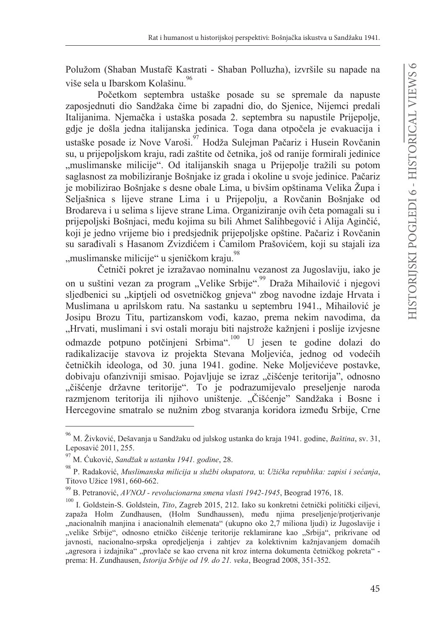Polužom (Shaban Mustafë Kastrati - Shaban Polluzha), izvršile su napade na više sela u Ibarskom Kolašinu.<sup>96</sup>

Početkom septembra ustaške posade su se spremale da napuste zaposjednuti dio Sandžaka čime bi zapadni dio, do Sjenice, Nijemci predali Italijanima. Njemačka i ustaška posada 2. septembra su napustile Prijepolje, gdje je došla jedna italijanska jedinica. Toga dana otpočela je evakuacija i ustaške posade iz Nove Varoši. Hodža Suleiman Pačariz i Husein Rovčanin su, u prijepoljskom kraju, radi zaštite od četnika, još od ranije formirali jedinice "muslimanske milicije". Od italijanskih snaga u Prijepolje tražili su potom saglasnost za mobiliziranje Bošnjake iz grada i okoline u svoje jedinice. Pačariz je mobilizirao Bošnjake s desne obale Lima, u bivšim opštinama Velika Župa i Seljašnica s lijeve strane Lima i u Prijepolju, a Rovčanin Bošnjake od Brodareva i u selima s lijeve strane Lima. Organiziranje ovih četa pomagali su i prijepoljski Bošnjaci, među kojima su bili Ahmet Salihbegović i Alija Aginčić, koji je jedno vrijeme bio i predsjednik prijepoljske opštine. Pačariz i Rovčanin su sarađivali s Hasanom Zvizdićem i Camilom Prašovićem, koji su stajali iza "muslimanske milicije" u sieničkom kraju.<sup>98</sup>

Četniči pokret je izražavao nominalnu vezanost za Jugoslaviju, iako je on u suštini vezan za program "Velike Srbije". <sup>99</sup> Draža Mihailović i njegovi sljedbenici su "kiptjeli od osvetničkog gnjeva" zbog navodne izdaje Hrvata i Muslimana u aprilskom ratu. Na sastanku u septembru 1941., Mihailović je Josipu Brozu Titu, partizanskom vođi, kazao, prema nekim navodima, da "Hrvati, muslimani i svi ostali moraju biti najstrože kažnjeni i poslije izvjesne odmazde potpuno potčinieni Srbima". U jesen te godine dolazi do radikalizacije stavova iz projekta Stevana Moljevića, jednog od vodećih četničkih ideologa, od 30. juna 1941. godine. Neke Moljevićeve postavke, dobivaju ofanzivniji smisao. Pojavljuje se izraz "čišćenje teritorija", odnosno "čišćenje državne teritorije". To je podrazumijevalo preseljenje naroda razmjenom teritorija ili njihovo uništenje. "Čišćenje" Sandžaka i Bosne i Hercegovine smatralo se nužnim zbog stvaranja koridora između Srbije, Crne

<sup>&</sup>lt;sup>96</sup> M. Živković, Dešavanja u Sandžaku od julskog ustanka do kraja 1941. godine, Baština, sv. 31, Leposavić 2011, 255.

<sup>97</sup> M. Ćuković, Sandžak u ustanku 1941. godine, 28.

<sup>98</sup> P. Radaković, Muslimanska milicija u službi okupatora, u: Užička republika: zapisi i sećanja, Titovo Užice 1981, 660-662.

<sup>99</sup> B. Petranović, AVNOJ - revolucionarna smena vlasti 1942-1945, Beograd 1976, 18.

**<sup>100</sup>** I. Goldstein-S. Goldstein, Tito, Zagreb 2015, 212. Iako su konkretni četnički politički ciljevi, zapaža Holm Zundhausen, (Holm Sundhaussen), među njima preseljenje/protjerivanje "nacionalnih manjina i anacionalnih elemenata" (ukupno oko 2,7 miliona ljudi) iz Jugoslavije i "velike Srbije", odnosno etničko čišćenje teritorije reklamirane kao "Srbija", prikrivane od javnosti, nacionalno-srpska opredjeljenja i zahtjev za kolektivnim kažnjavanjem domaćih "agresora i izdajnika" "provlače se kao crvena nit kroz interna dokumenta četničkog pokreta" prema: H. Zundhausen, Istorija Srbije od 19. do 21. veka, Beograd 2008, 351-352.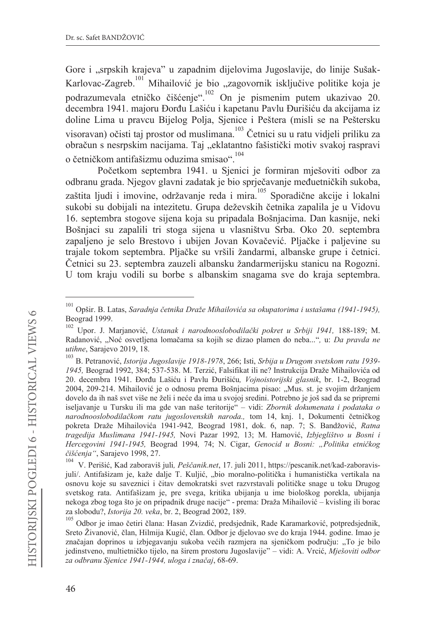Gore i "srpskih krajeva" u zapadnim dijelovima Jugoslavije, do linije Sušak-Karlovac-Zagreb.<sup>101</sup> Mihailović je bio "zagovornik isključive politike koja je podrazumevala etničko čišćenie".<sup>102</sup> On je pismenim putem ukazivao 20. decembra 1941. majoru Đorđu Lašiću i kapetanu Pavlu Đurišiću da akcijama iz doline Lima u pravcu Bijelog Polja, Sjenice i Peštera (misli se na Peštersku visoravan) očisti taj prostor od muslimana.<sup>103</sup> Četnici su u ratu vidjeli priliku za obračun s nesrpskim nacijama. Taj "eklatantno fašistički motiv svakoj raspravi o četničkom antifašizmu oduzima smisao".<sup>104</sup>

Početkom septembra 1941. u Sjenici je formiran mješoviti odbor za odbranu grada. Njegov glavni zadatak je bio sprječavanje međuetničkih sukoba, zaštita ljudi i imovine, održavanje reda i mira.<sup>105</sup> Sporadične akcije i lokalni sukobi su dobijali na intezitetu. Grupa deževskih četnika zapalila je u Vidovu 16. septembra stogove sijena koja su pripadala Bošnjacima. Dan kasnije, neki Bošnjaci su zapalili tri stoga sijena u vlasništvu Srba. Oko 20. septembra zapalieno je selo Brestovo i ubijen Jovan Kovačević. Pljačke i paljevine su trajale tokom septembra. Pljačke su vršili žandarmi, albanske grupe i četnici. Četnici su 23. septembra zauzeli albansku žandarmerijsku stanicu na Rogozni. U tom kraju vodili su borbe s albanskim snagama sve do kraja septembra.

<sup>101</sup> Opšir. B. Latas, Saradnja četnika Draže Mihailovića sa okupatorima i ustašama (1941-1945), Beograd 1999.

Upor. J. Marjanović, Ustanak i narodnooslobodilački pokret u Srbiji 1941, 188-189; M. Radanović, "Noć osvetljena lomačama sa kojih se dizao plamen do neba...", u: Da pravda ne utihne, Sarajevo 2019, 18.

<sup>&</sup>lt;sup>103</sup> B. Petranović, *Istorija Jugoslavije 1918-1978*, 266; Isti, *Srbija u Drugom svetskom ratu 1939-*1945, Beograd 1992, 384; 537-538. M. Terzić, Falsifikat ili ne? Instrukcija Draže Mihailovića od 20. decembra 1941. Đorđu Lašiću i Pavlu Đurišiću, Vojnoistorijski glasnik, br. 1-2, Beograd 2004, 209-214. Mihailović je o odnosu prema Bošnjacima pisao: "Mus. st. je svojim držanjem dovelo da ih naš svet više ne želi i neće da ima u svojoj sredini. Potrebno je još sad da se pripremi iseljavanje u Tursku ili ma gde van naše teritorije" - vidi: Zbornik dokumenata i podataka o narodnooslobodilačkom ratu jugoslovenskih naroda., tom 14, knj. 1, Dokumenti četničkog pokreta Draže Mihailovića 1941-942, Beograd 1981, dok. 6, nap. 7; S. Bandžović, Ratna tragedija Muslimana 1941-1945, Novi Pazar 1992, 13; M. Hamović, Izbjeglištvo u Bosni i Hercegovini 1941-1945, Beograd 1994, 74; N. Cigar, Genocid u Bosni: "Politika etničkog čišćenja", Sarajevo 1998, 27.

<sup>104</sup> V. Perišić, Kad zaboraviš juli, Peščanik.net, 17. juli 2011, https://pescanik.net/kad-zaboravisjuli/. Antifašizam je, kaže dalje T. Kuljić, "bio moralno-politička i humanistička vertikala na osnovu koje su saveznici i čitav demokratski svet razvrstavali političke snage u toku Drugog svetskog rata. Antifašizam je, pre svega, kritika ubijanja u ime biološkog porekla, ubijanja nekoga zbog toga što je on pripadnik druge nacije" - prema: Draža Mihailović - kvisling ili borac za slobodu?, Istorija 20. veka, br. 2, Beograd 2002, 189.

<sup>105</sup> Odbor je imao četiri člana: Hasan Zvizdić, predsjednik, Rade Karamarković, potpredsjednik, Sreto Živanović, član, Hilmija Kugić, član. Odbor je djelovao sve do kraja 1944. godine. Imao je značajan doprinos u izbjegavanju sukoba većih razmjera na sjeničkom području: "To je bilo jedinstveno, multietničko tijelo, na širem prostoru Jugoslavije" – vidi: A. Vrcić, Mješoviti odbor za odbranu Sjenice 1941-1944, uloga i značaj, 68-69.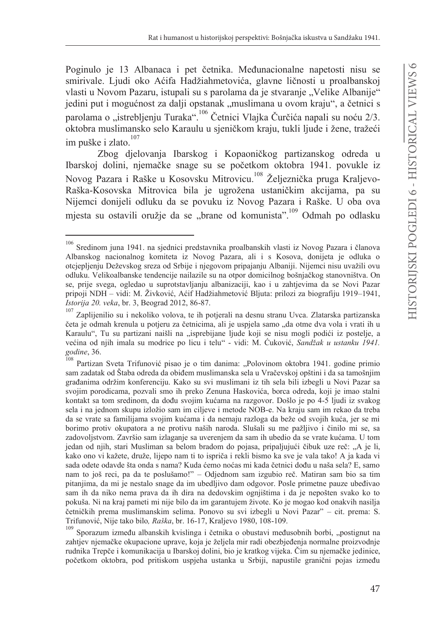Poginulo je 13 Albanaca i pet četnika. Međunacionalne napetosti nisu se smirivale. Ljudi oko Aćifa Hadžiahmetovića, glavne ličnosti u proalbanskoj vlasti u Novom Pazaru, istupali su s parolama da je stvaranje "Velike Albanije" jedini put i mogućnost za dalji opstanak "muslimana u ovom kraju", a četnici s parolama o "istrebljenju Turaka".<sup>106</sup> Četnici Vlajka Čurčića napali su noću 2/3. oktobra muslimansko selo Karaulu u sjeničkom kraju, tukli ljude i žene, tražeći im puške i zlato.<sup>107</sup>

Zbog djelovanja Ibarskog i Kopaoničkog partizanskog odreda u Ibarskoj dolini, njemačke snage su se početkom oktobra 1941. povukle iz Novog Pazara i Raške u Kosovsku Mitrovicu.<sup>108</sup> Željeznička pruga Kraljevo-Raška-Kosovska Mitrovica bila je ugrožena ustaničkim akcijama, pa su Nijemci donijeli odluku da se povuku iz Novog Pazara i Raške. U oba ova mjesta su ostavili oružje da se "brane od komunista".<sup>109</sup> Odmah po odlasku

<sup>106</sup> Sredinom juna 1941. na sjednici predstavnika proalbanskih vlasti iz Novog Pazara i članova Albanskog nacionalnog komiteta iz Novog Pazara, ali i s Kosova, donijeta je odluka o otciepljenju Deževskog sreza od Srbije i njegovom pripajanju Albaniji. Nijemci nisu uvažili ovu odluku. Velikoalbanske tendencije nailazile su na otpor domicilnog bošnjačkog stanovništva. On se, prije svega, ogledao u suprotstavljanju albanizaciji, kao i u zahtjevima da se Novi Pazar pripoji NDH – vidi: M. Živković, Aćif Hadžiahmetović Bljuta: prilozi za biografiju 1919–1941, Istorija 20. veka, br. 3, Beograd 2012, 86-87.

Zaplijenilio su i nekoliko volova, te ih potjerali na desnu stranu Uvca. Zlatarska partizanska četa je odmah krenula u potjeru za četnicima, ali je uspjela samo "da otme dva vola i vrati ih u Karaulu", Tu su partizani naišli na "isprebijane ljude koji se nisu mogli podići iz postelje, a većina od njih imala su modrice po licu i telu" - vidi: M. Ćuković, Sandžak u ustanku 1941. godine, 36.

<sup>108</sup> Partizan Sveta Trifunović pisao je o tim danima: "Polovinom oktobra 1941. godine primio sam zadatak od Štaba odreda da obiđem muslimanska sela u Vračevskoj opštini i da sa tamošnjim građanima održim konferenciju. Kako su svi muslimani iz tih sela bili izbegli u Novi Pazar sa svojim porodicama, pozvali smo ih preko Zenuna Haskovića, borca odreda, koji je imao stalni kontakt sa tom sredinom, da dođu svojim kućama na razgovor. Došlo je po 4-5 ljudi iz svakog sela i na jednom skupu izložio sam im ciljeve i metode NOB-e. Na kraju sam im rekao da treba da se vrate sa familijama svojim kućama i da nemaju razloga da beže od svojih kuća, jer se mi borimo protiv okupatora a ne protivu naših naroda. Slušali su me pažljivo i činilo mi se, sa zadovoljstvom. Završio sam izlaganje sa uverenjem da sam ih ubedio da se vrate kućama. U tom jedan od njih, stari Musliman sa belom bradom do pojasa, pripaljujući čibuk uze reč: "A je li, kako ono vi kažete, druže, lijepo nam ti to ispriča i rekli bismo ka sve je vala tako! A ja kada vi sada odete odavde šta onda s nama? Kuda ćemo noćas mi kada četnici dođu u naša sela? E, samo nam to još reci, pa da te poslušamo!" - Odjednom sam izgubio reč. Matiran sam bio sa tim pitanjima, da mi je nestalo snage da im ubedljivo dam odgovor. Posle primetne pauze ubeđivao sam ih da niko nema prava da ih dira na dedovskim ognjištima i da je nepošten svako ko to pokuša. Ni na kraj pameti mi nije bilo da im garantujem živote. Ko je mogao kod onakvih nasilja četničkih prema muslimanskim selima. Ponovo su svi izbegli u Novi Pazar" – cit. prema: S. Trifunović, Nije tako bilo, Raška, br. 16-17, Kraljevo 1980, 108-109.

<sup>109</sup> Sporazum između albanskih kvislinga i četnika o obustavi međusobnih borbi, "postignut na zahtjev njemačke okupacione uprave, koja je željela mir radi obezbjeđenja normalne proizvodnje rudnika Trepče i komunikacija u Ibarskoj dolini, bio je kratkog vijeka. Čim su njemačke jedinice, početkom oktobra, pod pritiskom uspjeha ustanka u Srbiji, napustile granični pojas između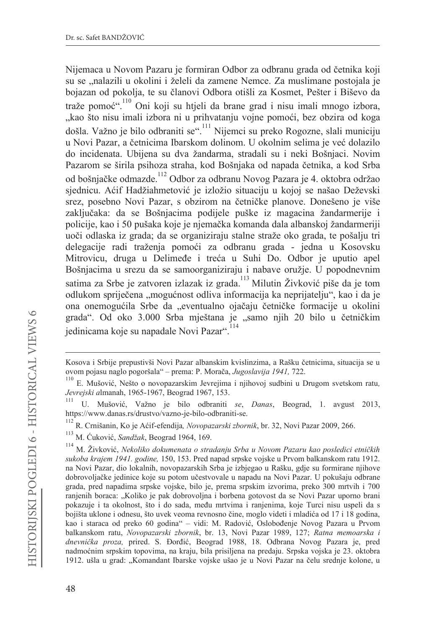Nijemaca u Novom Pazaru je formiran Odbor za odbranu grada od četnika koji su se "nalazili u okolini i želeli da zamene Nemce. Za muslimane postojala je bojazan od pokolja, te su članovi Odbora otišli za Kosmet, Pešter i Biševo da traže pomoć".<sup>110</sup> Oni koji su htjeli da brane grad i nisu imali mnogo izbora, "kao što nisu imali izbora ni u prihvatanju vojne pomoći, bez obzira od koga došla. Važno je bilo odbraniti se". <sup>111</sup> Nijemci su preko Rogozne, slali municiju u Novi Pazar, a četnicima Ibarskom dolinom. U okolnim selima je već dolazilo do incidenata. Ubijena su dva žandarma, stradali su i neki Bošnjaci. Novim Pazarom se širila psihoza straha, kod Bošnjaka od napada četnika, a kod Srba od bošnjačke odmazde.<sup>112</sup> Odbor za odbranu Novog Pazara je 4. oktobra održao sjednicu. Aćif Hadžiahmetović je izložio situaciju u kojoj se našao Deževski srez, posebno Novi Pazar, s obzirom na četničke planove. Donešeno je više zaključaka: da se Bošnjacima podijele puške iz magacina žandarmerije i policije, kao i 50 pušaka koje je njemačka komanda dala albanskoj žandarmeriji uoči odlaska iz grada; da se organiziraju stalne straže oko grada, te pošalju tri delegacije radi traženja pomoći za odbranu grada - jedna u Kosovsku Mitrovicu, druga u Delimeđe i treća u Suhi Do. Odbor je uputio apel Bošnjacima u srezu da se samoorganiziraju i nabave oružje. U popodnevnim satima za Srbe je zatvoren izlazak iz grada.<sup>113</sup> Milutin Živković piše da je tom odlukom spriječena "mogućnost odliva informacija ka neprijatelju", kao i da je ona onemogućila Srbe da "eventualno ojačaju četničke formacije u okolini grada". Od oko 3.000 Srba mještana je "samo njih 20 bilo u četničkim jedinicama koje su napadale Novi Pazar".<sup>114</sup>

Kosova i Srbije prepustivši Novi Pazar albanskim kvislinzima, a Rašku četnicima, situacija se u ovom pojasu naglo pogoršala" – prema: P. Morača, Jugoslavija 1941, 722.

<sup>110</sup> E. Mušović, Nešto o novopazarskim Jevrejima i njihovoj sudbini u Drugom svetskom ratu, Jevrejski almanah, 1965-1967, Beograd 1967, 153.

U. Mušović, Važno je bilo odbraniti se, Danas, Beograd, 1. avgust 2013, https://www.danas.rs/drustvo/vazno-je-bilo-odbraniti-se.

<sup>112</sup> R. Crnišanin, Ko je Aćif-efendija, Novopazarski zbornik, br. 32, Novi Pazar 2009, 266.

<sup>113</sup> M. Ćuković, Sandžak, Beograd 1964, 169.

<sup>114</sup> M. Živković, Nekoliko dokumenata o stradanju Srba u Novom Pazaru kao posledici etničkih sukoba krajem 1941. godine, 150, 153. Pred napad srpske vojske u Prvom balkanskom ratu 1912. na Novi Pazar, dio lokalnih, novopazarskih Srba je izbjegao u Rašku, gdje su formirane njihove dobrovoljačke jedinice koje su potom učestvovale u napadu na Novi Pazar. U pokušaju odbrane grada, pred napadima srpske vojske, bilo je, prema srpskim izvorima, preko 300 mrtvih i 700 ranjenih boraca: "Koliko je pak dobrovoljna i borbena gotovost da se Novi Pazar uporno brani pokazuje i ta okolnost, što i do sada, među mrtvima i ranjenima, koje Turci nisu uspeli da s bojišta uklone i odnesu, što uvek veoma revnosno čine, moglo videti i mladića od 17 i 18 godina, kao i staraca od preko 60 godina" – vidi: M. Radović, Oslobođenje Novog Pazara u Prvom balkanskom ratu, Novopazarski zbornik, br. 13, Novi Pazar 1989, 127; Ratna memoarska i dnevnička proza, prired. S. Đorđić, Beograd 1988, 18. Odbrana Novog Pazara je, pred nadmoćnim srpskim topovima, na kraju, bila prisiljena na predaju. Srpska vojska je 23. oktobra 1912. ušla u grad: "Komandant Ibarske vojske ušao je u Novi Pazar na čelu srednje kolone, u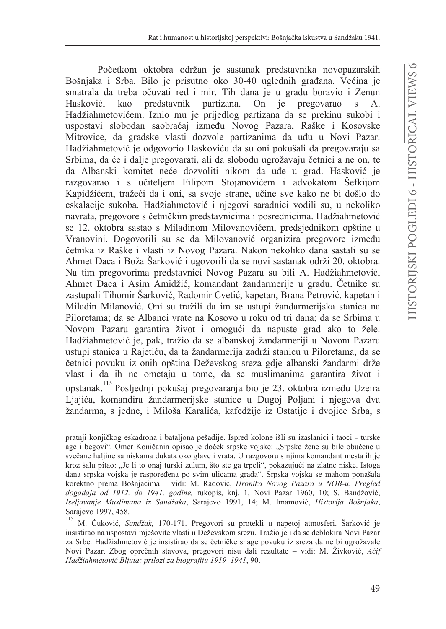Početkom oktobra održan je sastanak predstavnika novopazarskih Bošnjaka i Srba. Bilo je prisutno oko 30-40 uglednih građana. Većina je smatrala da treba očuvati red i mir. Tih dana je u gradu boravio i Zenun Hasković, kao predstavnik partizana. On je pregovarao  $\mathbf S$ А. Hadžiahmetovićem. Iznio mu je prijedlog partizana da se prekinu sukobi i uspostavi slobodan saobraćaj između Novog Pazara, Raške i Kosovske Mitrovice, da gradske vlasti dozvole partizanima da uđu u Novi Pazar. Hadžiahmetović je odgovorio Haskoviću da su oni pokušali da pregovaraju sa Srbima, da će i dalje pregovarati, ali da slobodu ugrožavaju četnici a ne on, te da Albanski komitet neće dozvoliti nikom da uđe u grad. Hasković je razgovarao i s učiteljem Filipom Stojanovićem i advokatom Šefkijom Kapidžićem, tražeći da i oni, sa svoje strane, učine sve kako ne bi došlo do eskalacije sukoba. Hadžiahmetović i njegovi saradnici vodili su, u nekoliko navrata, pregovore s četničkim predstavnicima i posrednicima. Hadžiahmetović se 12. oktobra sastao s Miladinom Milovanovićem, predsjednikom opštine u Vranovini. Dogovorili su se da Milovanović organizira pregovore između četnika iz Raške i vlasti iz Novog Pazara. Nakon nekoliko dana sastali su se Ahmet Daca i Boža Šarković i ugovorili da se novi sastanak održi 20. oktobra. Na tim pregovorima predstavnici Novog Pazara su bili A. Hadžiahmetović, Ahmet Daca i Asim Amidžić, komandant žandarmerije u gradu. Četnike su zastupali Tihomir Šarković, Radomir Cvetić, kapetan, Brana Petrović, kapetan i Miladin Milanović. Oni su tražili da im se ustupi žandarmerijska stanica na Piloretama; da se Albanci vrate na Kosovo u roku od tri dana; da se Srbima u Novom Pazaru garantira život i omogući da napuste grad ako to žele. Hadžiahmetović je, pak, tražio da se albanskoj žandarmeriji u Novom Pazaru ustupi stanica u Rajetiću, da ta žandarmerija zadrži stanicu u Piloretama, da se četnici povuku iz onih opština Deževskog sreza gdje albanski žandarmi drže vlast i da ih ne ometaju u tome, da se muslimanima garantira život i opstanak.<sup>115</sup> Posljednji pokušaj pregovaranja bio je 23. oktobra između Uzeira Liajića, komandira žandarmerijske stanice u Dugoj Poljani i njegova dva žandarma, s jedne, i Miloša Karalića, kafedžije iz Ostatije i dvojice Srba, s

pratnji konjičkog eskadrona i bataljona pešadije. Ispred kolone išli su izaslanici i taoci - turske age i begovi". Omer Koničanin opisao je doček srpske vojske: "Srpske žene su bile obučene u svečane haljine sa niskama dukata oko glave i vrata. U razgovoru s njima komandant mesta ih je kroz šalu pitao: "Je li to onaj turski zulum, što ste ga trpeli", pokazujući na zlatne niske. Istoga dana srpska vojska je raspoređena po svim ulicama grada". Srpska vojska se mahom ponašala korektno prema Bošnjacima – vidi: M. Radović, *Hronika Novog Pazara u NOB-u, Pregled* događaja od 1912. do 1941. godine, rukopis, knj. 1, Novi Pazar 1960, 10; S. Bandžović, Iseljavanje Muslimana iz Sandžaka, Sarajevo 1991, 14; M. Imamović, Historija Bošnjaka, Sarajevo 1997, 458.

M. Ćuković, Sandžak, 170-171. Pregovori su protekli u napetoj atmosferi. Šarković je insistirao na uspostavi mješovite vlasti u Deževskom srezu. Tražio je i da se deblokira Novi Pazar za Srbe. Hadžiahmetović je insistirao da se četničke snage povuku iz sreza da ne bi ugrožavale Novi Pazar. Zbog oprečnih stavova, pregovori nisu dali rezultate – vidi: M. Živković, Acif Hadžiahmetović Bljuta: prilozi za biografiju 1919-1941, 90.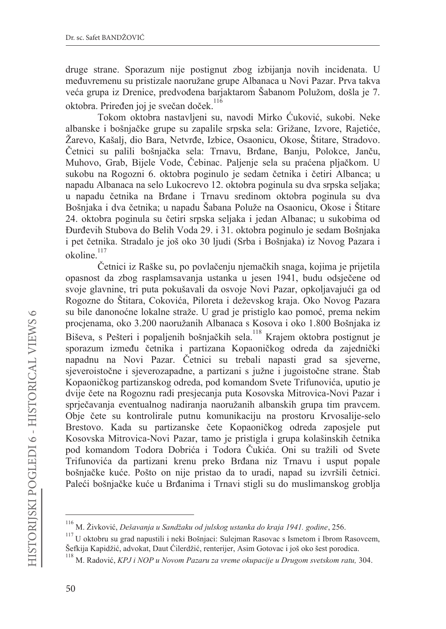druge strane. Sporazum nije postignut zbog izbijanja novih incidenata. U međuvremenu su pristizale naoružane grupe Albanaca u Novi Pazar. Prva takva veća grupa iz Drenice, predvođena barjaktarom Šabanom Polužom, došla je 7. oktobra. Priređen joj je svečan doček.<sup>116</sup>

Tokom oktobra nastavljeni su, navodi Mirko Ćuković, sukobi. Neke albanske i bošnjačke grupe su zapalile srpska sela: Grižane, Izvore, Rajetiće, Žarevo, Kašali, dio Bara, Netvrđe, Izbice, Osaonicu, Okose, Štitare, Stradovo, Četnici su palili bošnjačka sela: Trnavu, Brđane, Banju, Polokce, Janču, Muhovo, Grab, Bijele Vode, Čebinac. Paljenje sela su praćena pljačkom. U sukobu na Rogozni 6. oktobra poginulo je sedam četnika i četiri Albanca; u napadu Albanaca na selo Lukocrevo 12. oktobra poginula su dva srpska seljaka; u napadu četnika na Brđane i Trnavu sredinom oktobra poginula su dva Bošnjaka i dva četnika; u napadu Šabana Poluže na Osaonicu, Okose i Štitare 24. oktobra poginula su četiri srpska seljaka i jedan Albanac; u sukobima od Đurđevih Stubova do Belih Voda 29. i 31. oktobra poginulo je sedam Bošnjaka i pet četnika. Stradalo je još oko 30 ljudi (Srba i Bošnjaka) iz Novog Pazara i okoline.<sup>117</sup>

Četnici iz Raške su, po povlačenju njemačkih snaga, kojima je prijetila opasnost da zbog rasplamsavanja ustanka u jesen 1941, budu odsječene od svoje glavnine, tri puta pokušavali da osvoje Novi Pazar, opkoljavajući ga od Rogozne do Štitara, Cokovića, Piloreta i deževskog kraja. Oko Novog Pazara su bile danonoćne lokalne straže. U grad je pristiglo kao pomoć, prema nekim procjenama, oko 3.200 naoružanih Albanaca s Kosova i oko 1.800 Bošnjaka iz Biševa, s Pešteri i popaljenih bošnjačkih sela.<sup>118</sup> Krajem oktobra postignut je sporazum između četnika i partizana Kopaoničkog odreda da zajednički napadnu na Novi Pazar. Četnici su trebali napasti grad sa sjeverne, sjeveroistočne i sjeverozapadne, a partizani s južne i jugoistočne strane. Štab Kopaoničkog partizanskog odreda, pod komandom Svete Trifunovića, uputio je dvije čete na Rogoznu radi presjecanja puta Kosovska Mitrovica-Novi Pazar i sprječavanja eventualnog nadiranja naoružanih albanskih grupa tim pravcem. Obje čete su kontrolirale putnu komunikaciju na prostoru Krvosalije-selo Brestovo. Kada su partizanske čete Kopaoničkog odreda zaposjele put Kosovska Mitrovica-Novi Pazar, tamo je pristigla i grupa kolašinskih četnika pod komandom Todora Dobrića i Todora Čukića. Oni su tražili od Svete Trifunovića da partizani krenu preko Brđana niz Trnavu i usput popale bošnjačke kuće. Pošto on nije pristao da to uradi, napad su izvršili četnici. Paleći bošnjačke kuće u Brđanima i Trnavi stigli su do muslimanskog groblja

M. Živković, Dešavanja u Sandžaku od julskog ustanka do kraja 1941. godine, 256.

 $117$  U oktobru su grad napustili i neki Bošnjaci: Sulejman Rasovac s Ismetom i Ibrom Rasovcem, Šefkija Kapidžić, advokat, Daut Ćilerdžić, renterijer, Asim Gotovac i još oko šest porodica.

<sup>&</sup>lt;sup>118</sup> M. Radović, KPJ i NOP u Novom Pazaru za vreme okupacije u Drugom svetskom ratu, 304.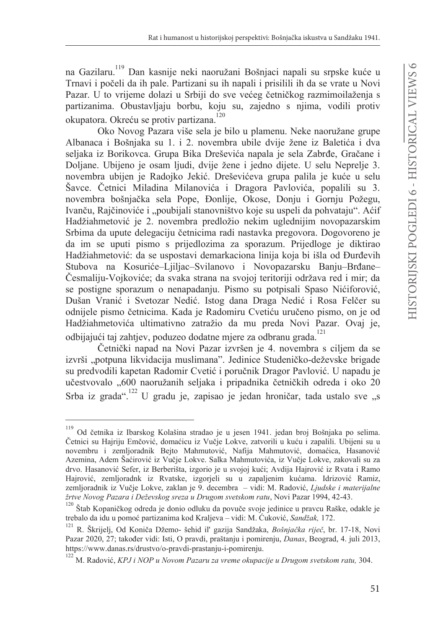na Gazilaru.<sup>119</sup> Dan kasnije neki naoružani Bošnjaci napali su srpske kuće u Trnavi i počeli da ih pale. Partizani su ih napali i prisilili ih da se vrate u Novi Pazar. U to vrijeme dolazi u Srbiji do sve većeg četničkog razmimojlaženja s partizanima. Obustavljaju borbu, koju su, zajedno s njima, vodili protiv okupatora. Okreću se protiv partizana.<sup>120</sup>

Oko Novog Pazara više sela je bilo u plamenu. Neke naoružane grupe Albanaca i Bošnjaka su 1. i 2. novembra ubile dvije žene iz Baletića i dva seljaka iz Borikovca. Grupa Bika Dreševića napala je sela Zabrđe, Gračane i Doljane. Ubijeno je osam ljudi, dvije žene i jedno dijete. U selu Neprelje 3. novembra ubijen je Radojko Jekić. Dreševićeva grupa palila je kuće u selu Šavce. Četnici Miladina Milanovića i Dragora Pavlovića, popalili su 3. novembra bošnjačka sela Pope, Đonlije, Okose, Donju i Gornju Požegu, Ivanču, Rajčinoviće i "poubijali stanovništvo koje su uspeli da pohvataju". Aćif Hadžiahmetović je 2. novembra predložio nekim uglednijim novopazarskim Srbima da upute delegaciju četnicima radi nastavka pregovora. Dogovoreno je da im se uputi pismo s prijedlozima za sporazum. Prijedloge je diktirao Hadžiahmetović: da se uspostavi demarkaciona linija koja bi išla od Đurđevih Stubova na Kosuriće-Ljiljac-Svilanovo i Novopazarsku Banju-Brđane-Česmaliju-Vojkoviće: da svaka strana na svojoj teritoriji održava red i mir; da se postigne sporazum o nenapadanju. Pismo su potpisali Spaso Nićiforović, Dušan Vranić i Svetozar Nedić. Istog dana Draga Nedić i Rosa Felčer su odnijele pismo četnicima. Kada je Radomiru Cvetiću uručeno pismo, on je od Hadžiahmetovića ultimativno zatražio da mu preda Novi Pazar. Ovaj je, odbijajući taj zahtjev, poduzeo dodatne mjere za odbranu grada.<sup>121</sup>

Četnički napad na Novi Pazar izvršen je 4. novembra s ciljem da se izvrši "potpuna likvidacija muslimana". Jedinice Studeničko-deževske brigade su predvodili kapetan Radomir Cvetić i poručnik Dragor Pavlović. U napadu je učestvovalo "600 naoružanih seljaka i pripadnika četničkih odreda i oko 20 Srba iz grada".<sup>122</sup> U gradu je, zapisao je jedan hroničar, tada ustalo sve "s

<sup>119</sup> Od četnika iz Ibarskog Kolašina stradao je u jesen 1941. jedan broj Bošnjaka po selima. Četnici su Hajriju Emčović, domaćicu iz Vučje Lokve, zatvorili u kuću i zapalili. Ubijeni su u novembru i zemljoradnik Bejto Mahmutović, Nafija Mahmutović, domaćica, Hasanović Azemina, Adem Šaćirović iz Vučje Lokve. Salka Mahmutovića, iz Vučje Lokve, zakovali su za drvo. Hasanović Sefer, iz Berberišta, izgorio je u svojoj kući; Avdija Hajrović iz Rvata i Ramo Hajrović, zemljoradnk iz Rvatske, izgorjeli su u zapaljenim kućama. Idrizović Ramiz, zemljoradnik iz Vučje Lokve, zaklan je 9. decembra – vidi: M. Radović, Ljudske i materijalne žrtve Novog Pazara i Deževskog sreza u Drugom svetskom ratu, Novi Pazar 1994, 42-43.

 $^{120}$  Štab Kopaničkog odreda je donio odluku da povuče svoje jedinice u pravcu Raške, odakle je trebalo da idu u pomoć partizanima kod Kraljeva - vidi: M. Ćuković, Sandžak, 172.

<sup>&</sup>lt;sup>121</sup> R. Škrijelj, Od Koniča Džemo- šehid il' gazija Sandžaka, Bošnjačka riječ, br. 17-18, Novi Pazar 2020, 27; također vidi: Isti, O pravdi, praštanju i pomirenju, Danas, Beograd, 4. juli 2013, https://www.danas.rs/drustvo/o-pravdi-prastanju-i-pomirenju.

 $122$  M. Radović, KPJ i NOP u Novom Pazaru za vreme okupacije u Drugom svetskom ratu, 304.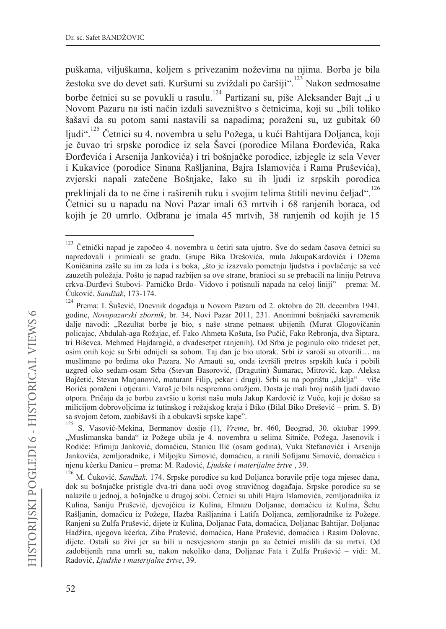puškama, viljuškama, koljem s privezanim noževima na njima. Borba je bila žestoka sve do devet sati. Kuršumi su zviždali po čaršiji".<sup>23</sup> Nakon sedmosatne borbe četnici su se povukli u rasulu.<sup>124</sup> Partizani su, piše Aleksander Bait ... i u Novom Pazaru na isti način izdali savezništvo s četnicima, koji su "bili toliko šašavi da su potom sami nastavili sa napadima; poraženi su, uz gubitak 60 liudi".<sup>125</sup> Četnici su 4. novembra u selu Požega, u kući Bahtijara Doljanca, koji je čuvao tri srpske porodice iz sela Šavci (porodice Milana Đorđevića, Raka Đorđevića i Arsenija Jankovića) i tri bošnjačke porodice, izbjegle iz sela Vever i Kukavice (porodice Sinana Rašljanina, Bajra Islamovića i Rama Pruševića), zvjerski napali zatečene Bošnjake, Iako su ih ljudi iz srpskih porodica preklinjali da to ne čine i raširenih ruku i svojim telima štitili nevinu čeljad".<sup>126</sup> Četnici su u napadu na Novi Pazar imali 63 mrtvih i 68 ranjenih boraca, od kojih je 20 umrlo. Odbrana je imala 45 mrtvih, 38 ranjenih od kojih je 15

<sup>123</sup> Četnički napad je započeo 4. novembra u četiri sata ujutro. Sve do sedam časova četnici su napredovali i primicali se gradu. Grupe Bika Drešovića, mula JakupaKardovića i Džema Koničanina zašle su im za leđa i s boka, "što je izazvalo pometnju ljudstva i povlačenje sa već zauzetih položaja. Pošto je napad razbijen sa ove strane, branioci su se prebacili na liniju Petrova crkva-Đurđevi Stubovi- Parničko Brdo- Vidovo i potisnuli napada na celoj liniji" – prema: M. Ćuković, Sandžak, 173-174.

<sup>124</sup> Prema: I. Šušević, Dnevnik događaja u Novom Pazaru od 2. oktobra do 20. decembra 1941. godine, Novopazarski zbornik, br. 34, Novi Pazar 2011, 231. Anonimni bošnjački savremenik dalje navodi: "Rezultat borbe je bio, s naše strane petnaest ubijenih (Murat Glogovičanin policajac, Abdulah-aga Rožajac, ef. Fako Ahmeta Košuta, Iso Pučić, Fako Rebronja, dva Šiptara, tri Biševca, Mehmed Hajdaragić, a dvadesetpet ranjenih). Od Srba je poginulo oko trideset pet, osim onih koje su Srbi odnijeli sa sobom. Taj dan je bio utorak. Srbi iz varoši su otvorili... na muslimane po brdima oko Pazara. No Arnauti su, onda izvršili pretres srpskih kuća i pobili uzgred oko sedam-osam Srba (Stevan Basorović, (Dragutin) Šumarac, Mitrović, kap. Aleksa Baičetić, Stevan Marianović, maturant Filip, pekar i drugi). Srbi su na poprištu "Jaklja" – više Borića poraženi i otjerani. Varoš je bila nespremna oružjem. Dosta je mali broj naših ljudi davao otpora. Pričaju da je borbu završio u korist našu mula Jakup Kardović iz Vuče, koji je došao sa milicijom dobrovoljcima iz tutinskog i rožajskog kraja i Biko (Bilal Biko Drešević – prim. S. B) sa svojom četom, zaobišavši ih a obukavši srpske kape".

<sup>125</sup> S. Vasović-Mekina, Bermanov dosije (1), Vreme, br. 460, Beograd, 30. oktobar 1999. "Muslimanska banda" iz Požege ubila je 4. novembra u selima Sitniče, Požega, Jasenovik i Rodiće: Efimiju Janković, domaćicu, Stanicu Ilić (osam godina), Vuka Stefanovića i Arsenija Jankovića, zemljoradnike, i Miljojku Simović, domaćicu, a ranili Sofijanu Simović, domaćicu i njenu kćerku Danicu - prema: M. Radović, Ljudske i materijalne žrtve, 39.

<sup>&</sup>lt;sup>126</sup> M. Ćuković, Sandžak, 174. Srpske porodice su kod Doljanca boravile prije toga mjesec dana, dok su bošnjačke pristigle dva-tri dana uoči ovog stravičnog događaja. Srpske porodice su se nalazile u jednoj, a bošnjačke u drugoj sobi. Četnici su ubili Hajra Islamovića, zemljoradnika iz Kulina, Saniju Prušević, djevojčicu iz Kulina, Elmazu Doljanac, domaćicu iz Kulina, Šehu Rašljanin, domaćicu iz Požege, Hazba Rašljanina i Latifa Doljanca, zemljoradnike iz Požege. Ranjeni su Zulfa Prušević, dijete iz Kulina, Doljanac Fata, domaćica, Doljanac Bahtijar, Doljanac Hadžira, njegova kćerka, Ziba Prušević, domaćica, Hana Prušević, domaćica i Rasim Dolovac, dijete. Ostali su živi jer su bili u nesvjesnom stanju pa su četnici mislili da su mrtvi. Od zadobijenih rana umrli su, nakon nekoliko dana, Doljanac Fata i Zulfa Prušević - vidi: M. Radović, Ljudske i materijalne žrtve, 39.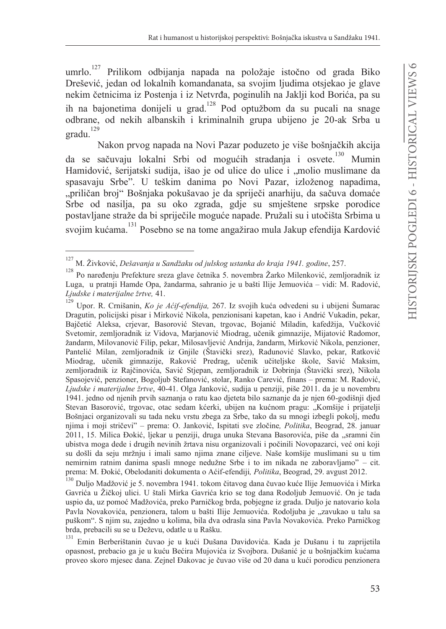umrlo. $127$ Prilikom odbijanja napada na položaje istočno od grada Biko Drešević, jedan od lokalnih komandanata, sa svojim ljudima otsjekao je glave nekim četnicima iz Postenja i iz Netvrđa, poginulih na Jaklji kod Borića, pa su ih na bajonetima donijeli u grad.<sup>128</sup> Pod optužbom da su pucali na snage odbrane, od nekih albanskih i kriminalnih grupa ubijeno je 20-ak Srba u gradu.<sup>129</sup>

Nakon prvog napada na Novi Pazar poduzeto je više bošnjačkih akcija da se sačuvaju lokalni Srbi od mogućih stradanja i osvete.<sup>130</sup> Mumin Hamidović, šerijatski sudija, išao je od ulice do ulice i "molio muslimane da spasavaju Srbe". U teškim danima po Novi Pazar, izloženog napadima, "priličan broj" Bošnjaka pokušavao je da spriječi anarhiju, da sačuva domaće Srbe od nasilja, pa su oko zgrada, gdje su smještene srpske porodice postavljane straže da bi spriječile moguće napade. Pružali su i utočišta Srbima u svojim kućama.<sup>131</sup> Posebno se na tome angažirao mula Jakup efendija Kardović

130 Dulio Madžović je 5. novembra 1941. tokom čitavog dana čuvao kuće Ilije Jemuovića i Mirka Gavrića u Žičkoj ulici. U štali Mirka Gavrića krio se tog dana Rodoljub Jemuović. On je tada uspio da, uz pomoć Madžovića, preko Parničkog brda, pobjegne iz grada. Duljo je natovario kola Pavla Novakovića, penzionera, talom u bašti Ilije Jemuovića. Rodoljuba je "zavukao u talu sa puškom". S njim su, zajedno u kolima, bila dva odrasla sina Pavla Novakovića. Preko Parničkog brda, prebacili su se u Deževu, odatle u u Rašku.

131 Emin Berberištanin čuvao je u kući Dušana Davidovića. Kada je Dušanu i tu zaprijetila opasnost, prebacio ga je u kuću Bećira Mujovića iz Svojbora. Dušanić je u bošnjačkim kućama proveo skoro mjesec dana. Zejnel Đakovac je čuvao više od 20 dana u kući porodicu penzionera

 $^{127}$  M. Živković, Dešavanja u Sandžaku od julskog ustanka do kraja 1941. godine, 257.

Po naređenju Prefekture sreza glave četnika 5. novembra Žarko Milenković, zemljoradnik iz Luga, u pratnji Hamde Opa, žandarma, sahranio je u bašti Ilije Jemuovića – vidi: M. Radović, Ljudske i materijalne žrtve, 41.

 $129$ Upor. R. Crnišanin, Ko je Aćif-efendija, 267. Iz svojih kuća odvedeni su i ubijeni Šumarac Dragutin, policijski pisar i Mirković Nikola, penzionisani kapetan, kao i Andrić Vukadin, pekar, Bajčetić Aleksa, crjevar, Basorović Stevan, trgovac, Bojanić Miladin, kafedžija, Vučković Svetomir, zemljoradnik iz Vidova, Marjanović Miodrag, učenik gimnazije, Mijatović Radomor, žandarm, Milovanović Filip, pekar, Milosavljević Andrija, žandarm, Mirković Nikola, penzioner, Pantelić Milan, zemljoradnik iz Gnjile (Štavički srez), Radunović Slavko, pekar, Ratković Miodrag, učenik gimnazije, Raković Predrag, učenik učiteljske škole, Savić Maksim, zemljoradnik iz Rajčinovića, Savić Stjepan, zemljoradnik iz Dobrinja (Štavički srez), Nikola Spasojević, penzioner, Bogoljub Stefanović, stolar, Ranko Carević, finans – prema: M. Radović, Ljudske i materijalne žrtve, 40-41. Olga Janković, sudija u penziji, piše 2011. da je u novembru 1941. jedno od njenih prvih saznanja o ratu kao djeteta bilo saznanje da je njen 60-godišnji djed Stevan Basorović, trgovac, otac sedam kćerki, ubijen na kućnom pragu: "Komšije i prijatelji Bošnjaci organizovali su tada neku vrstu zbega za Srbe, tako da su mnogi izbegli pokolj, među njima i moji stričevi" – prema: O. Janković, Ispitati sve zločine, Politika, Beograd, 28. januar 2011, 15. Milica Đokić, ljekar u penziji, druga unuka Stevana Basorovića, piše da "sramni čin ubistva moga dede i drugih nevinih žrtava nisu organizovali i počinili Novopazarci, već oni koji su došli da seju mržnju i imali samo njima znane ciljeve. Naše komšije muslimani su u tim nemirnim ratnim danima spasli mnoge nedužne Srbe i to im nikada ne zaboravljamo" – cit. prema: M. Đokić, Obelodaniti dokumenta o Aćif-efendiji, Politika, Beograd, 29. avgust 2012.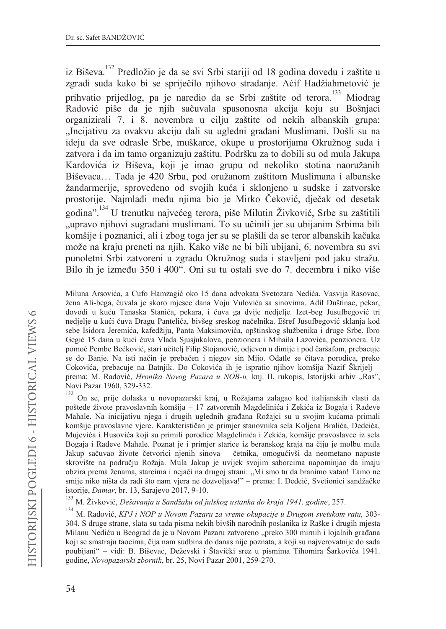iz Biševa.<sup>132</sup> Predložio je da se svi Srbi stariji od 18 godina dovedu i zaštite u zgradi suda kako bi se spriječilo njihovo stradanje. Aćif Hadžiahmetović je prihvatio prijedlog, pa je naredio da se Srbi zaštite od terora.<sup>133</sup> Miodrag Radović piše da je njih sačuvala spasonosna akcija koju su Bošnjaci organizirali 7. i 8. novembra u cilju zaštite od nekih albanskih grupa: "Incijativu za ovakvu akciju dali su ugledni građani Muslimani. Došli su na ideju da sve odrasle Srbe, muškarce, okupe u prostorijama Okružnog suda i zatvora i da im tamo organizuju zaštitu. Podršku za to dobili su od mula Jakupa Kardovića iz Biševa, koji je imao grupu od nekoliko stotina naoružanih Biševaca... Tada je 420 Srba, pod oružanom zaštitom Muslimana i albanske žandarmerije, sprovedeno od svojih kuća i sklonjeno u sudske i zatvorske prostorije. Najmlađi među njima bio je Mirko Čeković, dječak od desetak godina".<sup>134</sup> U trenutku najvećeg terora, piše Milutin Živković. Srbe su zaštitili "upravo njihovi sugrađani muslimani. To su učinili jer su ubijanim Srbima bili komšije i poznanici, ali i zbog toga jer su se plašili da se teror albanskih kačaka može na kraju preneti na njih. Kako više ne bi bili ubijani, 6. novembra su svi punoletni Srbi zatvoreni u zgradu Okružnog suda i stavljeni pod jaku stražu. Bilo ih je između 350 i 400". Oni su tu ostali sve do 7. decembra i niko više

On se, prije dolaska u novopazarski kraj, u Rožajama zalagao kod italijanskih vlasti da poštede živote pravoslavnih komšija - 17 zatvorenih Magdelinića i Zekića iz Bogaja i Radeve Mahale. Na inicijativu njega i drugih uglednih građana Rožajci su u svojim kućama primali komšije pravoslavne vjere. Karakterističan je primjer stanovnika sela Koljena Bralića, Dedeića, Mujevića i Husovića koji su primili porodice Magdelinića i Zekića, komšije pravoslavce iz sela Bogaja i Radeve Mahale. Poznat je i primjer starice iz beranskog kraja na čiju je molbu mula Jakup sačuvao živote četvorici njenih sinova - četnika, omogućivši da neometano napuste skrovište na području Rožaja. Mula Jakup je uvijek svojim saborcima napominjao da imaju obzira prema ženama, starcima i nejači na drugoj strani: "Mi smo tu da branimo vatan! Tamo ne smije niko ništa da radi što nam vjera ne dozvoljava!" - prema: I. Dedeić, Svetionici sandžačke istorije, Damar, br. 13, Sarajevo 2017, 9-10.

133 M. Živković, Dešavanja u Sandžaku od julskog ustanka do kraja 1941. godine, 257.

134 M. Radović, KPJ i NOP u Novom Pazaru za vreme okupacije u Drugom svetskom ratu, 303-304. S druge strane, slata su tada pisma nekih bivših narodnih poslanika iz Raške i drugih mjesta Milanu Nediću u Beograd da je u Novom Pazaru zatvoreno "preko 300 mirnih i lojalnih građana koji se smatraju taocima, čija nam sudbina do danas nije poznata, a koji su najverovatnije do sada poubijani" – vidi: B. Biševac, Deževski i Štavički srez u pismima Tihomira Šarkovića 1941. godine, Novopazarski zbornik, br. 25, Novi Pazar 2001, 259-270.

Miluna Arsovića, a Cufo Hamzagić oko 15 dana advokata Svetozara Nedića. Vasvija Rasovac, žena Ali-bega, čuvala je skoro mjesec dana Voju Vulovića sa sinovima. Adil Duštinac, pekar, dovodi u kuću Tanaska Stanića, pekara, i čuva ga dvije nedjelje. Izet-beg Jusufbegović tri nedjelje u kući čuva Dragu Pantelića, bivšeg sreskog načelnika. Ešref Jusufbegović sklanja kod sebe Isidora Jeremića, kafedžiju, Panta Maksimovića, opštinskog službenika i druge Srbe. Ibro Gegić 15 dana u kući čuva Vlada Sjusjukalova, penzionera i Mihaila Lazovića, penzionera. Uz pomoć Pembe Bećković, stari učitelj Filip Stojanović, odjeven u dimije i pod čaršafom, prebacuje se do Banje. Na isti način je prebačen i njegov sin Mijo. Odatle se čitava porodica, preko Cokovića, prebacuje na Batnjik. Do Cokovića ih je ispratio njihov komšija Nazif Škrijelj – prema: M. Radović, *Hronika Novog Pazara u NOB-u*, knj. II, rukopis, Istorijski arhiv "Ras", Novi Pazar 1960, 329-332.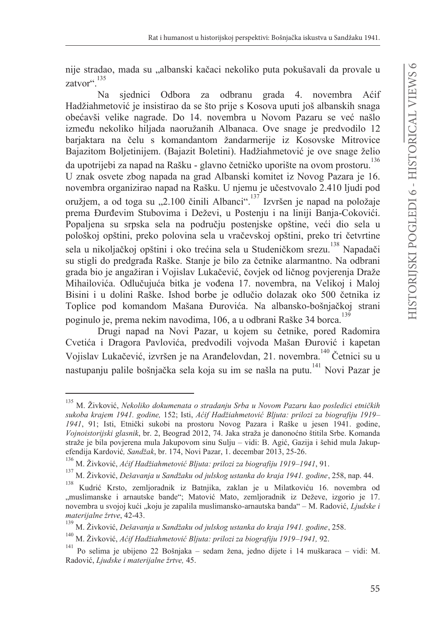nije stradao, mada su "albanski kačaci nekoliko puta pokušavali da provale u zatvor" 135

siednici Odbora za odbranu grada 4. novembra  $Na$ Aćif Hadžiahmetović je insistirao da se što prije s Kosova uputi još albanskih snaga obećavši velike nagrade. Do 14. novembra u Novom Pazaru se već našlo između nekoliko hiljada naoružanih Albanaca. Ove snage je predvodilo 12 bariaktara na čelu s komandantom žandarmerije iz Kosovske Mitrovice Bajazitom Boljetinijem. (Bajazit Boletini). Hadžiahmetović je ove snage želio da upotrijebi za napad na Rašku - glavno četničko uporište na ovom prostoru.<sup>136</sup> U znak osvete zbog napada na grad Albanski komitet iz Novog Pazara je 16. novembra organizirao napad na Rašku. U njemu je učestvovalo 2.410 ljudi pod oružjem, a od toga su "2.100 činili Albanci". Izvršen je napad na položaje prema Đurđevim Stubovima i Deževi, u Posteniu i na liniji Banja-Cokovići. Popaljena su srpska sela na području postenjske opštine, veći dio sela u pološkoj opštini, preko polovina sela u vračevskoj opštini, preko tri četvrtine sela u nikoljačkoj opštini i oko trećina sela u Studeničkom srezu.<sup>138</sup> Napadači su stigli do predgrađa Raške. Stanje je bilo za četnike alarmantno. Na odbrani grada bio je angažiran i Vojislav Lukačević, čovjek od ličnog povjerenja Draže Mihailovića. Odlučujuća bitka je vođena 17. novembra, na Velikoj i Maloj Bisini i u dolini Raške. Ishod borbe je odlučio dolazak oko 500 četnika iz Toplice pod komandom Mašana Đurovića. Na albansko-bošnjačkoj strani poginulo je, prema nekim navodima, 106, a u odbrani Raške 34 borca.<sup>139</sup>

Drugi napad na Novi Pazar, u kojem su četnike, pored Radomira Cvetića i Dragora Pavlovića, predvodili vojvoda Mašan Đurović i kapetan Vojislav Lukačević, izvršen je na Aranđelovdan, 21. novembra.<sup>140</sup> Četnici su u nastupanju palile bošnjačka sela koja su im se našla na putu.<sup>141</sup> Novi Pazar je

M. Živković, Nekoliko dokumenata o stradanju Srba u Novom Pazaru kao posledici etničkih sukoba krajem 1941. godine, 152; Isti, Aćif Hadžiahmetović Bljuta: prilozi za biografiju 1919-1941, 91; Isti, Etnički sukobi na prostoru Novog Pazara i Raške u jesen 1941. godine, Vojnoistorijski glasnik, br. 2, Beograd 2012, 74. Jaka straža je danonoćno štitila Srbe. Komanda straže je bila povjerena mula Jakupovom sinu Sulju – vidi: B. Agić, Gazija i šehid mula Jakupefendija Kardović, Sandžak, br. 174, Novi Pazar, 1. decembar 2013, 25-26.

<sup>&</sup>lt;sup>136</sup> M. Živković, Aćif Hadžiahmetović Bljuta: prilozi za biografiju 1919-1941, 91.

<sup>137</sup> M. Živković, Dešavanja u Sandžaku od julskog ustanka do kraja 1941. godine, 258, nap. 44.

<sup>138</sup> Kudrić Krsto, zemljoradnik iz Batnjika, zaklan je u Milatkoviću 16. novembra od "muslimanske i arnautske bande"; Matović Mato, zemljoradnik iz Deževe, izgorio je 17. novembra u svojoj kući "koju je zapalila muslimansko-arnautska banda" – M. Radović, Ljudske i materijalne žrtve, 42-43.

<sup>&</sup>lt;sup>139</sup> M. Živković, Dešavanja u Sandžaku od julskog ustanka do kraja 1941. godine, 258.

 $140\,$ M. Živković, Aćif Hadžiahmetović Bljuta: prilozi za biografiju 1919-1941, 92.

<sup>&</sup>lt;sup>141</sup> Po selima je ubijeno 22 Bošnjaka – sedam žena, jedno dijete i 14 muškaraca – vidi: M. Radović, Ljudske i materijalne žrtve, 45.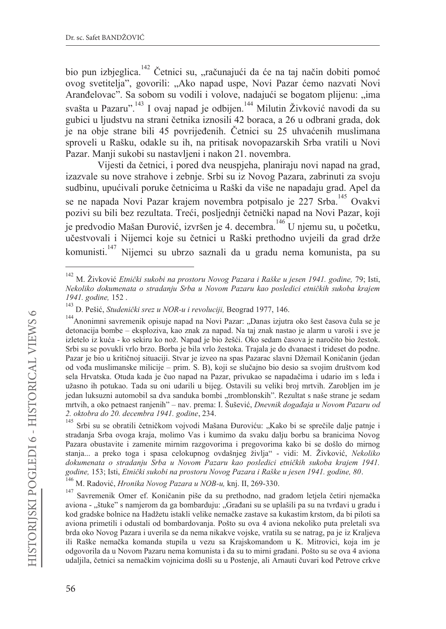bio pun izbieglica.<sup>142</sup> Četnici su, "računajući da će na taj način dobiti pomoć ovog svetitelja", govorili: "Ako napad uspe, Novi Pazar ćemo nazvati Novi Aranđelovac". Sa sobom su vodili i volove, nadajući se bogatom plijenu: "ima svašta u Pazaru".<sup>143</sup> I ovaj napad je odbijen.<sup>144</sup> Milutin Živković navodi da su gubici u ljudstvu na strani četnika iznosili 42 boraca, a 26 u odbrani grada, dok je na obje strane bili 45 povrijeđenih. Četnici su 25 uhvaćenih muslimana sproveli u Rašku, odakle su ih, na pritisak novopazarskih Srba vratili u Novi Pazar. Manji sukobi su nastavljeni i nakon 21. novembra.

Vijesti da četnici, i pored dva neuspjeha, planiraju novi napad na grad, izazvale su nove strahove i zebnje. Srbi su iz Novog Pazara, zabrinuti za svoju sudbinu, upućivali poruke četnicima u Raški da više ne napadaju grad. Apel da se ne napada Novi Pazar krajem novembra potpisalo je 227 Srba.<sup>145</sup> Ovakvi pozivi su bili bez rezultata. Treći, posljednji četnički napad na Novi Pazar, koji je predvodio Mašan Đurović, izvršen je 4. decembra.<sup>146</sup> U njemu su, u početku, učestvovali i Nijemci koje su četnici u Raški prethodno uvjejli da grad drže komunisti.<sup>147</sup> Nijemci su ubrzo saznali da u gradu nema komunista, pa su

<sup>&</sup>lt;sup>142</sup> M. Živković Etnički sukobi na prostoru Novog Pazara i Raške u jesen 1941. godine, 79; Isti, Nekoliko dokumenata o stradanju Srba u Novom Pazaru kao posledici etničkih sukoba krajem 1941. godine, 152.

<sup>&</sup>lt;sup>143</sup> D. Pešić, Studenički srez u NOR-u i revoluciji, Beograd 1977, 146.

<sup>&</sup>lt;sup>144</sup> Anonimni savremenik opisuje napad na Novi Pazar: "Danas izjutra oko šest časova čula se je detonacija bombe - eksploziva, kao znak za napad. Na taj znak nastao je alarm u varoši i sve je izletelo iz kuća - ko sekiru ko nož. Napad je bio žešći. Oko sedam časova je naročito bio žestok. Srbi su se povukli vrlo brzo. Borba je bila vrlo žestoka. Trajala je do dvanaest i trideset do podne. Pazar je bio u kritičnoj situaciji. Stvar je izveo na spas Pazarac slavni Džemail Koničanin (jedan od vođa muslimanske milicije – prim. S. B), koji se slučajno bio desio sa svojim društvom kod sela Hrvatska. Otuda kada je čuo napad na Pazar, privukao se napadačima i udario im s leđa i užasno ih potukao. Tada su oni udarili u bijeg. Ostavili su veliki broj mrtvih. Zarobljen im je jedan luksuzni automobil sa dva sanduka bombi "tromblonskih". Rezultat s naše strane je sedam mrtvih, a oko petnaest ranjenih" – nav. prema: I. Šušević, Dnevnik događaja u Novom Pazaru od 2. oktobra do 20. decembra 1941. godine, 234.

<sup>145</sup> Srbi su se obratili četničkom vojvodi Mašana Đuroviću: "Kako bi se sprečile dalje patnje i stradanja Srba ovoga kraja, molimo Vas i kumimo da svaku dalju borbu sa branicima Novog Pazara obustavite i zamenite mirnim razgovorima i pregovorima kako bi se došlo do mirnog stanja... a preko toga i spasa celokupnog ovdašnjeg življa" - vidi: M. Živković, Nekoliko dokumenata o stradanju Srba u Novom Pazaru kao posledici etničkih sukoba krajem 1941. godine, 153; Isti, Etnički sukobi na prostoru Novog Pazara i Raške u jesen 1941. godine, 80.

<sup>146</sup> M. Radović, *Hronika Novog Pazara u NOB-u*, knj. II, 269-330.

<sup>147</sup> Savremenik Omer ef. Koničanin piše da su prethodno, nad gradom letjela četiri njemačka aviona - "štuke" s namjerom da ga bombarduju: "Građani su se uplašili pa su na tvrđavi u gradu i kod gradske bolnice na Hadžetu istakli velike nemačke zastave sa kukastim krstom, da bi piloti sa aviona primetili i odustali od bombardovanja. Pošto su ova 4 aviona nekoliko puta preletali sva brda oko Novog Pazara i uverila se da nema nikakve vojske, vratila su se natrag, pa je iz Kraljeva ili Raške nemačka komanda stupila u vezu sa Krajskomandom u K. Mitrovici, koja im je odgovorila da u Novom Pazaru nema komunista i da su to mirni građani. Pošto su se ova 4 aviona udaljila, četnici sa nemačkim vojnicima došli su u Postenje, ali Arnauti čuvari kod Petrove crkve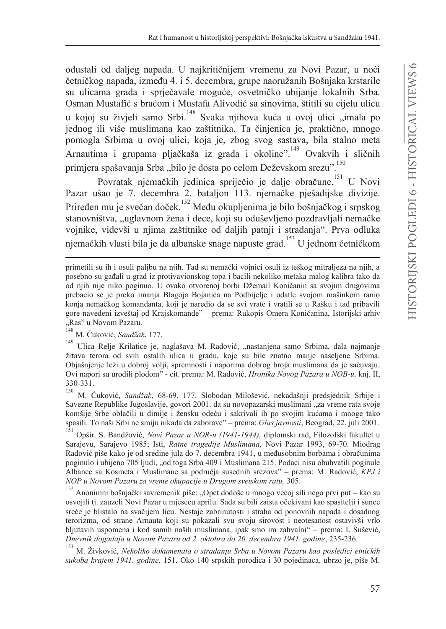odustali od daljeg napada. U najkritičnijem vremenu za Novi Pazar, u noći četničkog napada, između 4. i 5. decembra, grupe naoružanih Bošnjaka krstarile su ulicama grada i sprječavale moguće, osvetničko ubijanje lokalnih Srba. Osman Mustafić s braćom i Mustafa Alivodić sa sinovima, štitili su cijelu ulicu u kojoj su živjeli samo Srbi.<sup>148</sup> Svaka njihova kuća u ovoj ulici "imala po jednog ili više muslimana kao zaštitnika. Ta činjenica je, praktično, mnogo pomogla Srbima u ovoj ulici, koja je, zbog svog sastava, bila stalno meta Arnautima i grupama pljačkaša iz grada i okoline".<sup>149</sup> Ovakvih i sličnih primjera spašavanja Srba "bilo je dosta po celom Deževskom srezu".<sup>150</sup>

Povratak njemačkih jedinica spriječio je dalje obračune.<sup>151</sup> U Novi Pazar ušao je 7. decembra 2. bataljon 113. njemačke pješadijske divizije. Priređen mu je svečan doček.<sup>152</sup> Među okupljenima je bilo bošnjačkog i srpskog stanovništva, "uglavnom žena i dece, koji su oduševljeno pozdravljali nemačke vojnike, videvši u njima zaštitnike od daljih patnji i stradanja". Prva odluka njemačkih vlasti bila je da albanske snage napuste grad.<sup>153</sup> U jednom četničkom

primetili su ih i osuli paljbu na njih. Tad su nemački vojnici osuli iz teškog mitraljeza na njih, a posebno su gađali u grad iz protivavionskog topa i bacili nekoliko metaka malog kalibra tako da od njih nije niko poginuo. U ovako otvorenoj borbi Džemail Koničanin sa svojim drugovima prebacio se je preko imanja Blagoja Bojanića na Podbijelje i odatle svojom mašinkom ranio konja nemačkog komandanta, koji je naredio da se svi vrate i vratili se u Rašku i tad pribavili gore navedeni izveštaj od Krajskomande" - prema: Rukopis Omera Koničanina, Istorijski arhiv  $Ras''$  u Novom Pazaru.

M. Ćuković, Sandžak, 177.

<sup>149</sup> Ulica Relie Krilatice je, naglašava M. Radović, "nastanjena samo Srbima, dala najmanje žrtava terora od svih ostalih ulica u gradu, koje su bile znatno manje naseljene Srbima. Objašnjenje leži u dobroj volji, spremnosti i naporima dobrog broja muslimana da je sačuvaju. Ovi napori su urodili plodom" - cit. prema: M. Radović, *Hronika Novog Pazara u NOB-u*, knj. II, 330-331.

<sup>150</sup> M. Ćuković, Sandžak, 68-69, 177. Slobodan Milošević, nekadašnji predsjednik Srbije i Savezne Republike Jugoslavije, govori 2001. da su novopazarski muslimani "za vreme rata svoje komšije Srbe oblačili u dimije i žensku odeću i sakrivali ih po svojim kućama i mnoge tako spasili. To naši Srbi ne smiju nikada da zaborave" - prema: Glas javnosti, Beograd, 22. juli 2001.

Opšir. S. Bandžović, Novi Pazar u NOR-u (1941-1944), diplomski rad, Filozofski fakultet u Sarajevu, Sarajevo 1985; Isti, Ratne tragedije Muslimana, Novi Pazar 1993, 69-70. Miodrag Radović piše kako je od sredine jula do 7. decembra 1941, u međusobnim borbama i obračunima poginulo i ubijeno 705 ljudi, "od toga Srba 409 i Muslimana 215. Podaci nisu obuhvatili poginule Albance sa Kosmeta i Muslimane sa područja susednih srezova" - prema: M. Radović, KPJ i NOP u Novom Pazaru za vreme okupacije u Drugom svetskom ratu, 305.

<sup>152</sup> Anonimni bošnjački savremenik piše: "Opet dođoše u mnogo većoj sili nego prvi put – kao su osvojili tj. zauzeli Novi Pazar u mjesecu aprilu. Sada su bili zaista očekivani kao spasitelji i sunce sreće je blistalo na svačijem licu. Nestaje zabrinutosti i straha od ponovnih napada i dosadnog terorizma, od strane Arnauta koji su pokazali svu svoju sirovost i neotesanost ostavivši vrlo bljutavih uspomena i kod samih naših muslimana, ipak smo im zahvalni" – prema: I. Šušević, Dnevnik događaja u Novom Pazaru od 2. oktobra do 20. decembra 1941. godine, 235-236.

<sup>&</sup>lt;sup>153</sup> M. Živković, Nekoliko dokumenata o stradanju Srba u Novom Pazaru kao posledici etničkih sukoba krajem 1941. godine, 151. Oko 140 srpskih porodica i 30 pojedinaca, ubrzo je, piše M.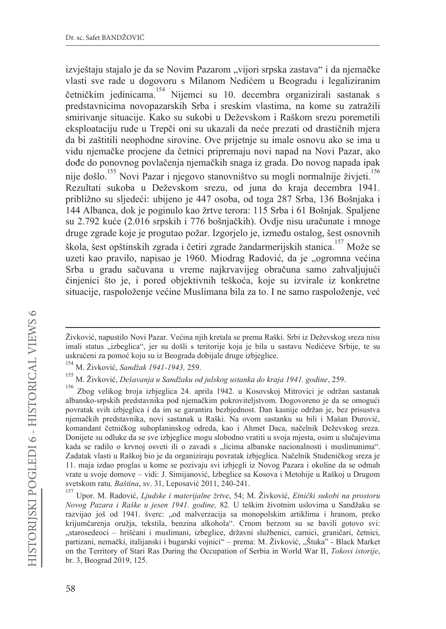izvještaju stajalo je da se Novim Pazarom "vijori srpska zastava" i da njemačke vlasti sve rade u dogovoru s Milanom Nedićem u Beogradu i legaliziranim četničkim jedinicama.<sup>154</sup> Nijemci su 10. decembra organizirali sastanak s predstavnicima novopazarskih Srba i sreskim vlastima, na kome su zatražili smirivanje situacije. Kako su sukobi u Deževskom i Raškom srezu poremetili eksploataciju rude u Trepči oni su ukazali da neće prezati od drastičnih mjera da bi zaštitili neophodne sirovine. Ove prijetnje su imale osnovu ako se ima u vidu njemačke procjene da četnici pripremaju novi napad na Novi Pazar, ako dođe do ponovnog povlačenja njemačkih snaga iz grada. Do novog napada ipak nije došlo.<sup>155</sup> Novi Pazar i njegovo stanovništvo su mogli normalnije živjeti.<sup>156</sup> Rezultati sukoba u Deževskom srezu, od juna do kraja decembra 1941. približno su sljedeći: ubijeno je 447 osoba, od toga 287 Srba, 136 Bošnjaka i 144 Albanca, dok je poginulo kao žrtve terora: 115 Srba i 61 Bošnjak. Spaljene su 2.792 kuće (2.016 srpskih i 776 bošnjačkih). Ovdje nisu uračunate i mnoge druge zgrade koje je progutao požar. Izgorjelo je, između ostalog, šest osnovnih škola, šest opštinskih zgrada i četiri zgrade žandarmerijskih stanica.<sup>157</sup> Može se uzeti kao pravilo, napisao je 1960. Miodrag Radović, da je "ogromna većina Srba u gradu sačuvana u vreme najkrvavijeg obračuna samo zahvaljujući činjenici što je, i pored objektivnih teškoća, koje su izvirale iz konkretne situacije, raspoloženje većine Muslimana bila za to. I ne samo raspoloženje, već

Živković, napustilo Novi Pazar. Većina njih kretala se prema Raški. Srbi iz Deževskog sreza nisu imali status "izbeglica", jer su došli s teritorije koja je bila u sastavu Nedićeve Srbije, te su uskraćeni za pomoć koju su iz Beograda dobijale druge izbjeglice.

<sup>154</sup> M. Živković, Sandžak 1941-1943, 259.

<sup>155</sup> M. Živković, Dešavanja u Sandžaku od julskog ustanka do kraja 1941. godine, 259.

<sup>156</sup> Zbog velikog broja izbjeglica 24. aprila 1942. u Kosovskoj Mitrovici je održan sastanak albansko-srpskih predstavnika pod njemačkim pokroviteljstvom. Dogovoreno je da se omogući povratak svih izbjeglica i da im se garantira bezbjednost. Dan kasnije održan je, bez prisustva njemačkih predstavnika, novi sastanak u Raški. Na ovom sastanku su bili i Mašan Đurović, komandant četničkog suhoplaninskog odreda, kao i Ahmet Daca, načelnik Deževskog sreza. Donijete su odluke da se sve izbjeglice mogu slobodno vratiti u svoja mjesta, osim u slučajevima kada se radilo o krvnoj osveti ili o zavadi s "licima albanske nacionalnosti i muslimanima". Zadatak vlasti u Raškoj bio je da organiziraju povratak izbjeglica. Načelnik Studeničkog sreza je 11. maja izdao proglas u kome se pozivaju svi izbjegli iz Novog Pazara i okoline da se odmah vrate u svoje domove - vidi: J. Simijanović, Izbeglice sa Kosova i Metohije u Raškoj u Drugom svetskom ratu, Baština, sv. 31, Leposavić 2011, 240-241.

<sup>&</sup>lt;sup>157</sup> Upor. M. Radović, Ljudske i materijalne žrtve, 54; M. Živković, Etnički sukobi na prostoru Novog Pazara i Raške u jesen 1941. godine, 82. U teškim životnim uslovima u Sandžaku se razvijao još od 1941. šverc: "od malverzacija sa monopolskim artiklima i hranom, preko krijumčarenja oružja, tekstila, benzina alkohola". Crnom berzom su se bavili gotovo svi: "starosedeoci – hrišćani i muslimani, izbeglice, državni službenici, carnici, graničari, četnici, partizani, nemački, italijanski i bugarski vojnici" - prema: M. Živković, "Štuka" - Black Market on the Territory of Stari Ras During the Occupation of Serbia in World War II, Tokovi istorije, br. 3, Beograd 2019, 125.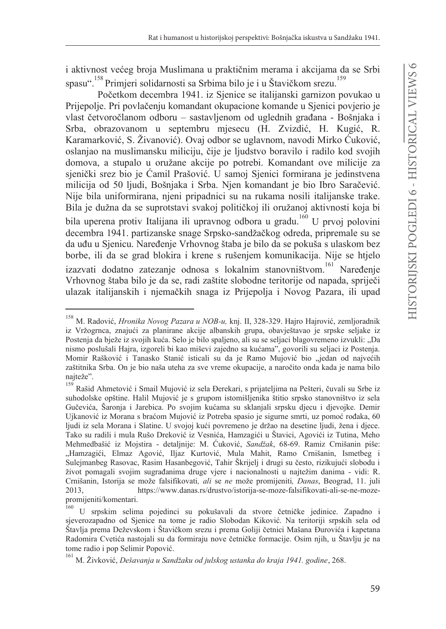i aktivnost većeg broja Muslimana u praktičnim merama i akcijama da se Srbi spasu". <sup>158</sup> Primjeri solidarnosti sa Srbima bilo je i u Štavičkom srezu.

Početkom decembra 1941. iz Sjenice se italijanski garnizon povukao u Prijepolje. Pri povlačenju komandant okupacione komande u Sjenici povjerio je vlast četvoročlanom odboru – sastavljenom od uglednih građana - Bošnjaka i Srba, obrazovanom u septembru mjesecu (H. Zvizdić, H. Kugić, R. Karamarković, S. Živanović). Ovaj odbor se uglavnom, navodi Mirko Ćuković. oslanjao na muslimansku miliciju, čije je ljudstvo boravilo i radilo kod svojih domova, a stupalo u oružane akcije po potrebi. Komandant ove milicije za sjenički srez bio je Ćamil Prašović. U samoj Sjenici formirana je jedinstvena milicija od 50 ljudi, Bošnjaka i Srba. Njen komandant je bio Ibro Saračević. Nije bila uniformirana, njeni pripadnici su na rukama nosili italijanske trake. Bila je dužna da se suprotstavi svakoj političkoj ili oružanoj aktivnosti koja bi bila uperena protiv Italijana ili upravnog odbora u gradu.<sup>160</sup> U prvoj polovini decembra 1941. partizanske snage Srpsko-sandžačkog odreda, pripremale su se da uđu u Sjenicu. Naređenje Vrhovnog štaba je bilo da se pokuša s ulaskom bez borbe, ili da se grad blokira i krene s rušenjem komunikacija. Nije se htjelo izazvati dodatno zatezanje odnosa s lokalnim stanovništvom.<sup>161</sup> Naređenie Vrhovnog štaba bilo je da se, radi zaštite slobodne teritorije od napada, spriječi ulazak italijanskih i njemačkih snaga iz Prijepolja i Novog Pazara, ili upad

<sup>158</sup> M. Radović, Hronika Novog Pazara u NOB-u, knj. II, 328-329. Hajro Hajrović, zemljoradnik iz Vržogrnca, znajući za planirane akcije albanskih grupa, obavještavao je srpske seljake iz Postenja da bježe iz svojih kuća. Selo je bilo spaljeno, ali su se seljaci blagovremeno izvukli: "Da nismo poslušali Hajra, izgoreli bi kao miševi zajedno sa kućama", govorili su seljaci iz Postenja. Momir Rašković i Tanasko Stanić isticali su da je Ramo Mujović bio "jedan od najvećih zaštitnika Srba. On je bio naša uteha za sve vreme okupacije, a naročito onda kada je nama bilo naiteže".

<sup>159</sup> Rašid Ahmetović i Smail Mujović iz sela Đerekari, s prijateljima na Pešteri, čuvali su Srbe iz suhodolske opštine. Halil Mujović je s grupom istomišljenika štitio srpsko stanovništvo iz sela Gučevića, Šaronja i Jarebica. Po svojim kućama su sklanjali srpsku djecu i djevojke. Demir Ujkanović iz Morana s braćom Mujović iz Potreba spasio je sigurne smrti, uz pomoć rođaka, 60 ljudi iz sela Morana i Slatine. U svojoj kući povremeno je držao na desetine ljudi, žena i djece. Tako su radili i mula Rušo Dreković iz Vesnića, Hamzagići u Štavici, Agovići iz Tutina, Meho Mehmedbašić iz Mojstira - detaljnije: M. Ćuković, Sandžak, 68-69. Ramiz Crnišanin piše: "Hamzagići, Elmaz Agović, Iljaz Kurtović, Mula Mahit, Ramo Crnišanin, Ismetbeg i Sulejmanbeg Rasovac, Rasim Hasanbegović, Tahir Škrijelj i drugi su često, rizikujući slobodu i život pomagali svojim sugrađanima druge vjere i nacionalnosti u najtežim danima - vidi: R. Crnišanin, Istorija se može falsifikovati, ali se ne može promijeniti, Danas, Beograd, 11. juli 2013. https://www.danas.rs/drustvo/istorija-se-moze-falsifikovati-ali-se-ne-mozepromijeniti/komentari.

<sup>160</sup> U srpskim selima pojedinci su pokušavali da stvore četničke jedinice. Zapadno i sjeverozapadno od Sjenice na tome je radio Slobodan Kiković. Na teritoriji srpskih sela od Štavlja prema Deževskom i Štavičkom srezu i prema Goliji četnici Mašana Đurovića i kapetana Radomira Cvetića nastojali su da formiraju nove četničke formacije. Osim njih, u Štavlju je na tome radio i pop Selimir Popović.

<sup>&</sup>lt;sup>161</sup> M. Živković, Dešavanja u Sandžaku od julskog ustanka do kraja 1941. godine, 268.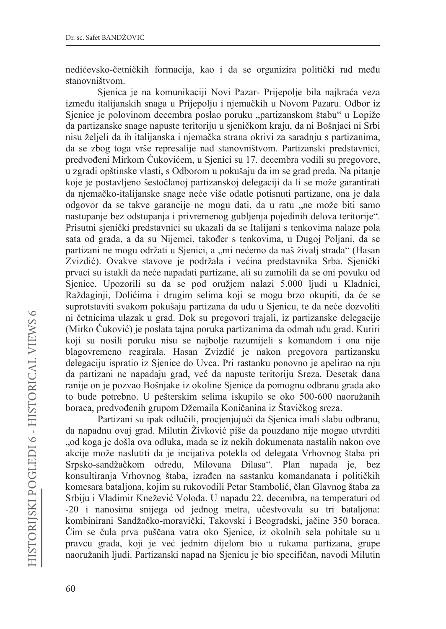nedićevsko-četničkih formacija, kao i da se organizira politički rad među stanovništvom.

Sjenica je na komunikaciji Novi Pazar- Prijepolje bila najkraća veza između italijanskih snaga u Prijepolju i njemačkih u Novom Pazaru. Odbor iz Sjenice je polovinom decembra poslao poruku "partizanskom štabu" u Lopiže da partizanske snage napuste teritoriju u sjeničkom kraju, da ni Bošnjaci ni Srbi nisu željeli da ih italijanska i njemačka strana okrivi za saradnju s partizanima, da se zbog toga vrše represalije nad stanovništvom. Partizanski predstavnici, predvođeni Mirkom Ćukovićem, u Sjenici su 17. decembra vodili su pregovore, u zgradi opštinske vlasti, s Odborom u pokušaju da im se grad preda. Na pitanje koje je postavljeno šestočlanoj partizanskoj delegaciji da li se može garantirati da njemačko-italijanske snage neće više odatle potisnuti partizane, ona je dala odgovor da se takve garancije ne mogu dati, da u ratu "ne može biti samo nastupanje bez odstupanja i privremenog gubljenja pojedinih delova teritorije". Prisutni sjenički predstavnici su ukazali da se Italijani s tenkovima nalaze pola sata od grada, a da su Nijemci, također s tenkovima, u Dugoj Poljani, da se partizani ne mogu održati u Sjenici, a "mi nećemo da naš živalj strada" (Hasan Zvizdić). Ovakve stavove je podržala i većina predstavnika Srba. Sjenički prvaci su istakli da neće napadati partizane, ali su zamolili da se oni povuku od Sjenice. Upozorili su da se pod oružjem nalazi 5.000 ljudi u Kladnici, Raždaginji, Dolićima i drugim selima koji se mogu brzo okupiti, da će se suprotstaviti svakom pokušaju partizana da uđu u Sjenicu, te da neće dozvoliti ni četnicima ulazak u grad. Dok su pregovori trajali, iz partizanske delegacije (Mirko Ćuković) je poslata tajna poruka partizanima da odmah uđu grad. Kuriri koji su nosili poruku nisu se najbolje razumijeli s komandom i ona nije blagovremeno reagirala. Hasan Zvizdić je nakon pregovora partizansku delegaciju ispratio iz Sjenice do Uvca. Pri rastanku ponovno je apelirao na nju da partizani ne napadaju grad, već da napuste teritoriju Sreza. Desetak dana ranije on je pozvao Bošnjake iz okoline Sjenice da pomognu odbranu grada ako to bude potrebno. U pešterskim selima iskupilo se oko 500-600 naoružanih boraca, predvođenih grupom Džemaila Koničanina iz Štavičkog sreza.

Partizani su ipak odlučili, procjenjujući da Sjenica imali slabu odbranu, da napadnu ovaj grad. Milutin Živković piše da pouzdano nije mogao utvrditi "od koga je došla ova odluka, mada se iz nekih dokumenata nastalih nakon ove akcije može naslutiti da je incijativa potekla od delegata Vrhovnog štaba pri Srpsko-sandžačkom određu, Milovana Đilasa". Plan napada je, bez konsultiranja Vrhovnog štaba, izrađen na sastanku komandanata i političkih komesara bataljona, kojim su rukovodili Petar Stambolić, član Glavnog štaba za Srbiju i Vladimir Knežević Volođa. U napadu 22. decembra, na temperaturi od -20 i nanosima snijega od jednog metra, učestvovala su tri bataljona: kombinirani Sandžačko-moravički, Takovski i Beogradski, jačine 350 boraca. Čim se čula prva puščana vatra oko Sjenice, iz okolnih sela pohitale su u pravcu grada, koji je već jednim dijelom bio u rukama partizana, grupe naoružanih ljudi. Partizanski napad na Sjenicu je bio specifičan, navodi Milutin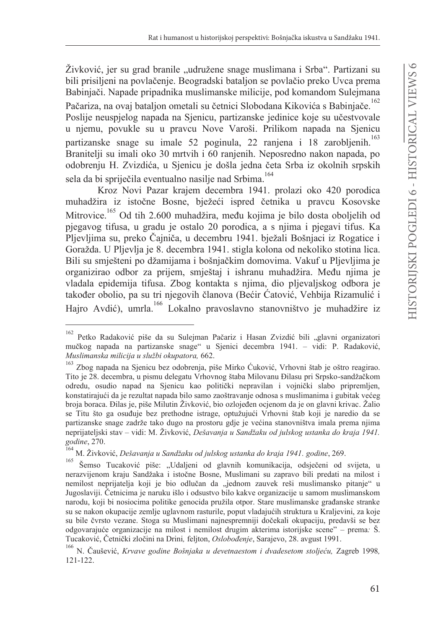Živković, jer su grad branile "udružene snage muslimana i Srba". Partizani su bili prisiljeni na povlačenje. Beogradski bataljon se povlačio preko Uvca prema Babinjači. Napade pripadnika muslimanske milicije, pod komandom Sulejmana

Pačariza, na ovaj bataljon ometali su četnici Slobodana Kikovića s Babinjače.<sup>162</sup> Poslije neuspjelog napada na Sjenicu, partizanske jedinice koje su učestvovale u njemu, povukle su u pravcu Nove Varoši. Prilikom napada na Sjenicu partizanske snage su imale 52 poginula, 22 ranjena i 18 zarobljenih.<sup>163</sup> Branitelji su imali oko 30 mrtvih i 60 ranjenih. Neposredno nakon napada, po odobrenju H. Zvizdića, u Sjenicu je došla jedna četa Srba iz okolnih srpskih sela da bi spriječila eventualno nasilje nad Srbima.<sup>164</sup>

Kroz Novi Pazar krajem decembra 1941. prolazi oko 420 porodica muhadžira iz istočne Bosne, bježeći ispred četnika u pravcu Kosovske Mitrovice.<sup>165</sup> Od tih 2.600 muhadžira, među kojima je bilo dosta oboljelih od pjegavog tifusa, u gradu je ostalo 20 porodica, a s njima i pjegavi tifus. Ka Pljevljima su, preko Čajniča, u decembru 1941. bježali Bošnjaci iz Rogatice i Goražda. U Pljevlja je 8. decembra 1941. stigla kolona od nekoliko stotina lica. Bili su smješteni po džamijama i bošnjačkim domovima. Vakuf u Pljevljima je organizirao odbor za prijem, smještaj i ishranu muhadžira. Među njima je vladala epidemija tifusa. Zbog kontakta s njima, dio pljevaljskog odbora je također obolio, pa su tri njegovih članova (Bećir Ćatović, Vehbija Rizamulić i Hajro Avdić), umrla.<sup>166</sup> Lokalno pravoslavno stanovništvo je muhadžire iz

<sup>162</sup> Petko Radaković piše da su Sulejman Pačariz i Hasan Zvizdić bili "glavni organizatori mučkog napada na partizanske snage" u Sjenici decembra 1941. – vidi: P. Radaković, Muslimanska milicija u službi okupatora, 662.

Zbog napada na Sjenicu bez odobrenja, piše Mirko Ćuković, Vrhovni štab je oštro reagirao. Tito je 28. decembra, u pismu delegatu Vrhovnog štaba Milovanu Đilasu pri Srpsko-sandžačkom odredu, osudio napad na Sjenicu kao politički nepravilan i vojnički slabo pripremljen, konstatirajući da je rezultat napada bilo samo zaoštravanje odnosa s muslimanima i gubitak većeg broja boraca. Đilas je, piše Milutin Živković, bio ozlojeđen ocjenom da je on glavni krivac. Žalio se Titu što ga osuđuje bez prethodne istrage, optužujući Vrhovni štab koji je naredio da se partizanske snage zadrže tako dugo na prostoru gdje je većina stanovništva imala prema njima neprijateljski stav – vidi: M. Živković, Dešavanja u Sandžaku od julskog ustanka do kraja 1941. godine, 270.

 $164$ M. Živković, Dešavanja u Sandžaku od julskog ustanka do kraja 1941. godine, 269.

<sup>165</sup> Šemso Tucaković piše: "Udaljeni od glavnih komunikacija, odsječeni od svijeta, u nerazvijenom kraju Sandžaka i istočne Bosne, Muslimani su zapravo bili predati na milost i nemilost neprijatelja koji je bio odlučan da "jednom zauvek reši muslimansko pitanje" u Jugoslaviji. Četnicima je naruku išlo i odsustvo bilo kakve organizacije u samom muslimanskom narodu, koji bi nosiocima politike genocida pružila otpor. Stare muslimanske građanske stranke su se nakon okupacije zemlje uglavnom rasturile, poput vladajućih struktura u Kraljevini, za koje su bile čvrsto vezane. Stoga su Muslimani najnespremniji dočekali okupaciju, predavši se bez odgovarajuće organizacije na milost i nemilost drugim akterima istorijske scene" – prema: Š. Tucaković, Četnički zločini na Drini, feljton, Oslobođenje, Sarajevo, 28. avgust 1991.

<sup>166</sup> N. Čaušević, Krvave godine Bošnjaka u devetnaestom i dvadesetom stoljeću, Zagreb 1998,  $121 - 122$ .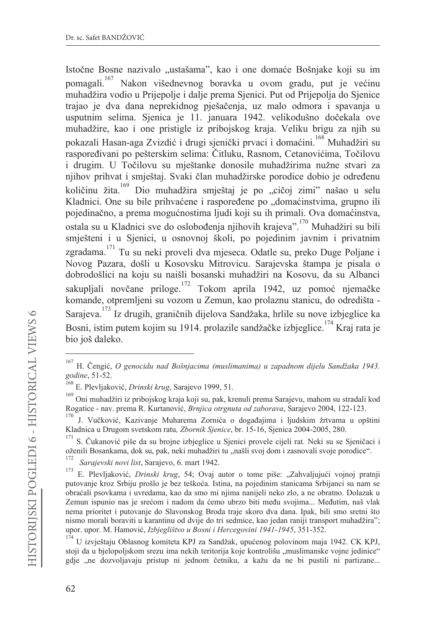Istočne Bosne nazivalo "ustašama", kao i one domaće Bošnjake koji su im pomagali.<sup>167</sup> Nakon višednevnog boravka u ovom gradu, put je većinu muhadžira vodio u Prijepolje i dalje prema Sjenici. Put od Prijepolja do Sjenice trajao je dva dana neprekidnog pješačenja, uz malo odmora i spavanja u usputnim selima. Sjenica je 11. januara 1942. velikodušno dočekala ove muhadžire, kao i one pristigle iz pribojskog kraja. Veliku brigu za njih su pokazali Hasan-aga Zvizdić i drugi sjenički prvaci i domaćini.<sup>168</sup> Muhadžiri su raspoređivani po pešterskim selima: Čitluku, Rasnom, Cetanovićima, Točilovu i drugim. U Točilovu su mještanke donosile muhadžirima nužne stvari za njihov prihvat i smještaj. Svaki član muhadžirske porodice dobio je određenu količinu žita.<sup>169</sup> Dio muhadžira smještaj je po "cičoj zimi" našao u selu Kladnici. One su bile prihvaćene i raspoređene po "domaćinstvima, grupno ili pojedinačno, a prema mogućnostima ljudi koji su ih primali. Ova domaćinstva, ostala su u Kladnici sve do oslobođenja njihovih krajeva".<sup>170</sup> Muhadžiri su bili smješteni i u Sjenici, u osnovnoj školi, po pojedinim javnim i privatnim zgradama.<sup>171</sup> Tu su neki proveli dva mjeseca. Odatle su, preko Duge Poljane i Novog Pazara, došli u Kosovsku Mitrovicu. Sarajevska štampa je pisala o dobrodošlici na koju su naišli bosanski muhadžiri na Kosovu, da su Albanci sakupljali novčane priloge.<sup>172</sup> Tokom aprila 1942, uz pomoć njemačke komande, otpremljeni su vozom u Zemun, kao prolaznu stanicu, do odredišta -Saraieva.<sup>173</sup> Iz drugih. graničnih dijelova Sandžaka, hrlile su nove izbjeglice ka Bosni, istim putem kojim su 1914. prolazile sandžačke izbjeglice.<sup>174</sup> Kraj rata je bio još daleko.

H. Čengić, O genocidu nad Bošnjacima (muslimanima) u zapadnom dijelu Sandžaka 1943. godine, 51-52.

<sup>&</sup>lt;sup>168</sup> E. Plevljaković, *Drinski krug*, Sarajevo 1999, 51.

<sup>169</sup> Oni muhadžiri iz pribojskog kraja koji su, pak, krenuli prema Sarajevu, mahom su stradali kod Rogatice - nav. prema R. Kurtanović, Brnjica otrgnuta od zaborava, Sarajevo 2004, 122-123.

J. Vučković, Kazivanje Muharema Zornića o događajima i ljudskim žrtvama u opštini Kladnica u Drugom svetskom ratu, Zbornik Sjenice, br. 15-16, Sjenica 2004-2005, 280.

<sup>&</sup>lt;sup>171</sup> S. Čukanović piše da su brojne izbjeglice u Sjenici provele cijeli rat. Neki su se Sjeničaci i oženili Bosankama, dok su, pak, neki muhadžiri tu "našli svoj dom i zasnovali svoje porodice".

<sup>172</sup> Sarajevski novi list, Sarajevo, 6. mart 1942.

<sup>173</sup> E. Plevljaković, Drinski krug, 54; Ovaj autor o tome piše: "Zahvaljujući vojnoj pratnji putovanje kroz Srbiju prošlo je bez teškoća. Istina, na pojedinim stanicama Srbijanci su nam se obraćali psovkama i uvredama, kao da smo mi njima nanijeli neko zlo, a ne obratno. Dolazak u Zemun ispunio nas je srećom i nadom da ćemo ubrzo biti među svojima... Međutim, naš vlak nema prioritet i putovanje do Slavonskog Broda traje skoro dva dana. Ipak, bili smo sretni što nismo morali boraviti u karantinu od dvije do tri sedmice, kao jedan raniji transport muhadžira"; upor. upor. M. Hamović, Izbjeglištvo u Bosni i Hercegovini 1941-1945, 351-352.

<sup>174</sup> U izvještaju Oblasnog komiteta KPJ za Sandžak, upućenog polovinom maja 1942. CK KPJ, stoji da u bjelopoljskom srezu ima nekih teritorija koje kontrolišu "muslimanske vojne jedinice" gdje "ne dozvoljavaju pristup ni jednom četniku, a kažu da ne bi pustili ni partizane...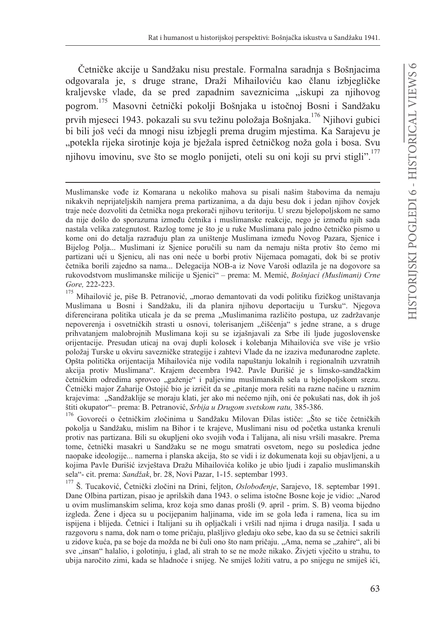Četničke akcije u Sandžaku nisu prestale. Formalna saradnja s Bošnjacima odgovarala je, s druge strane, Draži Mihailoviću kao članu izbjegličke kraljevske vlade, da se pred zapadnim saveznicima "iskupi za njihovog pogrom.<sup>175</sup> Masovni četnički pokolji Bošnjaka u istočnoj Bosni i Sandžaku prvih mjeseci 1943. pokazali su svu težinu položaja Bošnjaka. <sup>176</sup> Njihovi gubici bi bili još veći da mnogi nisu izbjegli prema drugim mjestima. Ka Sarajevu je "potekla rijeka sirotinje koja je bježala ispred četničkog noža gola i bosa. Svu njihovu imovinu, sve što se moglo ponijeti, oteli su oni koji su prvi stigli".<sup>177</sup>

Govoreći o četničkim zločinima u Sandžaku Milovan Đilas ističe: "Što se tiče četničkih pokolja u Sandžaku, mislim na Bihor i te krajeve, Muslimani nisu od početka ustanka krenuli protiv nas partizana. Bili su okupljeni oko svojih vođa i Talijana, ali nisu vršili masakre. Prema tome, četnički masakri u Sandžaku se ne mogu smatrati osvetom, nego su posledica jedne naopake ideologije... namerna i planska akcija, što se vidi i iz dokumenata koji su objavljeni, a u kojima Pavle Đurišić izvještava Dražu Mihailovića koliko je ubio ljudi i zapalio muslimanskih sela"- cit. prema: Sandžak, br. 28, Novi Pazar, 1-15. septembar 1993.

Š. Tucaković, Četnički zločini na Drini, feljton, Oslobođenje, Sarajevo, 18. septembar 1991. Dane Olbina partizan, pisao je aprilskih dana 1943. o selima istočne Bosne koje je vidio: "Narod u ovim muslimanskim selima, kroz koja smo danas prošli (9. april - prim. S. B) veoma bijedno izgleda. Žene i djeca su u pocijepanim haljinama, vide im se gola leđa i ramena, lica su im ispijena i blijeda. Četnici i Italijani su ih opljačkali i vršili nad njima i druga nasilja. I sada u razgovoru s nama, dok nam o tome pričaju, plašljivo gledaju oko sebe, kao da su se četnici sakrili u zidove kuća, pa se boje da možda ne bi čuli ono što nam pričaju. "Ama, nema se "zahire", ali bi sve "insan" halalio, i golotinju, i glad, ali strah to se ne može nikako. Živjeti vječito u strahu, to ubija naročito zimi, kada se hladnoće i snijeg. Ne smiješ ložiti vatru, a po snijegu ne smiješ ići,

Muslimanske vođe iz Komarana u nekoliko mahova su pisali našim štabovima da nemaju nikakvih neprijateljskih namjera prema partizanima, a da daju besu dok i jedan njihov čovjek traje neće dozvoliti da četnička noga prekorači njihovu teritoriju. U srezu bjelopoljskom ne samo da nije došlo do sporazuma između četnika i muslimanske reakcije, nego je između nijh sada nastala velika zategnutost. Razlog tome je što je u ruke Muslimana palo jedno četničko pismo u kome oni do detalja razrađuju plan za uništenje Muslimana između Novog Pazara, Sjenice i Bijelog Polja... Muslimani iz Sjenice poručili su nam da nemaju ništa protiv što ćemo mi partizani ući u Sjenicu, ali nas oni neće u borbi protiv Nijemaca pomagati, dok bi se protiv četnika borili zajedno sa nama... Delegacija NOB-a iz Nove Varoši odlazila je na dogovore sa rukovodstvom muslimanske milicije u Sjenici" – prema: M. Memić, Bošnjaci (Muslimani) Crne Gore, 222-223.

<sup>175</sup> Mihailović je, piše B. Petranović, "morao demantovati da vodi politiku fizičkog uništavanja Muslimana u Bosni i Sandžaku, ili da planira njihovu deportaciju u Tursku". Njegova diferencirana politika uticala je da se prema "Muslimanima različito postupa, uz zadržavanje nepoverenja i osvetničkih strasti u osnovi, tolerisanjem "čišćenja" s jedne strane, a s druge prihvatanjem malobrojnih Muslimana koji su se izjašnjavali za Srbe ili ljude jugoslovenske orijentacije. Presudan uticaj na ovaj dupli kolosek i kolebanja Mihailovića sve više je vršio položaj Turske u okviru savezničke strategije i zahtevi Vlade da ne izaziva međunarodne zaplete. Opšta politička orijentacija Mihailovića nije vodila napuštanju lokalnih i regionalnih uzvratnih akcija protiv Muslimana". Krajem decembra 1942. Pavle Đurišić je s limsko-sandžačkim četničkim odredima sproveo "gaženje" i paljevinu muslimanskih sela u bjelopoljskom srezu. Četnički major Zaharije Ostojić bio je izričit da se "pitanje mora rešiti na razne načine u raznim krajevima: "Sandžaklije se moraju klati, jer ako mi nećemo njih, oni će pokušati nas, dok ih još štiti okupator" – prema: B. Petranović, Srbija u Drugom svetskom ratu, 385-386.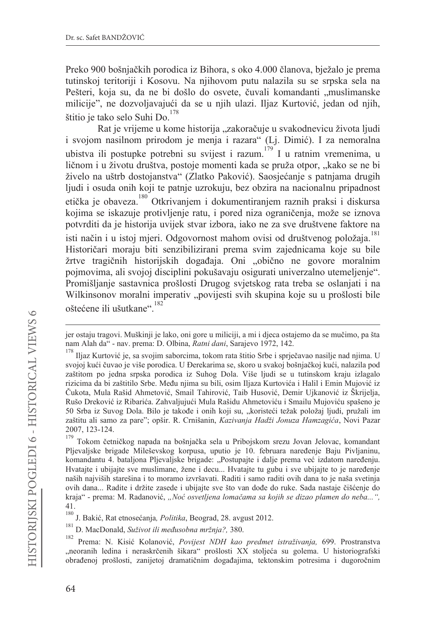Preko 900 bošnjačkih porodica iz Bihora, s oko 4.000 članova, bježalo je prema tutinskoj teritoriji i Kosovu. Na njihovom putu nalazila su se srpska sela na Pešteri, koja su, da ne bi došlo do osvete, čuvali komandanti "muslimanske milicije", ne dozvoljavajući da se u njih ulazi. Iljaz Kurtović, jedan od njih, štitio je tako selo Suhi Do.<sup>178</sup>

Rat je vrijeme u kome historija "zakoračuje u svakodnevicu života ljudi i svojom nasilnom prirodom je menja i razara" (Li. Dimić). I za nemoralna ubistva ili postupke potrebni su svijest i razum.<sup>179</sup> I u ratnim vremenima, u ličnom i u životu društva, postoje momenti kada se pruža otpor, "kako se ne bi živelo na uštrb dostojanstva" (Zlatko Paković). Saosjećanje s patnjama drugih ljudi i osuda onih koji te patnje uzrokuju, bez obzira na nacionalnu pripadnost etička je obaveza.<sup>180</sup> Otkrivanjem i dokumentiranjem raznih praksi i diskursa kojima se iskazuje protivljenje ratu, i pored niza ograničenja, može se iznova potvrditi da je historija uvijek stvar izbora, iako ne za sve društvene faktore na isti način i u istoj mjeri. Odgovornost mahom ovisi od društvenog položaja.<sup>181</sup> Historičari moraju biti senzibilizirani prema svim zajednicama koje su bile žrtve tragičnih historijskih događaja. Oni "obično ne govore moralnim pojmovima, ali svojoj disciplini pokušavaju osigurati univerzalno utemeljenje". Promišljanje sastavnica prošlosti Drugog svjetskog rata treba se oslanjati i na Wilkinsonov moralni imperativ "povijesti svih skupina koje su u prošlosti bile oštećene ili ušutkane".<sup>182</sup>

jer ostaju tragovi. Muškinji je lako, oni gore u miliciji, a mi i djeca ostajemo da se mučimo, pa šta nam Alah da" - nav. prema: D. Olbina, Ratni dani, Sarajevo 1972, 142.

Iljaz Kurtović je, sa svojim saborcima, tokom rata štitio Srbe i sprječavao nasilje nad njima. U svojoj kući čuvao je više porodica. U Đerekarima se, skoro u svakoj bošnjačkoj kući, nalazila pod zaštitom po jedna srpska porodica iz Suhog Dola. Više ljudi se u tutinskom kraju izlagalo rizicima da bi zaštitilo Srbe. Među njima su bili, osim Iljaza Kurtovića i Halil i Emin Mujović iz Čukota, Mula Rašid Ahmetović, Smail Tahirović, Taib Husović, Demir Ujkanović iz Škrijelja, Rušo Dreković iz Ribarića. Zahvaljujući Mula Rašidu Ahmetoviću i Smailu Mujoviću spašeno je 50 Srba iz Suvog Dola. Bilo je takođe i onih koji su, "koristeći težak položaj ljudi, pružali im zaštitu ali samo za pare"; opšir. R. Crnišanin, Kazivanja Hadži Jonuza Hamzagića, Novi Pazar 2007, 123-124.

<sup>179</sup> Tokom četničkog napada na bošnjačka sela u Pribojskom srezu Jovan Jelovac, komandant Pljevaljske brigade Mileševskog korpusa, uputio je 10. februara naređenje Baju Pivljaninu, komandantu 4. bataljona Pljevaljske brigade: "Postupajte i dalje prema već izdatom naređenju. Hvatajte i ubijajte sve muslimane, žene i decu... Hvatajte tu gubu i sve ubijajte to je naređenje naših najviših starešina i to moramo izvršavati. Raditi i samo raditi ovih dana to je naša svetinja ovih dana... Radite i držite zasede i ubijajte sve što van dođe do ruke. Sada nastaje čišćenje do kraja" - prema: M. Radanović, "Noć osvetljena lomačama sa kojih se dizao plamen do neba...", 41.

<sup>180</sup> J. Bakić, Rat etnosećanja, Politika, Beograd, 28. avgust 2012.

<sup>181</sup> D. MacDonald, Suživot ili međusobna mržnja?, 380.

<sup>182</sup> Prema: N. Kisić Kolanović, Povijest NDH kao predmet istraživanja, 699. Prostranstva "neoranih ledina i neraskrčenih šikara" prošlosti XX stoljeća su golema. U historiografski obrađenoj prošlosti, zanijetoj dramatičnim događajima, tektonskim potresima i dugoročnim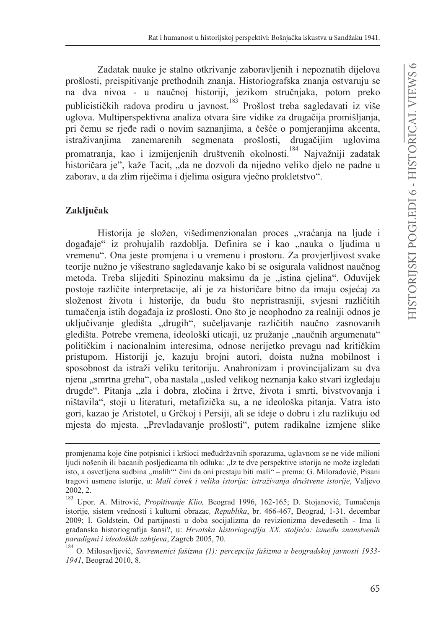Zadatak nauke je stalno otkrivanje zaboravljenih i nepoznatih dijelova prošlosti, preispitivanje prethodnih znanja. Historiografska znanja ostvaruju se na dva nivoa - u naučnoj historiji, jezikom stručnjaka, potom preko publicističkih radova prodiru u javnost.<sup>183</sup> Prošlost treba sagledavati iz više uglova. Multiperspektivna analiza otvara šire vidike za drugačija promišljanja, pri čemu se rjeđe radi o novim saznanjima, a češće o pomjeranjima akcenta, istraživanijma zanemarenih segmenata prošlosti, drugačijim uglovima promatranja, kao i izmijenjenih društvenih okolnosti.<sup>184</sup> Najvažniji zadatak historičara je", kaže Tacit, "da ne dozvoli da nijedno veliko djelo ne padne u zaborav, a da zlim riječima i djelima osigura vječno prokletstvo".

#### Zaključak

Historija je složen, višedimenzionalan proces "vraćanja na ljude i događaje" iz prohujalih razdoblja. Definira se i kao "nauka o ljudima u vremenu". Ona jeste promjena i u vremenu i prostoru. Za provjerljivost svake teorije nužno je višestrano sagledavanje kako bi se osigurala validnost naučnog metoda. Treba slijediti Spinozinu maksimu da je "istina cielina". Oduvijek postoje različite interpretacije, ali je za historičare bitno da imaju osjećaj za složenost života i historije, da budu što nepristrasniji, svjesni različitih tumačenja istih događaja iz prošlosti. Ono što je neophodno za realniji odnos je uključivanje gledišta "drugih", sučeljavanje različitih naučno zasnovanih gledišta. Potrebe vremena, ideološki uticaji, uz pružanje "naučnih argumenata" političkim i nacionalnim interesima, odnose nerijetko prevagu nad kritičkim pristupom. Historiji je, kazuju brojni autori, doista nužna mobilnost i sposobnost da istraži veliku teritoriju. Anahronizam i provincijalizam su dva njena "smrtna greha", oba nastala "usled velikog neznanja kako stvari izgledaju drugde". Pitanja "zla i dobra, zločina i žrtve, života i smrti, bivstvovanja i ništavila", stoji u literaturi, metafizička su, a ne ideološka pitanja. Vatra isto gori, kazao je Aristotel, u Grčkoj i Persiji, ali se ideje o dobru i zlu razlikuju od mjesta do mjesta. "Prevladavanje prošlosti", putem radikalne izmjene slike

promjenama koje čine potpisnici i kršioci međudržavnih sporazuma, uglavnom se ne vide milioni ljudi nošenih ili bacanih posljedicama tih odluka: "Iz te dve perspektive istorija ne može izgledati isto, a osvetljena sudbina "malih" čini da oni prestaju biti mali" – prema: G. Miloradović, Pisani tragovi usmene istorije, u: Mali čovek i velika istorija: istraživanja društvene istorije, Valjevo 2002.2.

Upor. A. Mitrović, Propitivanje Klio, Beograd 1996, 162-165; D. Stojanović, Tumačenja istorije, sistem vrednosti i kulturni obrazac, Republika, br. 466-467, Beograd, 1-31. decembar 2009; I. Goldstein, Od partijnosti u doba socijalizma do revizionizma devedesetih - Ima li građanska historiografija šansi?, u: Hrvatska historiografija XX. stoljeća: između znanstvenih paradigmi i ideoloških zahtjeva, Zagreb 2005, 70.

<sup>184</sup> O. Milosavliević, Savremenici fašizma (1): percepcija fašizma u beogradskoj javnosti 1933-1941, Beograd 2010, 8.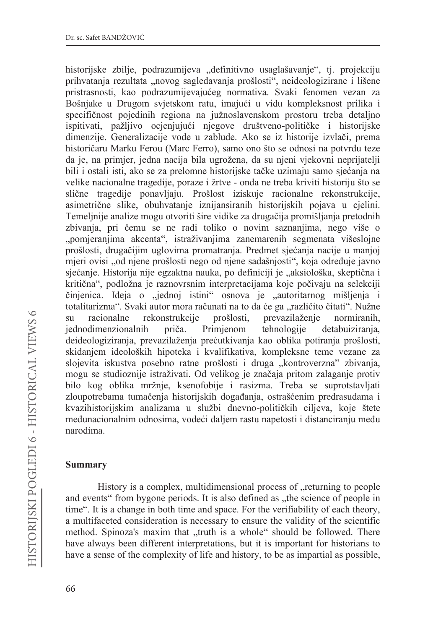historijske zbilje, podrazumijeva "definitivno usaglašavanje", tj. projekciju prihvatanja rezultata "novog sagledavanja prošlosti", neideologizirane i lišene pristrasnosti, kao podrazumijevajućeg normativa. Svaki fenomen vezan za Bošnjake u Drugom svjetskom ratu, imajući u vidu kompleksnost prilika i specifičnost pojedinih regiona na južnoslavenskom prostoru treba detaljno ispitivati, pažljivo ocjenjujući njegove društveno-političke i historijske dimenzije. Generalizacije vode u zablude. Ako se iz historije izvlači, prema historičaru Marku Ferou (Marc Ferro), samo ono što se odnosi na potvrdu teze da je, na primjer, jedna nacija bila ugrožena, da su njeni vjekovni neprijatelji bili i ostali isti, ako se za prelomne historijske tačke uzimaju samo sjećanja na velike nacionalne tragedije, poraze i žrtve - onda ne treba kriviti historiju što se slične tragedije ponavljaju. Prošlost iziskuje racionalne rekonstrukcije, asimetrične slike, obuhvatanje iznijansiranih historijskih pojava u cjelini. Temeljnije analize mogu otvoriti šire vidike za drugačija promišljanja pretodnih zbivanja, pri čemu se ne radi toliko o novim saznanjima, nego više o "pomjeranjima akcenta", istraživanjima zanemarenih segmenata višeslojne prošlosti, drugačijim uglovima promatranja. Predmet sjećanja nacije u manjoj mjeri ovisi "od njene prošlosti nego od njene sadašnjosti", koja određuje javno sjećanje. Historija nije egzaktna nauka, po definiciji je "aksiološka, skeptična i kritična", podložna je raznovrsnim interpretacijama koje počivaju na selekciji činjenica. Ideja o "jednoj istini" osnova je "autoritarnog mišljenja i totalitarizma". Svaki autor mora računati na to da će ga "različito čitati". Nužne racionalne rekonstrukcije prošlosti, prevazilaženje normiranih,  $\overline{\rm su}$ iednodimenzionalnih priča. Primienom tehnologiie detabuizirania. deideologiziranja, prevazilaženja prećutkivanja kao oblika potiranja prošlosti, skidanjem ideoloških hipoteka i kvalifikativa, kompleksne teme vezane za slojevita iskustva posebno ratne prošlosti i druga "kontroverzna" zbivanja, mogu se studioznije istraživati. Od velikog je značaja pritom zalaganje protiv bilo kog oblika mržnje, ksenofobije i rasizma. Treba se suprotstavljati zloupotrebama tumačenja historijskih događanja, ostrašćenim predrasudama i kvazihistorijskim analizama u službi dnevno-političkih ciljeva, koje štete međunacionalnim odnosima, vodeći daljem rastu napetosti i distanciranju među narodima

## **Summary**

History is a complex, multidimensional process of "returning to people and events" from bygone periods. It is also defined as "the science of people in time". It is a change in both time and space. For the verifiability of each theory, a multifaceted consideration is necessary to ensure the validity of the scientific method. Spinoza's maxim that "truth is a whole" should be followed. There have always been different interpretations, but it is important for historians to have a sense of the complexity of life and history, to be as impartial as possible,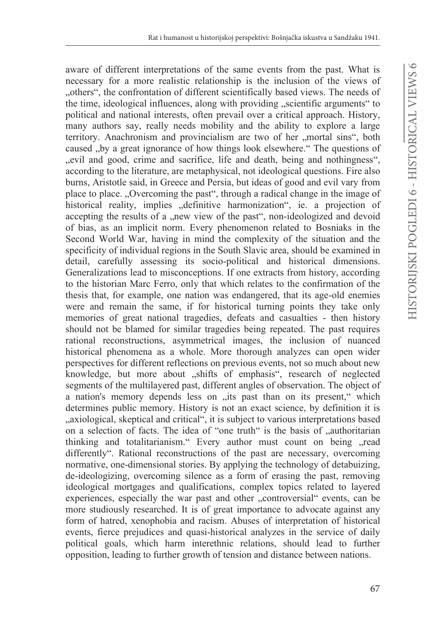aware of different interpretations of the same events from the past. What is necessary for a more realistic relationship is the inclusion of the views of "others", the confrontation of different scientifically based views. The needs of the time, ideological influences, along with providing "scientific arguments" to political and national interests, often prevail over a critical approach. History, many authors say, really needs mobility and the ability to explore a large territory. Anachronism and provincialism are two of her "mortal sins", both caused "by a great ignorance of how things look elsewhere." The questions of "evil and good, crime and sacrifice, life and death, being and nothingness", according to the literature, are metaphysical, not ideological questions. Fire also burns, Aristotle said, in Greece and Persia, but ideas of good and evil vary from place to place. "Overcoming the past", through a radical change in the image of historical reality, implies "definitive harmonization", ie. a projection of accepting the results of a "new view of the past", non-ideologized and devoid of bias, as an implicit norm. Every phenomenon related to Bosniaks in the Second World War, having in mind the complexity of the situation and the specificity of individual regions in the South Slavic area, should be examined in detail, carefully assessing its socio-political and historical dimensions. Generalizations lead to misconceptions. If one extracts from history, according to the historian Marc Ferro, only that which relates to the confirmation of the thesis that, for example, one nation was endangered, that its age-old enemies were and remain the same, if for historical turning points they take only memories of great national tragedies, defeats and casualties - then history should not be blamed for similar tragedies being repeated. The past requires rational reconstructions, asymmetrical images, the inclusion of nuanced historical phenomena as a whole. More thorough analyzes can open wider perspectives for different reflections on previous events, not so much about new knowledge, but more about "shifts of emphasis", research of neglected segments of the multilayered past, different angles of observation. The object of a nation's memory depends less on "its past than on its present," which determines public memory. History is not an exact science, by definition it is "axiological, skeptical and critical", it is subject to various interpretations based on a selection of facts. The idea of "one truth" is the basis of "authoritarian thinking and totalitarianism." Every author must count on being "read differently". Rational reconstructions of the past are necessary, overcoming normative, one-dimensional stories. By applying the technology of detabuizing, de-ideologizing, overcoming silence as a form of erasing the past, removing ideological mortgages and qualifications, complex topics related to layered experiences, especially the war past and other "controversial" events, can be more studiously researched. It is of great importance to advocate against any form of hatred, xenophobia and racism. Abuses of interpretation of historical events, fierce prejudices and quasi-historical analyzes in the service of daily political goals, which harm interethnic relations, should lead to further opposition, leading to further growth of tension and distance between nations.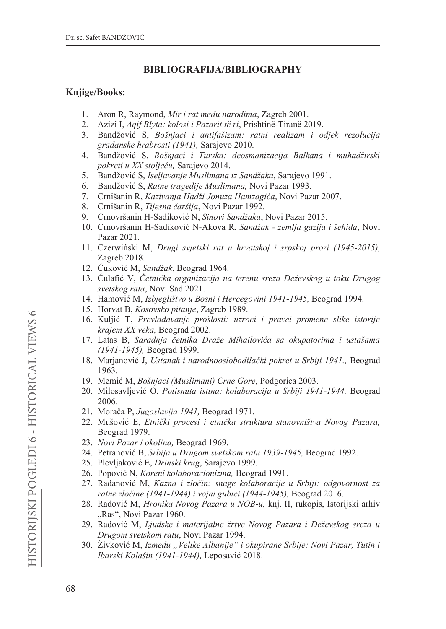## $BIBLIOGRAPHI A/BIBLIOGRAPHY$

### **Knjige/Books:**

- 1. Aron R, Raymond, Mir i rat među narodima, Zagreb 2001.
- 2. Azizi I, Aqif Blyta: kolosi i Pazarit të ri, Prishtinë-Tiranë 2019.
- 3. Bandžović S, Bošnjaci i antifašizam: ratni realizam i odjek rezolucija *građanske hrabrosti (1941)*, Sarajevo 2010.
- 4. Bandžović S, Bošnjaci i Turska: deosmanizacija Balkana i muhadžirski *pokreti u XX stoljeću*, Sarajevo 2014.
- 5. Bandžović S, *Iseljavanje Muslimana iz Sandžaka*, Sarajevo 1991.
- 6. Bandžović S, Ratne tragedije Muslimana, Novi Pazar 1993.
- 7. Crnišanin R, Kazivanja *Hadži Jonuza Hamzagića*, Novi Pazar 2007.
- 8. Crnišanin R, Tijesna čaršija, Novi Pazar 1992.
- 9. Crnovršanin H-Sadiković N, Sinovi Sandžaka, Novi Pazar 2015.
- 10. Crnovršanin H-Sadiković N-Akova R, Sandžak zemlja gazija i šehida, Novi Pazar 2021.
- 11. Czerwiński M, Drugi svjetski rat u hrvatskoj i srpskoj prozi (1945-2015), Zagreb 2018.
- 12. Ćuković M, Sandžak, Beograd 1964.
- 13. Čulafić V, *Četnička organizacija na terenu sreza Deževskog u toku Drugog svetskog rata*, Novi Sad 2021.
- 14. Hamović M, Izbjeglištvo u Bosni i Hercegovini 1941-1945, Beograd 1994.
- 15. Horvat B, Kosovsko pitanje, Zagreb 1989.
- 16. Kuljić T, Prevladavanje prošlosti: uzroci i pravci promene slike istorije *krajem XX veka*, Beograd 2002.
- 17. Latas B, Saradnja četnika Draže Mihailovića sa okupatorima i ustašama *(1941-1945)*, Beograd 1999.
- 18. Marjanović J, Ustanak i narodnooslobodilački pokret u Srbiji 1941., Beograd 1963.
- 19. Memić M, Bošnjaci (Muslimani) Crne Gore, Podgorica 2003.
- 20. Milosavljević O, Potisnuta istina: kolaboracija u Srbiji 1941-1944, Beograd 2006.
- 21. Morača P, Jugoslavija 1941, Beograd 1971.
- 0XãRYLü ( *Etniþki procesi i etniþka struktura stanovništva Novog Pazara,* Beograd 1979.
- 23. *Novi Pazar i okolina*, Beograd 1969.
- 24. Petranović B, Srbija u Drugom svetskom ratu 1939-1945, Beograd 1992.
- 25. Plevljaković E, *Drinski krug*, Sarajevo 1999.
- 26. Popović N, Koreni kolaboracionizma, Beograd 1991.
- 5DGDQRYLü 0 *Kazna i zloþin: snage kolaboracije u Srbiji: odgovornost za ratne zločine (1941-1944) i vojni gubici (1944-1945)*, Beograd 2016.
- 28. Radović M, *Hronika Novog Pazara u NOB-u*, knj. II, rukopis, Istorijski arhiv "Ras", Novi Pazar 1960.
- 29. Radović M, Ljudske i materijalne žrtve Novog Pazara i Deževskog sreza u *Drugom svetskom ratu*, Novi Pazar 1994.
- äLYNRYLü0*Izmeÿu "Velike Albanije" i okupirane Srbije: Novi Pazar, Tutin i Ibarski Kolašin (1941-1944)*, Leposavić 2018.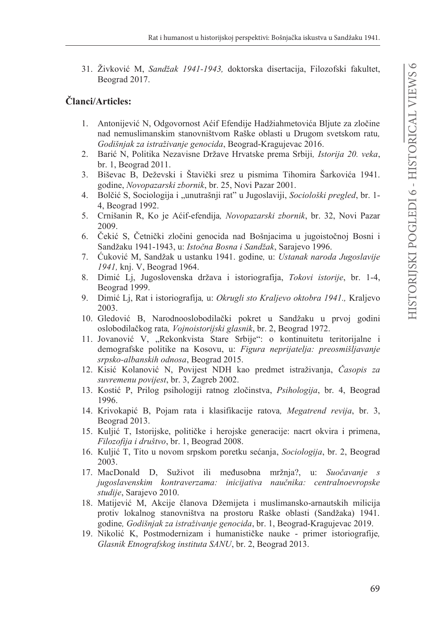31. Živković M, Sandžak 1941-1943, doktorska disertacija, Filozofski fakultet, Beograd 2017.

## Članci/Articles:

- 1. Antonijević N, Odgovornost Aćif Efendije Hadžiahmetovića Bljute za zločine nad nemuslimanskim stanovništvom Raške oblasti u Drugom svetskom ratu, Godišnjak za istraživanje genocida, Beograd-Kragujevac 2016.
- 2. Barić N, Politika Nezavisne Države Hrvatske prema Srbiji, Istorija 20. veka, br. 1, Beograd  $2011$ .
- Biševac B, Deževski i Štavički srez u pismima Tihomira Šarkovića 1941.  $3.$ godine, Novopazarski zbornik, br. 25, Novi Pazar 2001.
- 4. Bolčić S, Sociologija i "unutrašnji rat" u Jugoslaviji, Sociološki pregled, br. 1-4, Beograd 1992.
- Crnišanin R, Ko je Aćif-efendija, Novopazarski zbornik, br. 32, Novi Pazar 5. 2009.
- 6. Čekić S, Četnički zločini genocida nad Bošnjacima u jugoistočnoj Bosni i Sandžaku 1941-1943, u: Istočna Bosna i Sandžak, Sarajevo 1996.
- 7. Čuković M, Sandžak u ustanku 1941. godine, u: Ustanak naroda Jugoslavije 1941, knj. V, Beograd 1964.
- 8. Dimić Lj, Jugoslovenska država i istoriografija, Tokovi istorije, br. 1-4, Beograd 1999.
- 9. Dimić Lj, Rat i istoriografija, u: Okrugli sto Kraljevo oktobra 1941., Kraljevo 2003.
- 10. Gledović B, Narodnooslobodilački pokret u Sandžaku u prvoj godini oslobodilačkog rata, Vojnoistorijski glasnik, br. 2, Beograd 1972.
- 11. Jovanović V, "Rekonkvista Stare Srbije": o kontinuitetu teritorijalne i demografske politike na Kosovu, u: Figura neprijatelja: preosmišljavanje srpsko-albanskih odnosa, Beograd 2015.
- 12. Kisić Kolanović N, Povijest NDH kao predmet istraživanja, Časopis za suvremenu povijest, br. 3, Zagreb 2002.
- 13. Kostić P, Prilog psihologiji ratnog zločinstva, Psihologija, br. 4, Beograd 1996.
- 14. Krivokapić B, Pojam rata i klasifikacije ratova, Megatrend revija, br. 3, Beograd 2013.
- 15. Kuljić T, Istorijske, političke i herojske generacije: nacrt okvira i primena, Filozofija i društvo, br. 1, Beograd 2008.
- 16. Kuljić T, Tito u novom srpskom poretku sećanja, Sociologija, br. 2, Beograd 2003.
- 17. MacDonald D, Suživot ili međusobna mržnja?, u: Suočavanje s jugoslavenskim kontraverzama: inicijativa naučnika: centralnoevropske studije, Sarajevo 2010.
- 18. Matijević M, Akcije članova Džemijeta i muslimansko-arnautskih milicija protiv lokalnog stanovništva na prostoru Raške oblasti (Sandžaka) 1941. godine, Godišnjak za istraživanje genocida, br. 1, Beograd-Kragujevac 2019.
- 19. Nikolić K, Postmodernizam i humanističke nauke primer istoriografije, Glasnik Etnografskog instituta SANU, br. 2, Beograd 2013.